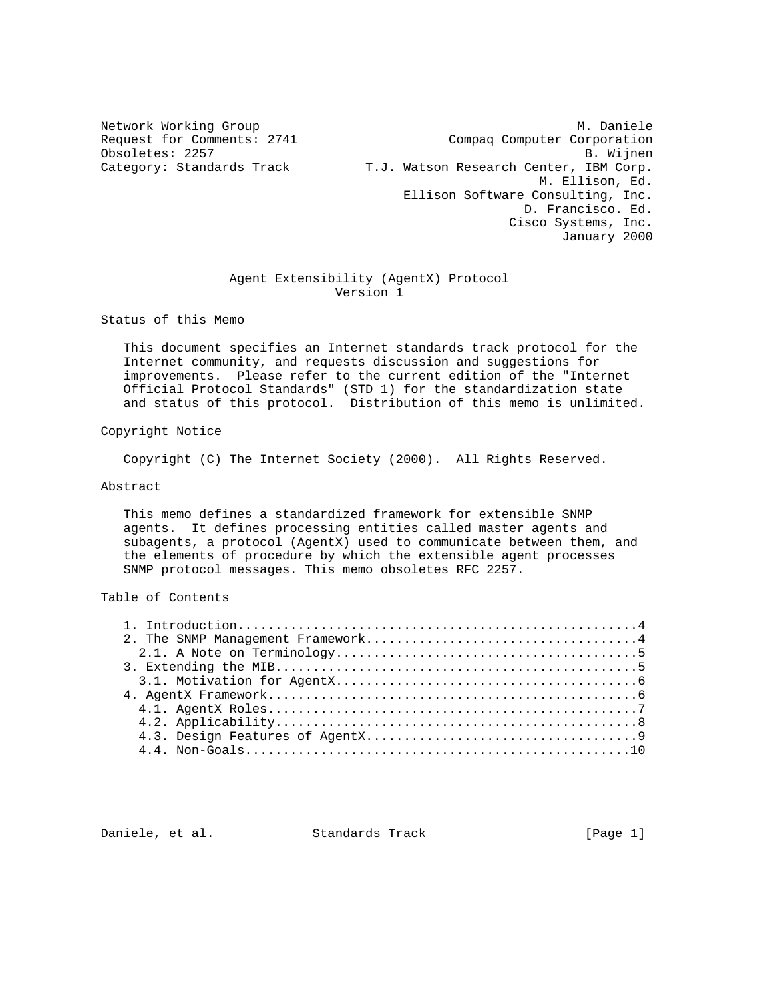Network Working Group Metwork Working Group Metwork Metwork Metalson Metwork Metalson Request for Comments: 2741 Compaq Computer Corporation Obsoletes: 2257 B. Wijnen Category: Standards Track T.J. Watson Research Center, IBM Corp. M. Ellison, Ed. Ellison Software Consulting, Inc. D. Francisco. Ed. Cisco Systems, Inc. January 2000

# Agent Extensibility (AgentX) Protocol Version 1

Status of this Memo

 This document specifies an Internet standards track protocol for the Internet community, and requests discussion and suggestions for improvements. Please refer to the current edition of the "Internet Official Protocol Standards" (STD 1) for the standardization state and status of this protocol. Distribution of this memo is unlimited.

# Copyright Notice

Copyright (C) The Internet Society (2000). All Rights Reserved.

# Abstract

 This memo defines a standardized framework for extensible SNMP agents. It defines processing entities called master agents and subagents, a protocol (AgentX) used to communicate between them, and the elements of procedure by which the extensible agent processes SNMP protocol messages. This memo obsoletes RFC 2257.

# Table of Contents

Daniele, et al. Standards Track [Page 1]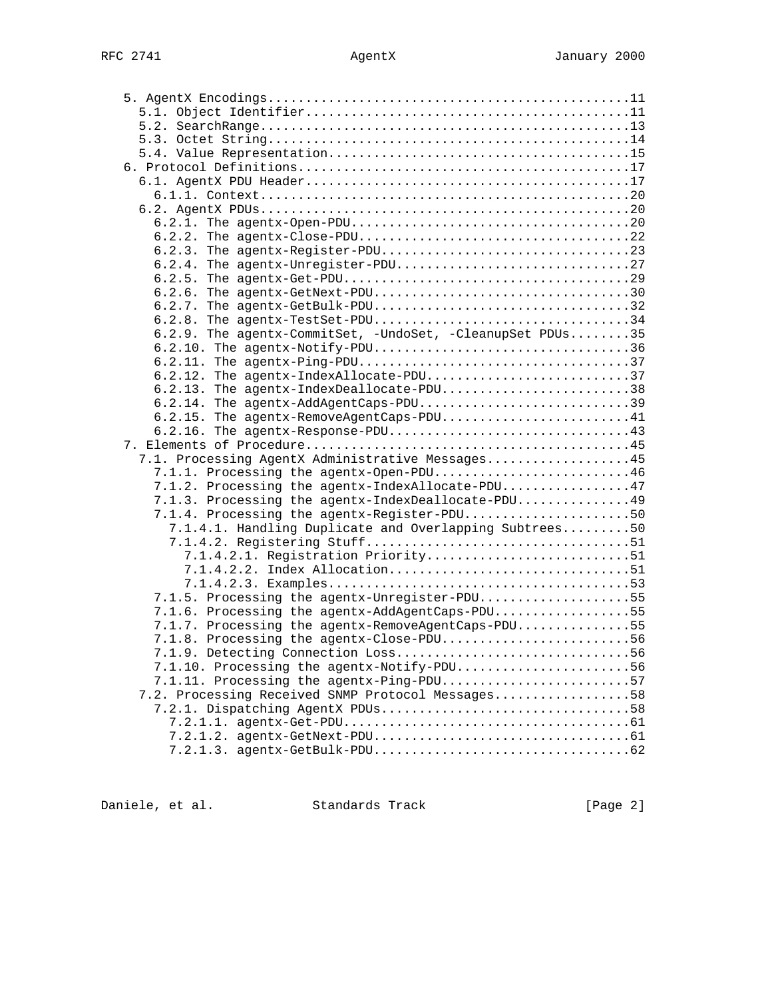| 6.2.4. The agentx-Unregister-PDU27                                                             |  |
|------------------------------------------------------------------------------------------------|--|
|                                                                                                |  |
| 6.2.6. The agentx-GetNext-PDU30<br>6.2.7. The agentx-GetBulk-PDU32                             |  |
| 6.2.8. The agentx-TestSet-PDU34                                                                |  |
| 6.2.9. The agentx-CommitSet, -UndoSet, -CleanupSet PDUs35                                      |  |
| 6.2.10. The agentx-Notify-PDU36                                                                |  |
|                                                                                                |  |
| 6.2.12. The agentx-IndexAllocate-PDU37                                                         |  |
| 6.2.13. The agentx-IndexDeallocate-PDU38                                                       |  |
| 6.2.14. The agentx-AddAgentCaps-PDU39                                                          |  |
| $6.2.15$ . The agentx-RemoveAgentCaps-PDU41                                                    |  |
| $6.2.16$ . The agentx-Response-PDU43                                                           |  |
|                                                                                                |  |
| 7.1. Processing AgentX Administrative Messages45                                               |  |
| 7.1.1. Processing the agentx-Open-PDU46                                                        |  |
| 7.1.2. Processing the agentx-IndexAllocate-PDU47                                               |  |
| 7.1.3. Processing the agentx-IndexDeallocate-PDU49                                             |  |
| 7.1.4. Processing the agentx-Register-PDU50                                                    |  |
| 7.1.4.1. Handling Duplicate and Overlapping Subtrees50                                         |  |
|                                                                                                |  |
| 7.1.4.2.1. Registration Priority51                                                             |  |
| 7.1.4.2.2. Index Allocation51                                                                  |  |
|                                                                                                |  |
| 7.1.5. Processing the agentx-Unregister-PDU55                                                  |  |
| 7.1.6. Processing the agentx-AddAgentCaps-PDU55                                                |  |
| 7.1.7. Processing the agentx-RemoveAgentCaps-PDU55<br>7.1.8. Processing the agentx-Close-PDU56 |  |
|                                                                                                |  |
| 7.1.10. Processing the agentx-Notify-PDU56                                                     |  |
| 7.1.11. Processing the agentx-Ping-PDU57                                                       |  |
| 7.2. Processing Received SNMP Protocol Messages58                                              |  |
|                                                                                                |  |
|                                                                                                |  |
|                                                                                                |  |
|                                                                                                |  |
|                                                                                                |  |

Daniele, et al. Standards Track [Page 2]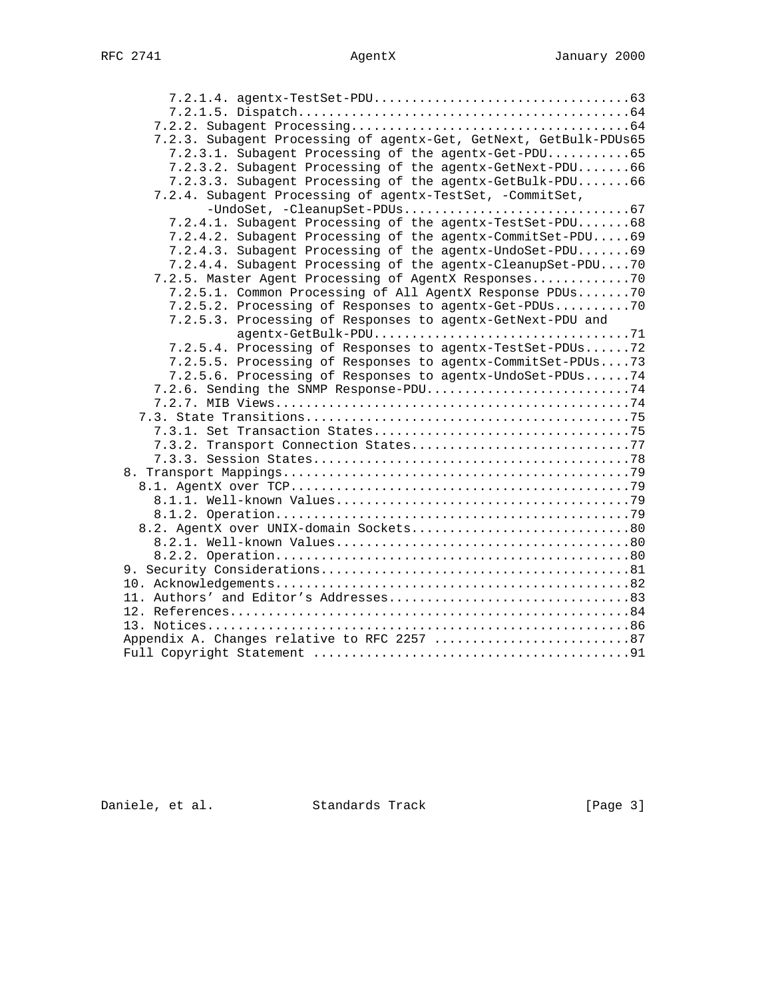7.2.1.4. agentx-TestSet-PDU..................................63 7.2.1.5. Dispatch............................................64 7.2.2. Subagent Processing.....................................64 7.2.3. Subagent Processing of agentx-Get, GetNext, GetBulk-PDUs65 7.2.3.1. Subagent Processing of the agentx-Get-PDU...........65 7.2.3.2. Subagent Processing of the agentx-GetNext-PDU.......66 7.2.3.3. Subagent Processing of the agentx-GetBulk-PDU.......66 7.2.4. Subagent Processing of agentx-TestSet, -CommitSet, -UndoSet, -CleanupSet-PDUs..............................67 7.2.4.1. Subagent Processing of the agentx-TestSet-PDU.......68 7.2.4.2. Subagent Processing of the agentx-CommitSet-PDU.....69 7.2.4.3. Subagent Processing of the agentx-UndoSet-PDU.......69 7.2.4.4. Subagent Processing of the agentx-CleanupSet-PDU....70 7.2.5. Master Agent Processing of AgentX Responses.............70 7.2.5.1. Common Processing of All AgentX Response PDUs.......70 7.2.5.2. Processing of Responses to agentx-Get-PDUs..........70 7.2.5.3. Processing of Responses to agentx-GetNext-PDU and agentx-GetBulk-PDU..................................71 7.2.5.4. Processing of Responses to agentx-TestSet-PDUs......72 7.2.5.5. Processing of Responses to agentx-CommitSet-PDUs....73 7.2.5.6. Processing of Responses to agentx-UndoSet-PDUs......74 7.2.6. Sending the SNMP Response-PDU...........................74 7.2.7. MIB Views...............................................74 7.3. State Transitions...........................................75 7.3.1. Set Transaction States..................................75 7.3.2. Transport Connection States..................................77 7.3.3. Session States..........................................78 8. Transport Mappings..............................................79 8.1. AgentX over TCP.............................................79 8.1.1. Well-known Values.......................................79 8.1.2. Operation...............................................79 8.2. AgentX over UNIX-domain Sockets.............................80 8.2.1. Well-known Values.......................................80 8.2.2. Operation...............................................80 9. Security Considerations.........................................81 10. Acknowledgements...............................................82 11. Authors' and Editor's Addresses................................83 12. References.....................................................84 13. Notices........................................................86 Appendix A. Changes relative to RFC 2257 ...............................87 Full Copyright Statement ..........................................91

Daniele, et al. Standards Track [Page 3]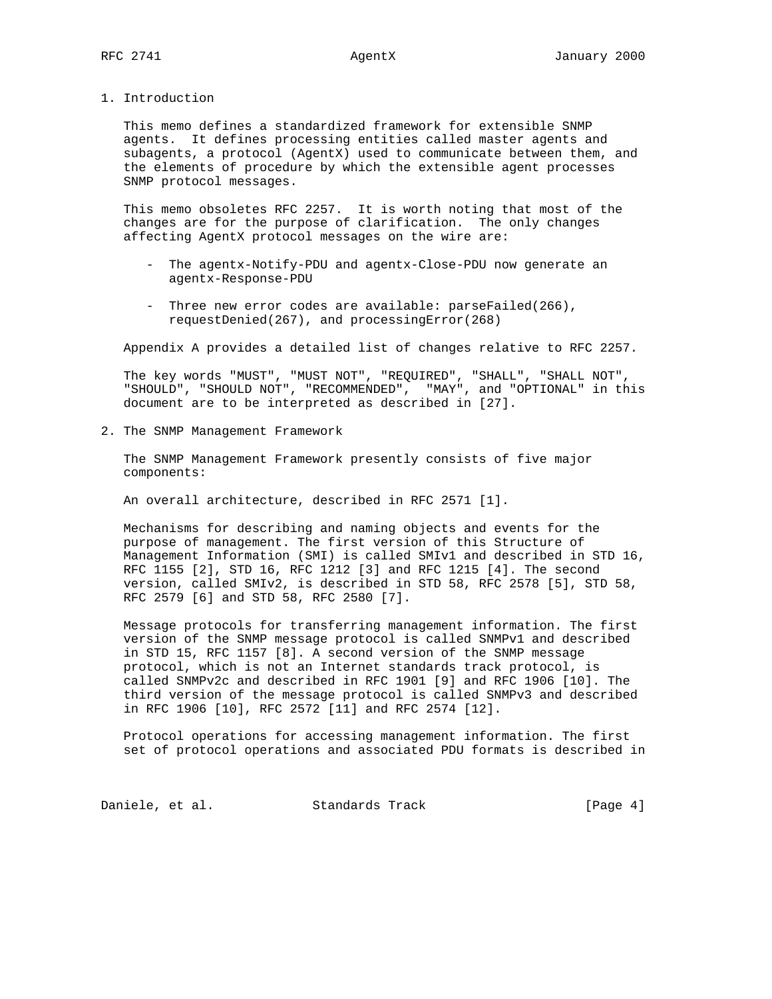1. Introduction

 This memo defines a standardized framework for extensible SNMP agents. It defines processing entities called master agents and subagents, a protocol (AgentX) used to communicate between them, and the elements of procedure by which the extensible agent processes SNMP protocol messages.

 This memo obsoletes RFC 2257. It is worth noting that most of the changes are for the purpose of clarification. The only changes affecting AgentX protocol messages on the wire are:

- The agentx-Notify-PDU and agentx-Close-PDU now generate an agentx-Response-PDU
- Three new error codes are available: parseFailed(266), requestDenied(267), and processingError(268)

Appendix A provides a detailed list of changes relative to RFC 2257.

 The key words "MUST", "MUST NOT", "REQUIRED", "SHALL", "SHALL NOT", "SHOULD", "SHOULD NOT", "RECOMMENDED", "MAY", and "OPTIONAL" in this document are to be interpreted as described in [27].

2. The SNMP Management Framework

 The SNMP Management Framework presently consists of five major components:

An overall architecture, described in RFC 2571 [1].

 Mechanisms for describing and naming objects and events for the purpose of management. The first version of this Structure of Management Information (SMI) is called SMIv1 and described in STD 16, RFC 1155 [2], STD 16, RFC 1212 [3] and RFC 1215 [4]. The second version, called SMIv2, is described in STD 58, RFC 2578 [5], STD 58, RFC 2579 [6] and STD 58, RFC 2580 [7].

 Message protocols for transferring management information. The first version of the SNMP message protocol is called SNMPv1 and described in STD 15, RFC 1157 [8]. A second version of the SNMP message protocol, which is not an Internet standards track protocol, is called SNMPv2c and described in RFC 1901 [9] and RFC 1906 [10]. The third version of the message protocol is called SNMPv3 and described in RFC 1906 [10], RFC 2572 [11] and RFC 2574 [12].

 Protocol operations for accessing management information. The first set of protocol operations and associated PDU formats is described in

Daniele, et al. Standards Track [Page 4]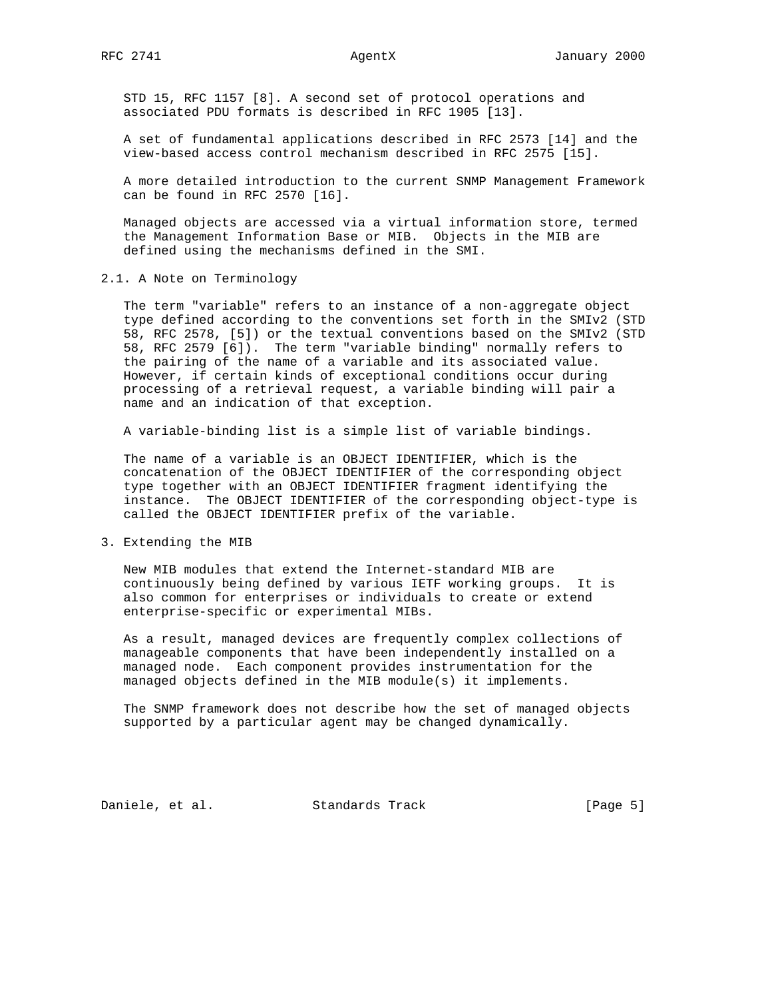STD 15, RFC 1157 [8]. A second set of protocol operations and associated PDU formats is described in RFC 1905 [13].

 A set of fundamental applications described in RFC 2573 [14] and the view-based access control mechanism described in RFC 2575 [15].

 A more detailed introduction to the current SNMP Management Framework can be found in RFC 2570 [16].

 Managed objects are accessed via a virtual information store, termed the Management Information Base or MIB. Objects in the MIB are defined using the mechanisms defined in the SMI.

2.1. A Note on Terminology

 The term "variable" refers to an instance of a non-aggregate object type defined according to the conventions set forth in the SMIv2 (STD 58, RFC 2578, [5]) or the textual conventions based on the SMIv2 (STD 58, RFC 2579 [6]). The term "variable binding" normally refers to the pairing of the name of a variable and its associated value. However, if certain kinds of exceptional conditions occur during processing of a retrieval request, a variable binding will pair a name and an indication of that exception.

A variable-binding list is a simple list of variable bindings.

 The name of a variable is an OBJECT IDENTIFIER, which is the concatenation of the OBJECT IDENTIFIER of the corresponding object type together with an OBJECT IDENTIFIER fragment identifying the instance. The OBJECT IDENTIFIER of the corresponding object-type is called the OBJECT IDENTIFIER prefix of the variable.

3. Extending the MIB

 New MIB modules that extend the Internet-standard MIB are continuously being defined by various IETF working groups. It is also common for enterprises or individuals to create or extend enterprise-specific or experimental MIBs.

 As a result, managed devices are frequently complex collections of manageable components that have been independently installed on a managed node. Each component provides instrumentation for the managed objects defined in the MIB module(s) it implements.

 The SNMP framework does not describe how the set of managed objects supported by a particular agent may be changed dynamically.

Daniele, et al. Standards Track [Page 5]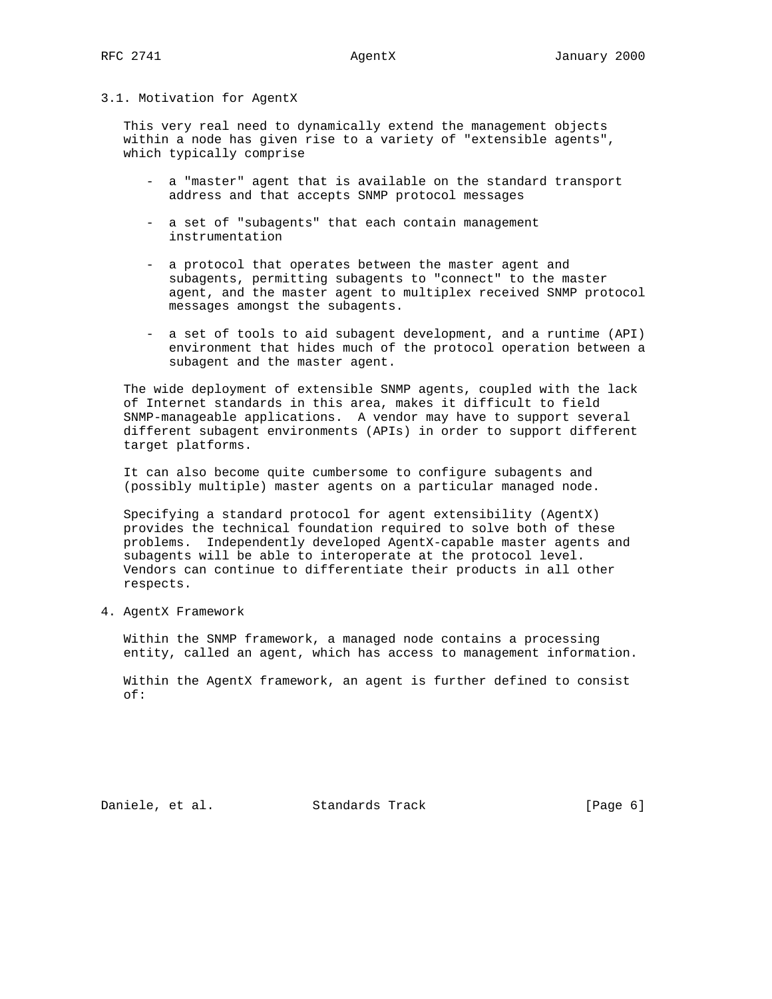## 3.1. Motivation for AgentX

 This very real need to dynamically extend the management objects within a node has given rise to a variety of "extensible agents", which typically comprise

- a "master" agent that is available on the standard transport address and that accepts SNMP protocol messages
- a set of "subagents" that each contain management instrumentation
- a protocol that operates between the master agent and subagents, permitting subagents to "connect" to the master agent, and the master agent to multiplex received SNMP protocol messages amongst the subagents.
- a set of tools to aid subagent development, and a runtime (API) environment that hides much of the protocol operation between a subagent and the master agent.

 The wide deployment of extensible SNMP agents, coupled with the lack of Internet standards in this area, makes it difficult to field SNMP-manageable applications. A vendor may have to support several different subagent environments (APIs) in order to support different target platforms.

 It can also become quite cumbersome to configure subagents and (possibly multiple) master agents on a particular managed node.

 Specifying a standard protocol for agent extensibility (AgentX) provides the technical foundation required to solve both of these problems. Independently developed AgentX-capable master agents and subagents will be able to interoperate at the protocol level. Vendors can continue to differentiate their products in all other respects.

4. AgentX Framework

 Within the SNMP framework, a managed node contains a processing entity, called an agent, which has access to management information.

 Within the AgentX framework, an agent is further defined to consist of:

Daniele, et al. Standards Track [Page 6]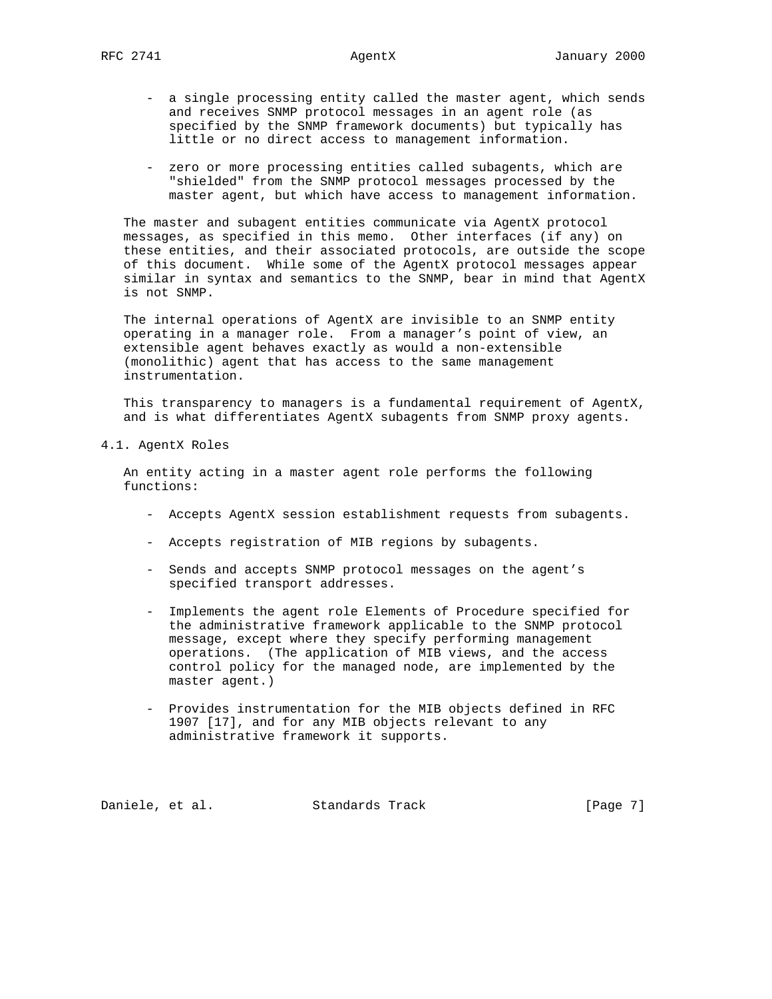- a single processing entity called the master agent, which sends and receives SNMP protocol messages in an agent role (as specified by the SNMP framework documents) but typically has little or no direct access to management information.
- zero or more processing entities called subagents, which are "shielded" from the SNMP protocol messages processed by the master agent, but which have access to management information.

 The master and subagent entities communicate via AgentX protocol messages, as specified in this memo. Other interfaces (if any) on these entities, and their associated protocols, are outside the scope of this document. While some of the AgentX protocol messages appear similar in syntax and semantics to the SNMP, bear in mind that AgentX is not SNMP.

 The internal operations of AgentX are invisible to an SNMP entity operating in a manager role. From a manager's point of view, an extensible agent behaves exactly as would a non-extensible (monolithic) agent that has access to the same management instrumentation.

 This transparency to managers is a fundamental requirement of AgentX, and is what differentiates AgentX subagents from SNMP proxy agents.

4.1. AgentX Roles

 An entity acting in a master agent role performs the following functions:

- Accepts AgentX session establishment requests from subagents.
- Accepts registration of MIB regions by subagents.
- Sends and accepts SNMP protocol messages on the agent's specified transport addresses.
- Implements the agent role Elements of Procedure specified for the administrative framework applicable to the SNMP protocol message, except where they specify performing management operations. (The application of MIB views, and the access control policy for the managed node, are implemented by the master agent.)
- Provides instrumentation for the MIB objects defined in RFC 1907 [17], and for any MIB objects relevant to any administrative framework it supports.

Daniele, et al. Standards Track [Page 7]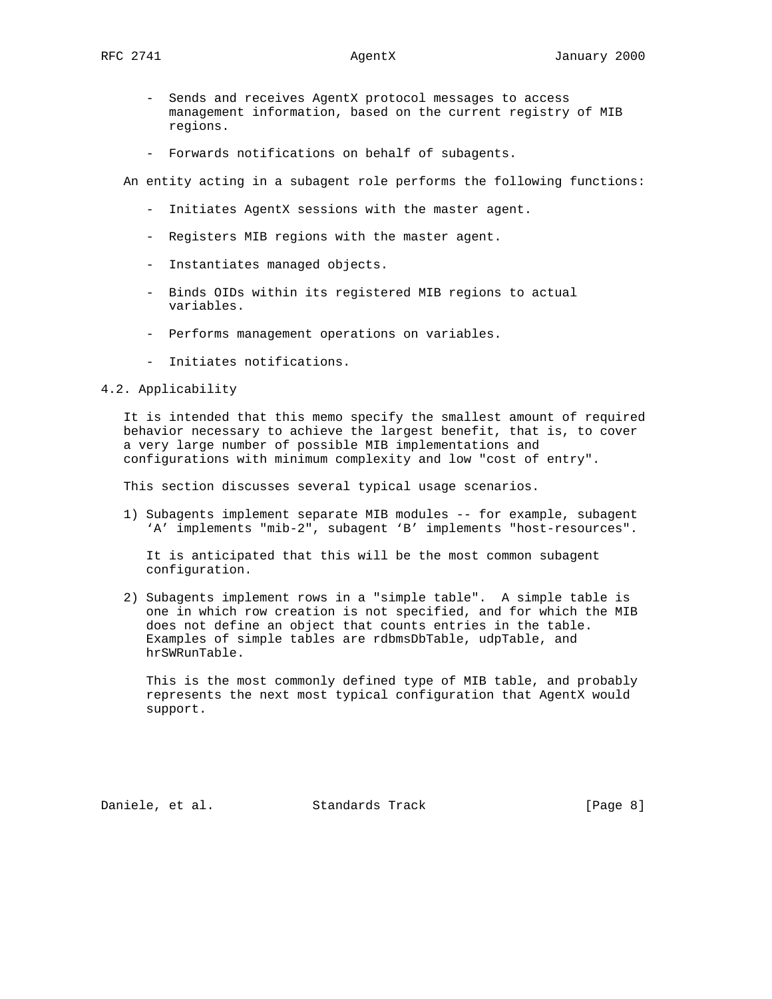- Sends and receives AgentX protocol messages to access management information, based on the current registry of MIB regions.
- Forwards notifications on behalf of subagents.

An entity acting in a subagent role performs the following functions:

- Initiates AgentX sessions with the master agent.
- Registers MIB regions with the master agent.
- Instantiates managed objects.
- Binds OIDs within its registered MIB regions to actual variables.
- Performs management operations on variables.
- Initiates notifications.

## 4.2. Applicability

 It is intended that this memo specify the smallest amount of required behavior necessary to achieve the largest benefit, that is, to cover a very large number of possible MIB implementations and configurations with minimum complexity and low "cost of entry".

This section discusses several typical usage scenarios.

 1) Subagents implement separate MIB modules -- for example, subagent 'A' implements "mib-2", subagent 'B' implements "host-resources".

 It is anticipated that this will be the most common subagent configuration.

 2) Subagents implement rows in a "simple table". A simple table is one in which row creation is not specified, and for which the MIB does not define an object that counts entries in the table. Examples of simple tables are rdbmsDbTable, udpTable, and hrSWRunTable.

 This is the most commonly defined type of MIB table, and probably represents the next most typical configuration that AgentX would support.

Daniele, et al. Standards Track [Page 8]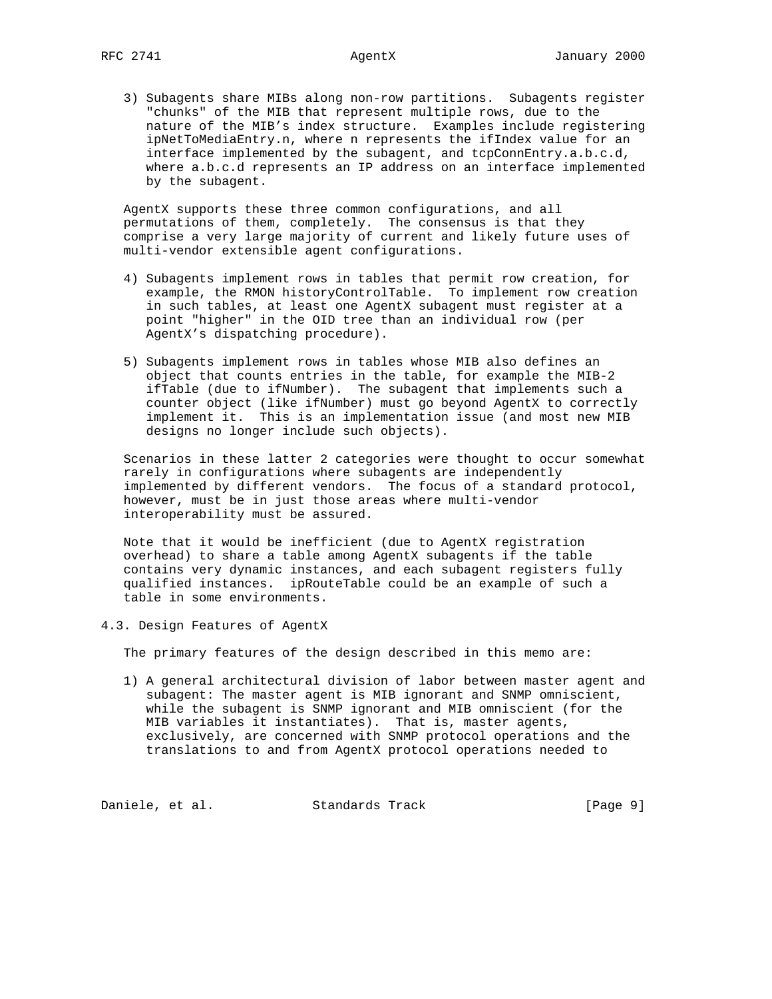3) Subagents share MIBs along non-row partitions. Subagents register "chunks" of the MIB that represent multiple rows, due to the nature of the MIB's index structure. Examples include registering ipNetToMediaEntry.n, where n represents the ifIndex value for an interface implemented by the subagent, and tcpConnEntry.a.b.c.d, where a.b.c.d represents an IP address on an interface implemented by the subagent.

 AgentX supports these three common configurations, and all permutations of them, completely. The consensus is that they comprise a very large majority of current and likely future uses of multi-vendor extensible agent configurations.

- 4) Subagents implement rows in tables that permit row creation, for example, the RMON historyControlTable. To implement row creation in such tables, at least one AgentX subagent must register at a point "higher" in the OID tree than an individual row (per AgentX's dispatching procedure).
- 5) Subagents implement rows in tables whose MIB also defines an object that counts entries in the table, for example the MIB-2 ifTable (due to ifNumber). The subagent that implements such a counter object (like ifNumber) must go beyond AgentX to correctly implement it. This is an implementation issue (and most new MIB designs no longer include such objects).

 Scenarios in these latter 2 categories were thought to occur somewhat rarely in configurations where subagents are independently implemented by different vendors. The focus of a standard protocol, however, must be in just those areas where multi-vendor interoperability must be assured.

 Note that it would be inefficient (due to AgentX registration overhead) to share a table among AgentX subagents if the table contains very dynamic instances, and each subagent registers fully qualified instances. ipRouteTable could be an example of such a table in some environments.

4.3. Design Features of AgentX

The primary features of the design described in this memo are:

 1) A general architectural division of labor between master agent and subagent: The master agent is MIB ignorant and SNMP omniscient, while the subagent is SNMP ignorant and MIB omniscient (for the MIB variables it instantiates). That is, master agents, exclusively, are concerned with SNMP protocol operations and the translations to and from AgentX protocol operations needed to

Daniele, et al. Standards Track [Page 9]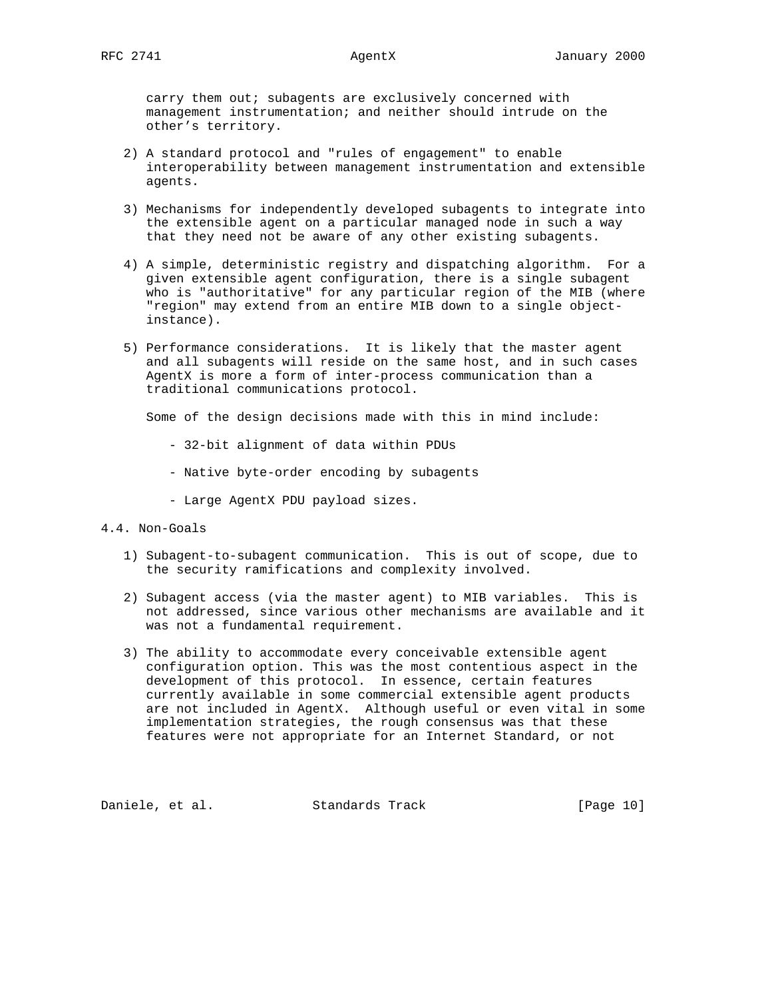carry them out; subagents are exclusively concerned with management instrumentation; and neither should intrude on the other's territory.

- 2) A standard protocol and "rules of engagement" to enable interoperability between management instrumentation and extensible agents.
- 3) Mechanisms for independently developed subagents to integrate into the extensible agent on a particular managed node in such a way that they need not be aware of any other existing subagents.
- 4) A simple, deterministic registry and dispatching algorithm. For a given extensible agent configuration, there is a single subagent who is "authoritative" for any particular region of the MIB (where "region" may extend from an entire MIB down to a single object instance).
- 5) Performance considerations. It is likely that the master agent and all subagents will reside on the same host, and in such cases AgentX is more a form of inter-process communication than a traditional communications protocol.

Some of the design decisions made with this in mind include:

- 32-bit alignment of data within PDUs
- Native byte-order encoding by subagents
- Large AgentX PDU payload sizes.
- 4.4. Non-Goals
	- 1) Subagent-to-subagent communication. This is out of scope, due to the security ramifications and complexity involved.
	- 2) Subagent access (via the master agent) to MIB variables. This is not addressed, since various other mechanisms are available and it was not a fundamental requirement.
	- 3) The ability to accommodate every conceivable extensible agent configuration option. This was the most contentious aspect in the development of this protocol. In essence, certain features currently available in some commercial extensible agent products are not included in AgentX. Although useful or even vital in some implementation strategies, the rough consensus was that these features were not appropriate for an Internet Standard, or not

Daniele, et al. Standards Track [Page 10]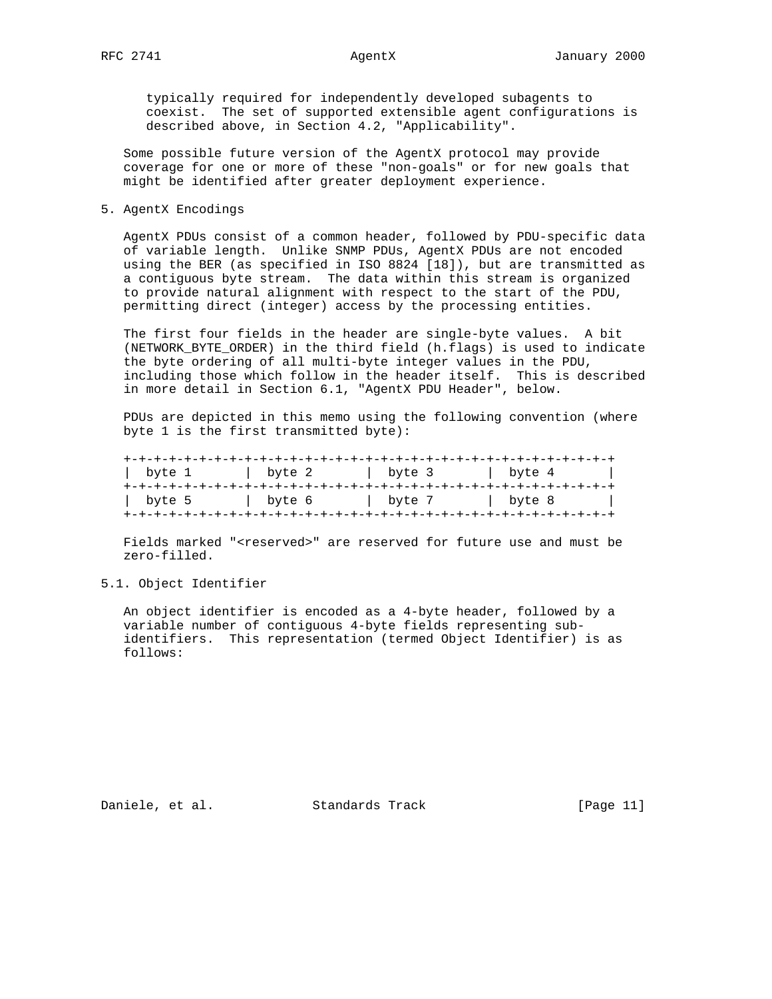typically required for independently developed subagents to coexist. The set of supported extensible agent configurations is described above, in Section 4.2, "Applicability".

 Some possible future version of the AgentX protocol may provide coverage for one or more of these "non-goals" or for new goals that might be identified after greater deployment experience.

# 5. AgentX Encodings

 AgentX PDUs consist of a common header, followed by PDU-specific data of variable length. Unlike SNMP PDUs, AgentX PDUs are not encoded using the BER (as specified in ISO 8824 [18]), but are transmitted as a contiguous byte stream. The data within this stream is organized to provide natural alignment with respect to the start of the PDU, permitting direct (integer) access by the processing entities.

 The first four fields in the header are single-byte values. A bit (NETWORK\_BYTE\_ORDER) in the third field (h.flags) is used to indicate the byte ordering of all multi-byte integer values in the PDU, including those which follow in the header itself. This is described in more detail in Section 6.1, "AgentX PDU Header", below.

 PDUs are depicted in this memo using the following convention (where byte 1 is the first transmitted byte):

| byte 1 | byte 2 | byte 3 | byte 4 |  |
|--------|--------|--------|--------|--|
| byte 5 | byte 6 | byte 7 | byte 8 |  |

Fields marked "<reserved>" are reserved for future use and must be zero-filled.

5.1. Object Identifier

 An object identifier is encoded as a 4-byte header, followed by a variable number of contiguous 4-byte fields representing sub identifiers. This representation (termed Object Identifier) is as follows:

Daniele, et al. Standards Track [Page 11]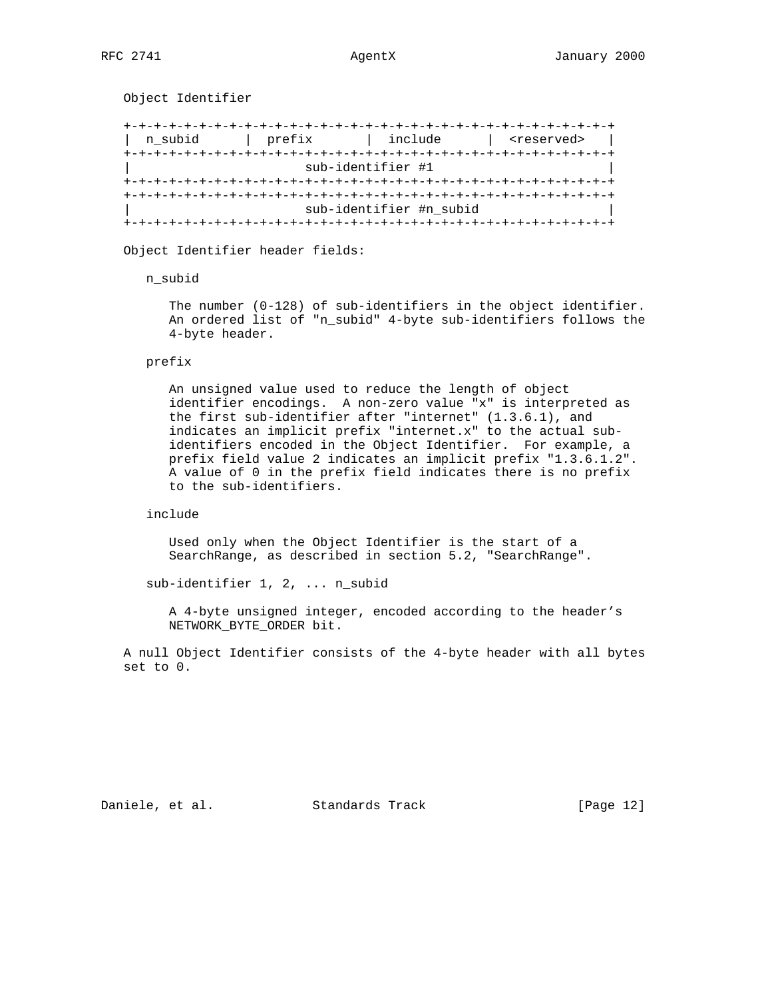Object Identifier

 +-+-+-+-+-+-+-+-+-+-+-+-+-+-+-+-+-+-+-+-+-+-+-+-+-+-+-+-+-+-+-+-+ | n\_subid | prefix | include | <reserved> | +-+-+-+-+-+-+-+-+-+-+-+-+-+-+-+-+-+-+-+-+-+-+-+-+-+-+-+-+-+-+-+-+ | sub-identifier #1 | +-+-+-+-+-+-+-+-+-+-+-+-+-+-+-+-+-+-+-+-+-+-+-+-+-+-+-+-+-+-+-+-+ +-+-+-+-+-+-+-+-+-+-+-+-+-+-+-+-+-+-+-+-+-+-+-+-+-+-+-+-+-+-+-+-+ sub-identifier #n\_subid +-+-+-+-+-+-+-+-+-+-+-+-+-+-+-+-+-+-+-+-+-+-+-+-+-+-+-+-+-+-+-+-+

Object Identifier header fields:

n\_subid

 The number (0-128) of sub-identifiers in the object identifier. An ordered list of "n\_subid" 4-byte sub-identifiers follows the 4-byte header.

## prefix

 An unsigned value used to reduce the length of object identifier encodings. A non-zero value "x" is interpreted as the first sub-identifier after "internet" (1.3.6.1), and indicates an implicit prefix "internet.x" to the actual sub identifiers encoded in the Object Identifier. For example, a prefix field value 2 indicates an implicit prefix "1.3.6.1.2". A value of 0 in the prefix field indicates there is no prefix to the sub-identifiers.

include

 Used only when the Object Identifier is the start of a SearchRange, as described in section 5.2, "SearchRange".

sub-identifier 1, 2, ... n\_subid

 A 4-byte unsigned integer, encoded according to the header's NETWORK\_BYTE\_ORDER bit.

 A null Object Identifier consists of the 4-byte header with all bytes set to 0.

Daniele, et al. Standards Track [Page 12]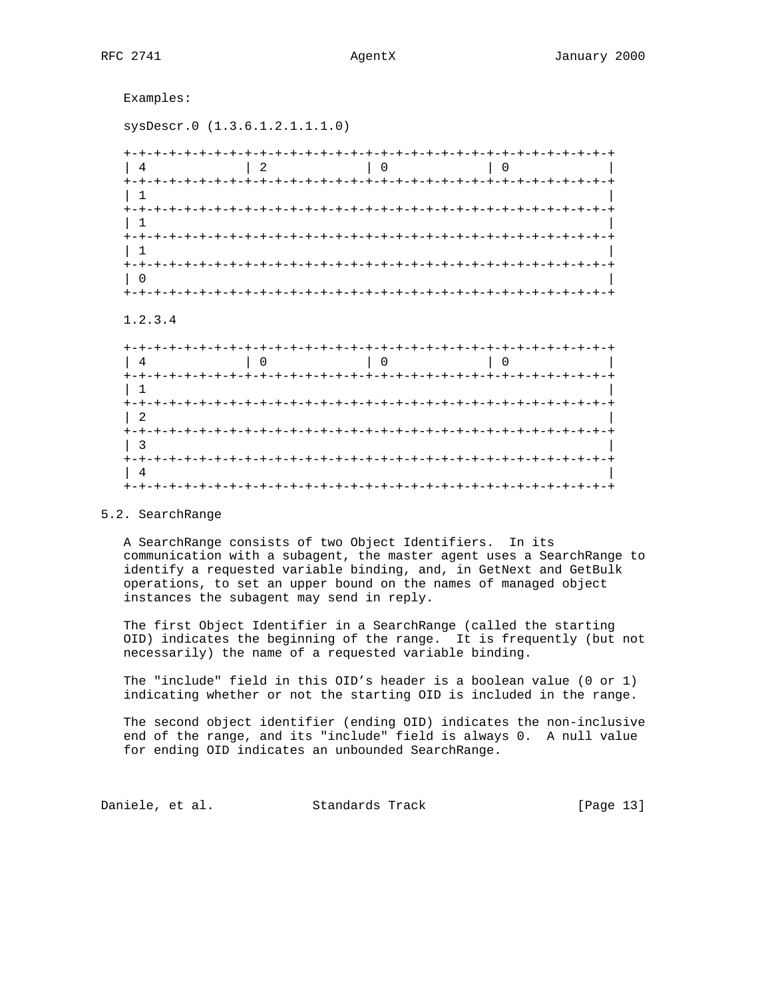Examples:

sysDescr.0 (1.3.6.1.2.1.1.1.0)

| キーキーキー                    |                                      |   |  |
|---------------------------|--------------------------------------|---|--|
|                           | $\begin{array}{ccc} \end{array}$ 2 0 | O |  |
|                           |                                      |   |  |
| $+ - + - + - -$           | +-+-+-+-+-+-+-+-+-+-+-+-+-+-+-+-+    |   |  |
| $+ - + - + - + - + - + -$ |                                      |   |  |
| +-+-+-+-+-+-+             |                                      |   |  |
|                           |                                      |   |  |

# 1.2.3.4

| $+ - + - +$                              | $\Omega$ | -+-+-+-+-+-+-+-+-+-+-+-+<br>$\overline{0}$ |  |
|------------------------------------------|----------|--------------------------------------------|--|
| $+ - + - +$<br>$+ - + - + - + - + - + -$ |          |                                            |  |
|                                          |          |                                            |  |
|                                          |          |                                            |  |
|                                          |          |                                            |  |

# 5.2. SearchRange

 A SearchRange consists of two Object Identifiers. In its communication with a subagent, the master agent uses a SearchRange to identify a requested variable binding, and, in GetNext and GetBulk operations, to set an upper bound on the names of managed object instances the subagent may send in reply.

 The first Object Identifier in a SearchRange (called the starting OID) indicates the beginning of the range. It is frequently (but not necessarily) the name of a requested variable binding.

 The "include" field in this OID's header is a boolean value (0 or 1) indicating whether or not the starting OID is included in the range.

 The second object identifier (ending OID) indicates the non-inclusive end of the range, and its "include" field is always 0. A null value for ending OID indicates an unbounded SearchRange.

Daniele, et al. Standards Track [Page 13]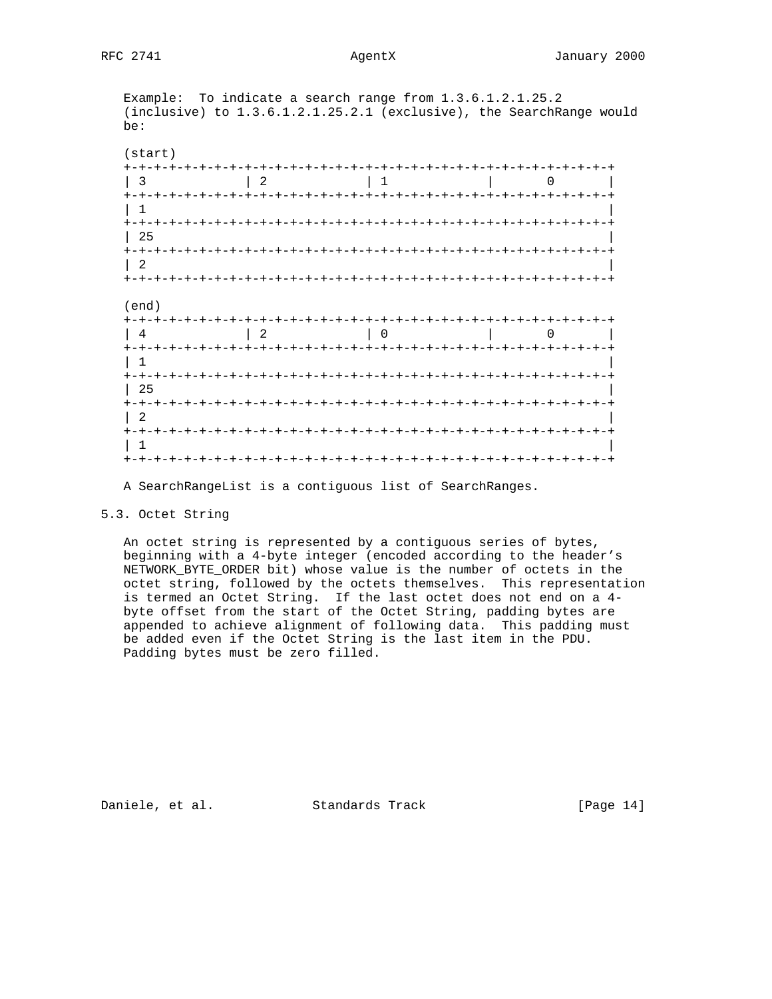Example: To indicate a search range from 1.3.6.1.2.1.25.2 (inclusive) to 1.3.6.1.2.1.25.2.1 (exclusive), the SearchRange would be:

| 3                                                                  | $\overline{2}$ |         |                  |              |                                 |
|--------------------------------------------------------------------|----------------|---------|------------------|--------------|---------------------------------|
| $^{+}$                                                             |                |         |                  |              |                                 |
| 1                                                                  |                |         |                  |              |                                 |
| $+ - + - +$<br>25                                                  |                | -+-+-+- |                  |              | -+-+-+-+-+-+-+-+-+-+-+-+-+      |
| +-+-+-+-+-+-+                                                      |                |         | $-+ - + - + - +$ | -+-+-+-+     | -+-+-                           |
| 2<br>$+-+$                                                         |                |         |                  |              |                                 |
| -+-                                                                |                |         |                  | -+-+-+-+-+   |                                 |
|                                                                    |                |         |                  |              |                                 |
| 4                                                                  | 2              |         |                  |              |                                 |
|                                                                    |                |         |                  | -+-+-+-+-+-+ |                                 |
| 25                                                                 |                |         |                  |              |                                 |
|                                                                    |                | キーキーキ   |                  |              | -+-+-+-+-+-+-+-+-+-+-+-+-+-+-+- |
| (end)<br>$+ - + - +$<br>$\pm$<br>$+ - + - +$<br>+-+-+-+-+-+-+<br>2 |                |         |                  |              |                                 |

A SearchRangeList is a contiguous list of SearchRanges.

# 5.3. Octet String

 An octet string is represented by a contiguous series of bytes, beginning with a 4-byte integer (encoded according to the header's NETWORK\_BYTE\_ORDER bit) whose value is the number of octets in the octet string, followed by the octets themselves. This representation is termed an Octet String. If the last octet does not end on a 4 byte offset from the start of the Octet String, padding bytes are appended to achieve alignment of following data. This padding must be added even if the Octet String is the last item in the PDU. Padding bytes must be zero filled.

Daniele, et al. Standards Track [Page 14]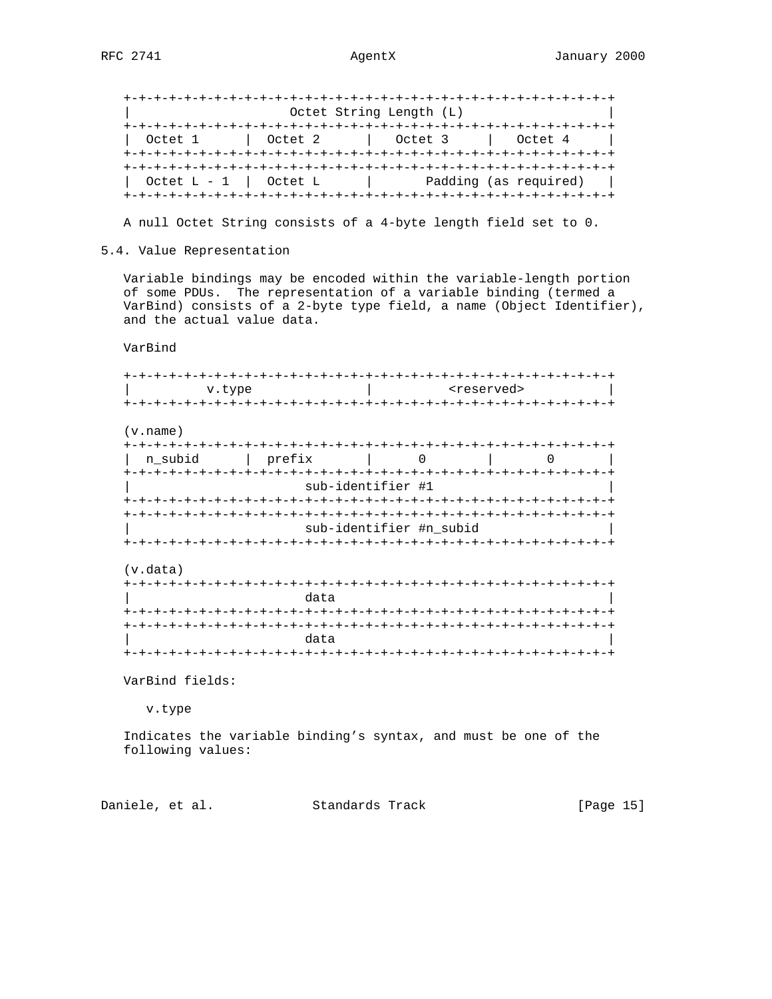+-+-+-+-+-+-+-+-+-+-+-+-+-+-+-+-+-+-+-+-+-+-+-+-+-+-+-+-+-+-+-+-+ Octet String Length (L) +-+-+-+-+-+-+-+-+-+-+-+-+-+-+-+-+-+-+-+-+-+-+-+-+-+-+-+-+-+-+-+-+ | Octet 1 | Octet 2 | Octet 3 | Octet 4 | +-+-+-+-+-+-+-+-+-+-+-+-+-+-+-+-+-+-+-+-+-+-+-+-+-+-+-+-+-+-+-+-+ +-+-+-+-+-+-+-+-+-+-+-+-+-+-+-+-+-+-+-+-+-+-+-+-+-+-+-+-+-+-+-+-+  $\hbox{\rm Octet L - 1}$   $\hbox{\rm Octet L}$   $\hbox{\rm L}$   $\hbox{\rm P}$  Padding (as required)  $\hbox{\rm I}$ +-+-+-+-+-+-+-+-+-+-+-+-+-+-+-+-+-+-+-+-+-+-+-+-+-+-+-+-+-+-+-+-+

A null Octet String consists of a 4-byte length field set to 0.

5.4. Value Representation

 Variable bindings may be encoded within the variable-length portion of some PDUs. The representation of a variable binding (termed a VarBind) consists of a 2-byte type field, a name (Object Identifier), and the actual value data.

VarBind

 +-+-+-+-+-+-+-+-+-+-+-+-+-+-+-+-+-+-+-+-+-+-+-+-+-+-+-+-+-+-+-+-+ v.type  $|$  <reserved> +-+-+-+-+-+-+-+-+-+-+-+-+-+-+-+-+-+-+-+-+-+-+-+-+-+-+-+-+-+-+-+-+

(v.name)

| n subid | prefix |                         |  |  |
|---------|--------|-------------------------|--|--|
|         |        |                         |  |  |
|         |        | sub-identifier #1       |  |  |
|         |        |                         |  |  |
|         |        |                         |  |  |
|         |        | sub-identifier #n subid |  |  |
|         |        |                         |  |  |

(v.data)

| data |
|------|
|      |
|      |
| data |
|      |

VarBind fields:

v.type

 Indicates the variable binding's syntax, and must be one of the following values:

Daniele, et al. Standards Track [Page 15]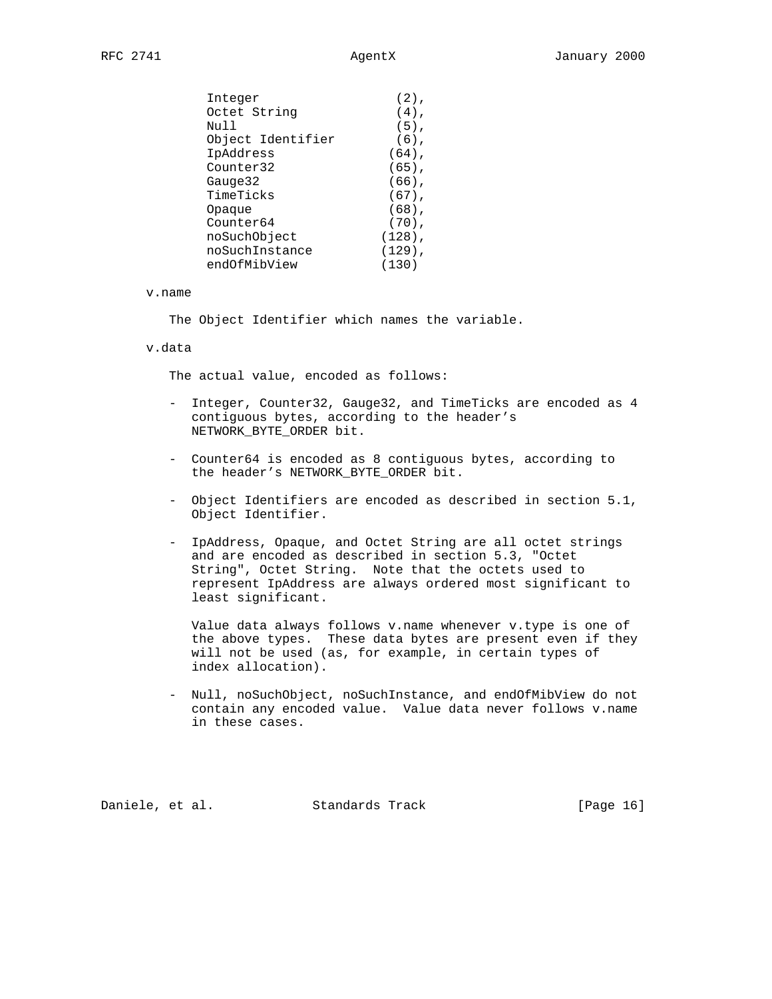| Integer           | $(2)$ ,   |
|-------------------|-----------|
| Octet String      | $(4)$ ,   |
| Null              | $(5)$ ,   |
| Object Identifier | $(6)$ ,   |
| IpAddress         | $(64)$ ,  |
| Counter32         | $(65)$ ,  |
| Gauge32           | $(66)$ ,  |
| TimeTicks         | $(67)$ ,  |
| Opaque            | $(68)$ ,  |
| Counter64         | $(70)$ ,  |
| noSuchObject      | $(128)$ , |
| noSuchInstance    | $(129)$ , |
| endOfMibView      | (130)     |

### v.name

The Object Identifier which names the variable.

## v.data

The actual value, encoded as follows:

- Integer, Counter32, Gauge32, and TimeTicks are encoded as 4 contiguous bytes, according to the header's NETWORK\_BYTE\_ORDER bit.
- Counter64 is encoded as 8 contiguous bytes, according to the header's NETWORK BYTE ORDER bit.
- Object Identifiers are encoded as described in section 5.1, Object Identifier.
- IpAddress, Opaque, and Octet String are all octet strings and are encoded as described in section 5.3, "Octet String", Octet String. Note that the octets used to represent IpAddress are always ordered most significant to least significant.

 Value data always follows v.name whenever v.type is one of the above types. These data bytes are present even if they will not be used (as, for example, in certain types of index allocation).

 - Null, noSuchObject, noSuchInstance, and endOfMibView do not contain any encoded value. Value data never follows v.name in these cases.

Daniele, et al. Standards Track [Page 16]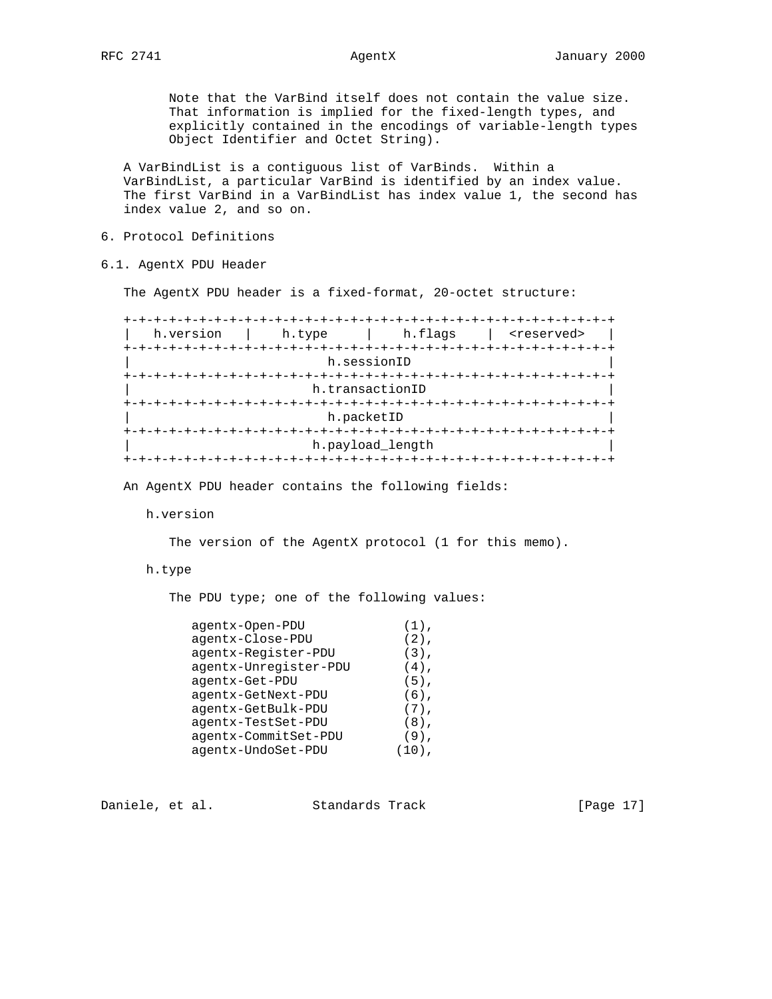Note that the VarBind itself does not contain the value size. That information is implied for the fixed-length types, and explicitly contained in the encodings of variable-length types Object Identifier and Octet String).

 A VarBindList is a contiguous list of VarBinds. Within a VarBindList, a particular VarBind is identified by an index value. The first VarBind in a VarBindList has index value 1, the second has index value 2, and so on.

- 6. Protocol Definitions
- 6.1. AgentX PDU Header

The AgentX PDU header is a fixed-format, 20-octet structure:

 +-+-+-+-+-+-+-+-+-+-+-+-+-+-+-+-+-+-+-+-+-+-+-+-+-+-+-+-+-+-+-+-+ | h.version | h.type | h.flags | <reserved> | +-+-+-+-+-+-+-+-+-+-+-+-+-+-+-+-+-+-+-+-+-+-+-+-+-+-+-+-+-+-+-+-+ h.sessionID +-+-+-+-+-+-+-+-+-+-+-+-+-+-+-+-+-+-+-+-+-+-+-+-+-+-+-+-+-+-+-+-+ h.transactionID +-+-+-+-+-+-+-+-+-+-+-+-+-+-+-+-+-+-+-+-+-+-+-+-+-+-+-+-+-+-+-+-+ h.packetID +-+-+-+-+-+-+-+-+-+-+-+-+-+-+-+-+-+-+-+-+-+-+-+-+-+-+-+-+-+-+-+-+ h.payload\_length +-+-+-+-+-+-+-+-+-+-+-+-+-+-+-+-+-+-+-+-+-+-+-+-+-+-+-+-+-+-+-+-+

An AgentX PDU header contains the following fields:

h.version

The version of the AgentX protocol (1 for this memo).

## h.type

The PDU type; one of the following values:

| agentx-Open-PDU       | $(1)$ , |
|-----------------------|---------|
| agentx-Close-PDU      | $(2)$ , |
| agentx-Register-PDU   | $(3)$ , |
| agentx-Unregister-PDU | $(4)$ , |
| agentx-Get-PDU        | $(5)$ , |
| agentx-GetNext-PDU    | $(6)$ , |
| agentx-GetBulk-PDU    | $(7)$ , |
| agentx-TestSet-PDU    | $(8)$ , |
| agentx-CommitSet-PDU  | $(9)$ , |
| agentx-UndoSet-PDU    |         |
|                       |         |

Daniele, et al. Standards Track [Page 17]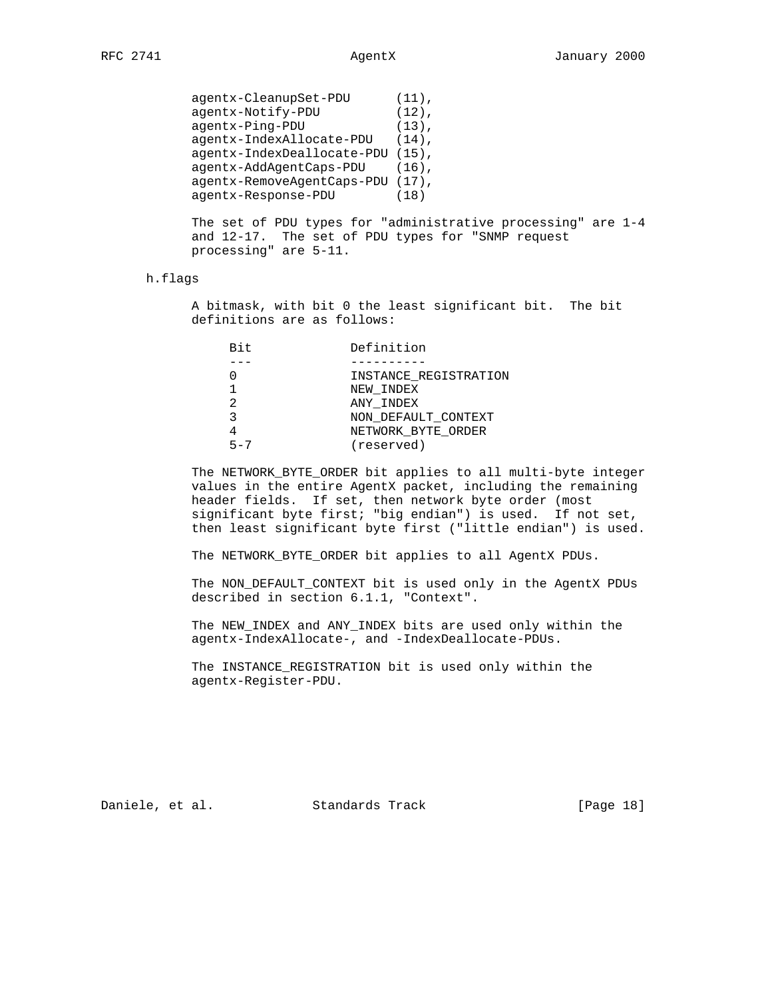| agentx-CleanupSet-PDU            | $(11)$ , |
|----------------------------------|----------|
| agentx-Notify-PDU                | $(12)$ , |
| agentx-Ping-PDU                  | $(13)$ . |
| agentx-IndexAllocate-PDU         | $(14)$ . |
| agentx-IndexDeallocate-PDU       | $(15)$ , |
| agentx-AddAgentCaps-PDU          | $(16)$ . |
| agentx-RemoveAgentCaps-PDU (17), |          |
| agentx-Response-PDU              | (18)     |
|                                  |          |

 The set of PDU types for "administrative processing" are 1-4 and 12-17. The set of PDU types for "SNMP request processing" are 5-11.

## h.flags

 A bitmask, with bit 0 the least significant bit. The bit definitions are as follows:

| Bit     | Definition            |
|---------|-----------------------|
|         |                       |
|         | INSTANCE REGISTRATION |
|         | NEW INDEX             |
|         | ANY INDEX             |
|         | NON DEFAULT CONTEXT   |
|         | NETWORK BYTE ORDER    |
| $5 - 7$ | (reserved)            |

 The NETWORK\_BYTE\_ORDER bit applies to all multi-byte integer values in the entire AgentX packet, including the remaining header fields. If set, then network byte order (most significant byte first; "big endian") is used. If not set, then least significant byte first ("little endian") is used.

The NETWORK\_BYTE\_ORDER bit applies to all AgentX PDUs.

 The NON\_DEFAULT\_CONTEXT bit is used only in the AgentX PDUs described in section 6.1.1, "Context".

 The NEW\_INDEX and ANY\_INDEX bits are used only within the agentx-IndexAllocate-, and -IndexDeallocate-PDUs.

 The INSTANCE\_REGISTRATION bit is used only within the agentx-Register-PDU.

Daniele, et al. Standards Track [Page 18]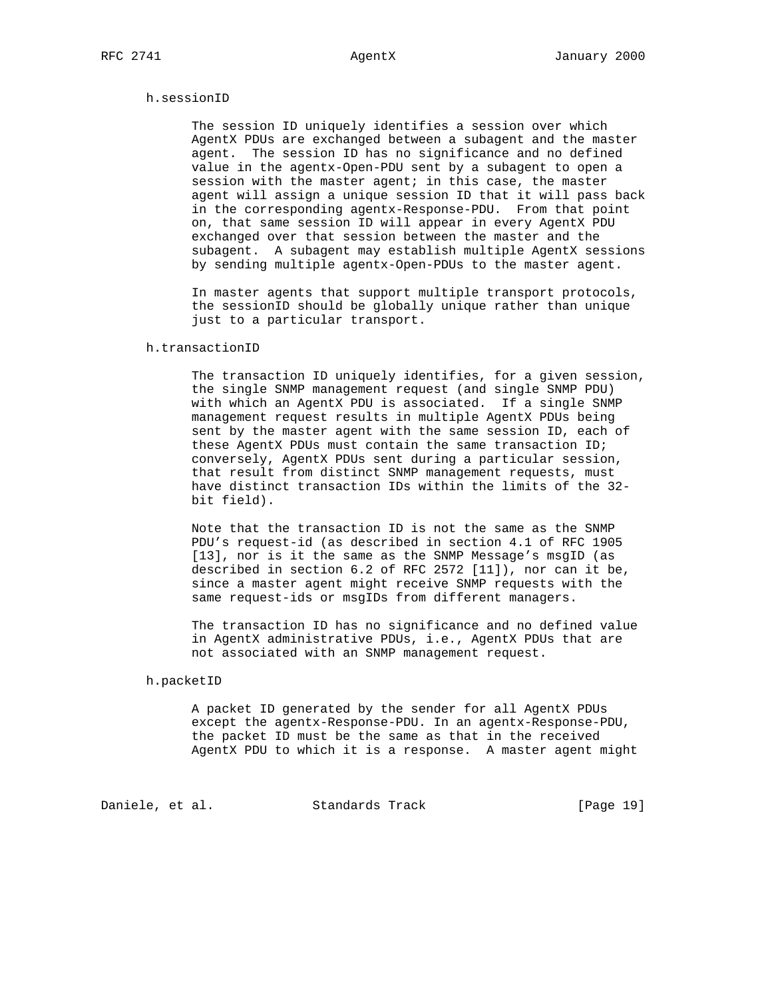# h.sessionID

 The session ID uniquely identifies a session over which AgentX PDUs are exchanged between a subagent and the master agent. The session ID has no significance and no defined value in the agentx-Open-PDU sent by a subagent to open a session with the master agent; in this case, the master agent will assign a unique session ID that it will pass back in the corresponding agentx-Response-PDU. From that point on, that same session ID will appear in every AgentX PDU exchanged over that session between the master and the subagent. A subagent may establish multiple AgentX sessions by sending multiple agentx-Open-PDUs to the master agent.

 In master agents that support multiple transport protocols, the sessionID should be globally unique rather than unique just to a particular transport.

### h.transactionID

 The transaction ID uniquely identifies, for a given session, the single SNMP management request (and single SNMP PDU) with which an AgentX PDU is associated. If a single SNMP management request results in multiple AgentX PDUs being sent by the master agent with the same session ID, each of these AgentX PDUs must contain the same transaction ID; conversely, AgentX PDUs sent during a particular session, that result from distinct SNMP management requests, must have distinct transaction IDs within the limits of the 32 bit field).

 Note that the transaction ID is not the same as the SNMP PDU's request-id (as described in section 4.1 of RFC 1905 [13], nor is it the same as the SNMP Message's msgID (as described in section 6.2 of RFC 2572 [11]), nor can it be, since a master agent might receive SNMP requests with the same request-ids or msgIDs from different managers.

 The transaction ID has no significance and no defined value in AgentX administrative PDUs, i.e., AgentX PDUs that are not associated with an SNMP management request.

### h.packetID

 A packet ID generated by the sender for all AgentX PDUs except the agentx-Response-PDU. In an agentx-Response-PDU, the packet ID must be the same as that in the received AgentX PDU to which it is a response. A master agent might

Daniele, et al. Standards Track [Page 19]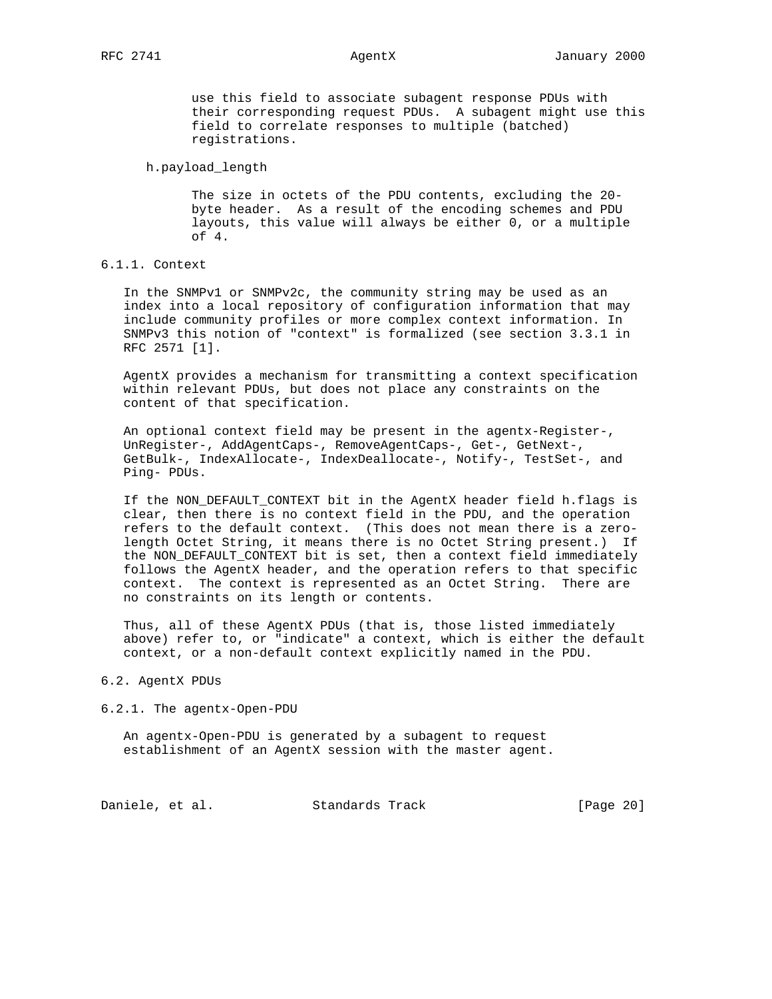use this field to associate subagent response PDUs with their corresponding request PDUs. A subagent might use this field to correlate responses to multiple (batched) registrations.

h.payload\_length

 The size in octets of the PDU contents, excluding the 20 byte header. As a result of the encoding schemes and PDU layouts, this value will always be either 0, or a multiple of 4.

# 6.1.1. Context

 In the SNMPv1 or SNMPv2c, the community string may be used as an index into a local repository of configuration information that may include community profiles or more complex context information. In SNMPv3 this notion of "context" is formalized (see section 3.3.1 in RFC 2571 [1].

 AgentX provides a mechanism for transmitting a context specification within relevant PDUs, but does not place any constraints on the content of that specification.

 An optional context field may be present in the agentx-Register-, UnRegister-, AddAgentCaps-, RemoveAgentCaps-, Get-, GetNext-, GetBulk-, IndexAllocate-, IndexDeallocate-, Notify-, TestSet-, and Ping- PDUs.

 If the NON\_DEFAULT\_CONTEXT bit in the AgentX header field h.flags is clear, then there is no context field in the PDU, and the operation refers to the default context. (This does not mean there is a zero length Octet String, it means there is no Octet String present.) If the NON\_DEFAULT\_CONTEXT bit is set, then a context field immediately follows the AgentX header, and the operation refers to that specific context. The context is represented as an Octet String. There are no constraints on its length or contents.

 Thus, all of these AgentX PDUs (that is, those listed immediately above) refer to, or "indicate" a context, which is either the default context, or a non-default context explicitly named in the PDU.

### 6.2. AgentX PDUs

### 6.2.1. The agentx-Open-PDU

 An agentx-Open-PDU is generated by a subagent to request establishment of an AgentX session with the master agent.

Daniele, et al. Standards Track [Page 20]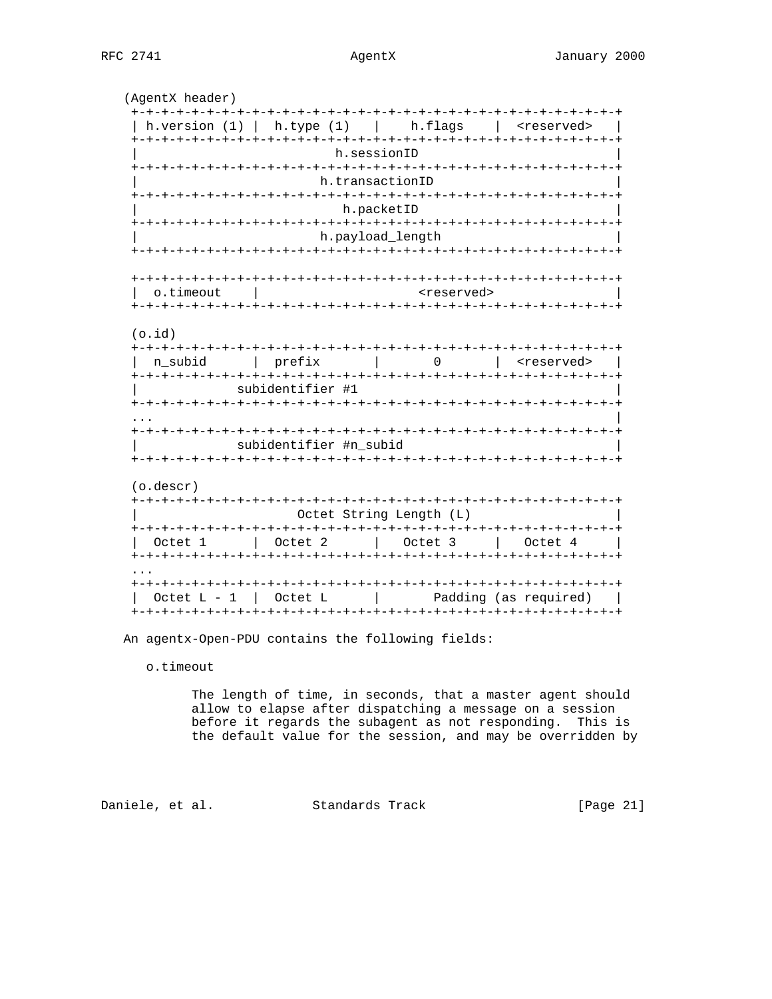(AgentX header) | h.version (1) | h.type (1) | h.flags | <reserved> | h.sessionID h.transactionID h.packetID h.payload\_length  $\mathbb{R}$ o.timeout <reserved>  $(o.id)$ | n\_subid | prefix | 0 | <reserved> | subidentifier #1 subidentifier #n\_subid (o.descr) Octet String Length (L) | Octet 1 | Octet 2 | Octet 3 | Octet 4 | Octet  $L - 1$  | Octet  $L$  | Padding (as required) | 

An agentx-Open-PDU contains the following fields:

o.timeout

The length of time, in seconds, that a master agent should allow to elapse after dispatching a message on a session before it regards the subagent as not responding. This is the default value for the session, and may be overridden by

Daniele, et al. Standards Track  $[Page 21]$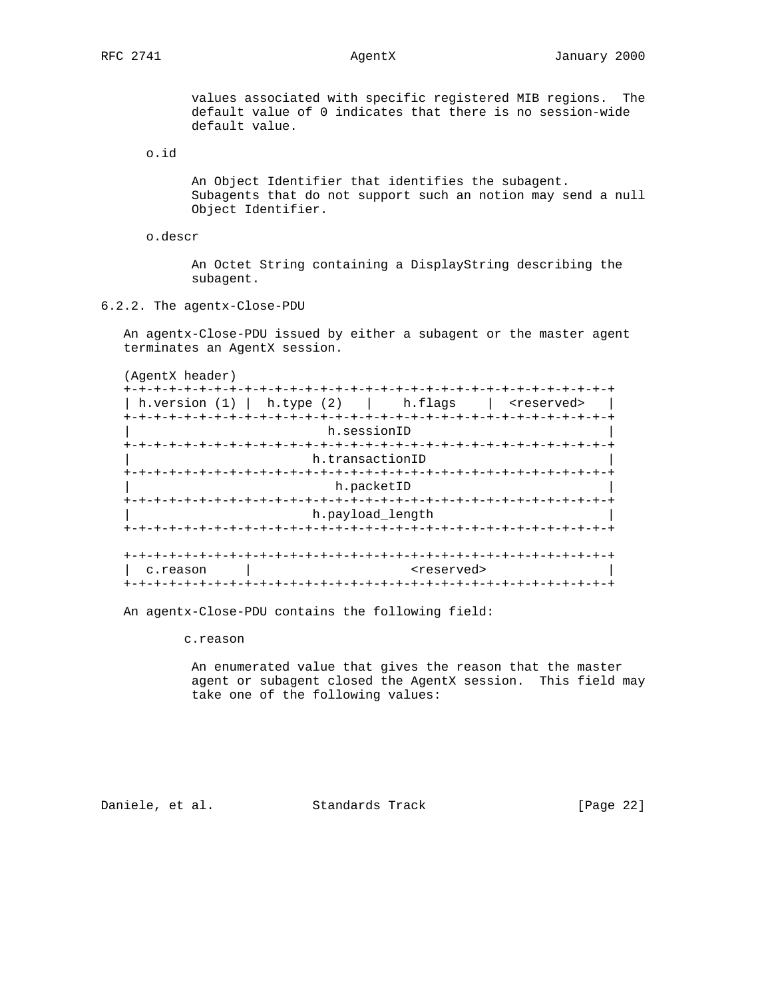values associated with specific registered MIB regions. The default value of 0 indicates that there is no session-wide default value.

o.id

 An Object Identifier that identifies the subagent. Subagents that do not support such an notion may send a null Object Identifier.

o.descr

 An Octet String containing a DisplayString describing the subagent.

6.2.2. The agentx-Close-PDU

 An agentx-Close-PDU issued by either a subagent or the master agent terminates an AgentX session.

(AgentX header)

| h.type (2) h.flags<br>h.version (1) |                                                                | <reserved></reserved> |
|-------------------------------------|----------------------------------------------------------------|-----------------------|
| h.sessionID                         |                                                                |                       |
| h.transactionID                     |                                                                |                       |
| h.packetID                          |                                                                |                       |
| h.payload length                    |                                                                |                       |
|                                     |                                                                |                       |
| c.reason                            | <reserved><br/>-+-+-+-+-+-+-+-+-+-+-+-+-+-+-+-+-+-+</reserved> |                       |

An agentx-Close-PDU contains the following field:

c.reason

 An enumerated value that gives the reason that the master agent or subagent closed the AgentX session. This field may take one of the following values:

Daniele, et al. Standards Track [Page 22]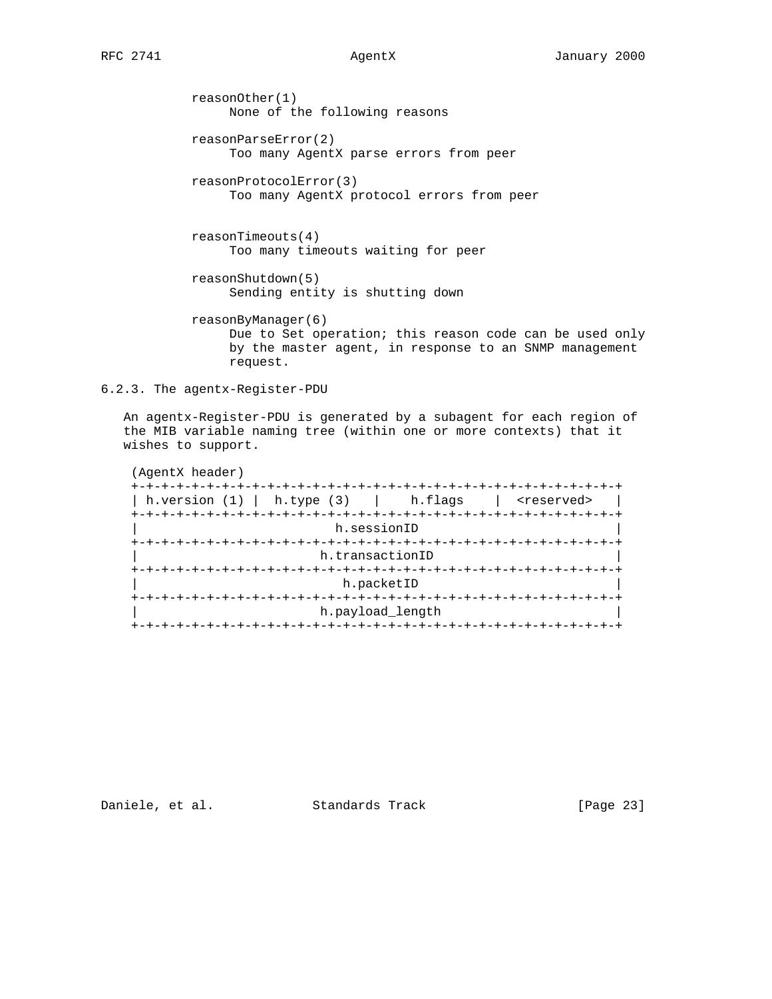reasonOther(1) None of the following reasons reasonParseError(2) Too many AgentX parse errors from peer reasonProtocolError(3) Too many AgentX protocol errors from peer reasonTimeouts(4) Too many timeouts waiting for peer

 reasonShutdown(5) Sending entity is shutting down

 reasonByManager(6) Due to Set operation; this reason code can be used only by the master agent, in response to an SNMP management request.

6.2.3. The agentx-Register-PDU

 An agentx-Register-PDU is generated by a subagent for each region of the MIB variable naming tree (within one or more contexts) that it wishes to support.

| (AgentX header)                          |                            |                       |
|------------------------------------------|----------------------------|-----------------------|
|                                          |                            |                       |
| h.version $(1)$   h.type $(3)$   h.flags |                            | <reserved></reserved> |
|                                          |                            |                       |
|                                          | h.sessionID                |                       |
|                                          |                            |                       |
|                                          | h.transactionID            |                       |
|                                          | +-+-+-+-+-+-+-+-+-+-+-+-+- |                       |
|                                          | h.packetID                 |                       |
|                                          |                            |                       |
|                                          | h.payload length           |                       |
|                                          |                            |                       |

Daniele, et al. Standards Track [Page 23]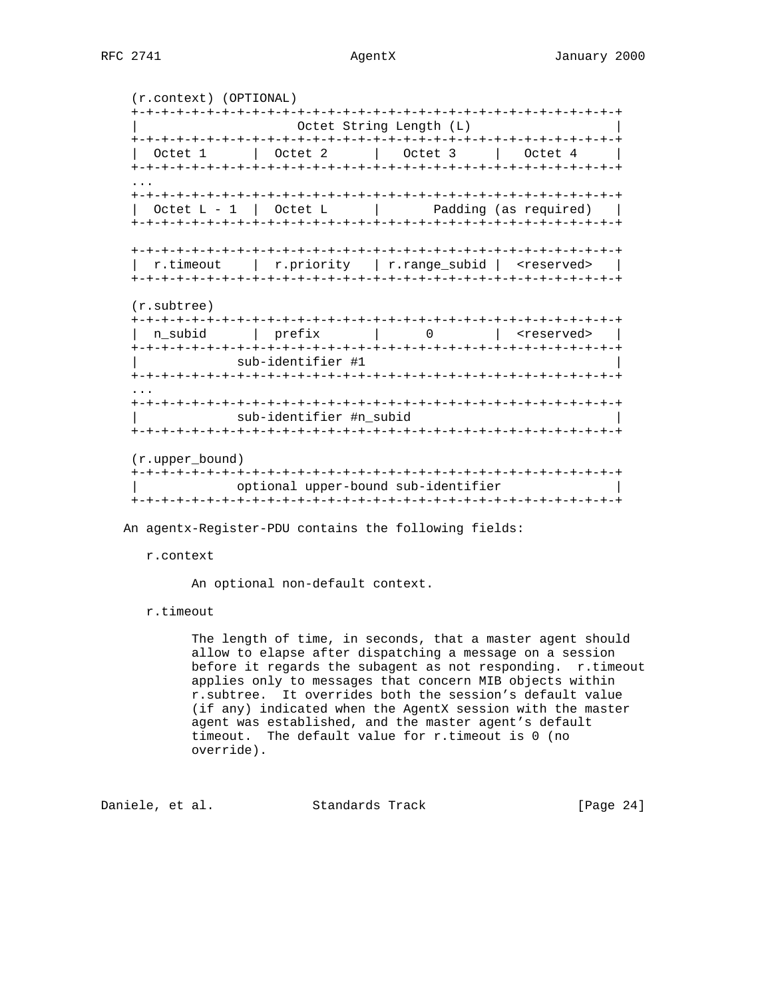(r.context) (OPTIONAL) +-+-+-+-+-+-+-+-+-+-+-+-+-+-+-+-+-+-+-+-+-+-+-+-+-+-+-+-+-+-+-+-+ Octet String Length (L) +-+-+-+-+-+-+-+-+-+-+-+-+-+-+-+-+-+-+-+-+-+-+-+-+-+-+-+-+-+-+-+-+ | Octet 1 | Octet 2 | Octet 3 | Octet 4 | +-+-+-+-+-+-+-+-+-+-+-+-+-+-+-+-+-+-+-+-+-+-+-+-+-+-+-+-+-+-+-+-+ ... +-+-+-+-+-+-+-+-+-+-+-+-+-+-+-+-+-+-+-+-+-+-+-+-+-+-+-+-+-+-+-+-+  $\text{Octet L - 1}$   $\text{Octet L}$  | Padding (as required) | +-+-+-+-+-+-+-+-+-+-+-+-+-+-+-+-+-+-+-+-+-+-+-+-+-+-+-+-+-+-+-+-+ +-+-+-+-+-+-+-+-+-+-+-+-+-+-+-+-+-+-+-+-+-+-+-+-+-+-+-+-+-+-+-+-+ | r.timeout | r.priority | r.range\_subid | <reserved> | +-+-+-+-+-+-+-+-+-+-+-+-+-+-+-+-+-+-+-+-+-+-+-+-+-+-+-+-+-+-+-+-+ (r.subtree) +-+-+-+-+-+-+-+-+-+-+-+-+-+-+-+-+-+-+-+-+-+-+-+-+-+-+-+-+-+-+-+-+ | n\_subid | prefix | 0 | <reserved> | +-+-+-+-+-+-+-+-+-+-+-+-+-+-+-+-+-+-+-+-+-+-+-+-+-+-+-+-+-+-+-+-+ sub-identifier #1 +-+-+-+-+-+-+-+-+-+-+-+-+-+-+-+-+-+-+-+-+-+-+-+-+-+-+-+-+-+-+-+-+ ... +-+-+-+-+-+-+-+-+-+-+-+-+-+-+-+-+-+-+-+-+-+-+-+-+-+-+-+-+-+-+-+-+ sub-identifier #n\_subid +-+-+-+-+-+-+-+-+-+-+-+-+-+-+-+-+-+-+-+-+-+-+-+-+-+-+-+-+-+-+-+-+ (r.upper\_bound) +-+-+-+-+-+-+-+-+-+-+-+-+-+-+-+-+-+-+-+-+-+-+-+-+-+-+-+-+-+-+-+-+ | optional upper-bound sub-identifier | +-+-+-+-+-+-+-+-+-+-+-+-+-+-+-+-+-+-+-+-+-+-+-+-+-+-+-+-+-+-+-+-+

An agentx-Register-PDU contains the following fields:

r.context

An optional non-default context.

r.timeout

 The length of time, in seconds, that a master agent should allow to elapse after dispatching a message on a session before it regards the subagent as not responding. r.timeout applies only to messages that concern MIB objects within r.subtree. It overrides both the session's default value (if any) indicated when the AgentX session with the master agent was established, and the master agent's default timeout. The default value for r.timeout is 0 (no override).

Daniele, et al. Standards Track [Page 24]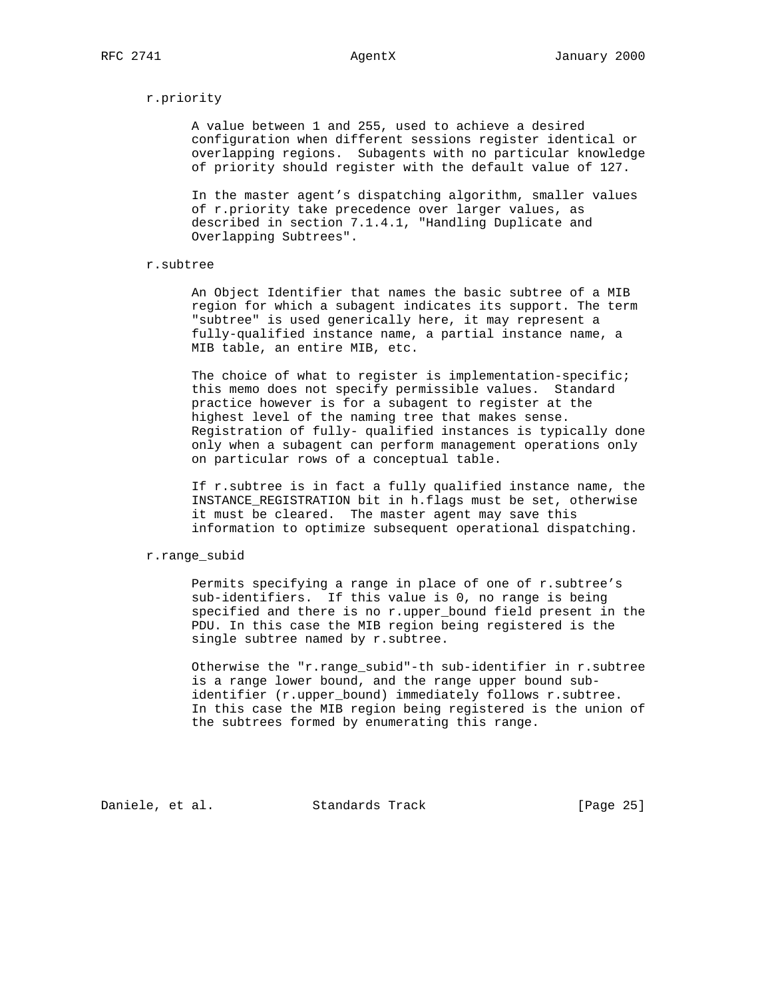## r.priority

 A value between 1 and 255, used to achieve a desired configuration when different sessions register identical or overlapping regions. Subagents with no particular knowledge of priority should register with the default value of 127.

 In the master agent's dispatching algorithm, smaller values of r.priority take precedence over larger values, as described in section 7.1.4.1, "Handling Duplicate and Overlapping Subtrees".

## r.subtree

 An Object Identifier that names the basic subtree of a MIB region for which a subagent indicates its support. The term "subtree" is used generically here, it may represent a fully-qualified instance name, a partial instance name, a MIB table, an entire MIB, etc.

The choice of what to register is implementation-specific; this memo does not specify permissible values. Standard practice however is for a subagent to register at the highest level of the naming tree that makes sense. Registration of fully- qualified instances is typically done only when a subagent can perform management operations only on particular rows of a conceptual table.

 If r.subtree is in fact a fully qualified instance name, the INSTANCE\_REGISTRATION bit in h.flags must be set, otherwise it must be cleared. The master agent may save this information to optimize subsequent operational dispatching.

# r.range\_subid

 Permits specifying a range in place of one of r.subtree's sub-identifiers. If this value is 0, no range is being specified and there is no r.upper\_bound field present in the PDU. In this case the MIB region being registered is the single subtree named by r.subtree.

 Otherwise the "r.range\_subid"-th sub-identifier in r.subtree is a range lower bound, and the range upper bound sub identifier (r.upper\_bound) immediately follows r.subtree. In this case the MIB region being registered is the union of the subtrees formed by enumerating this range.

Daniele, et al. Standards Track [Page 25]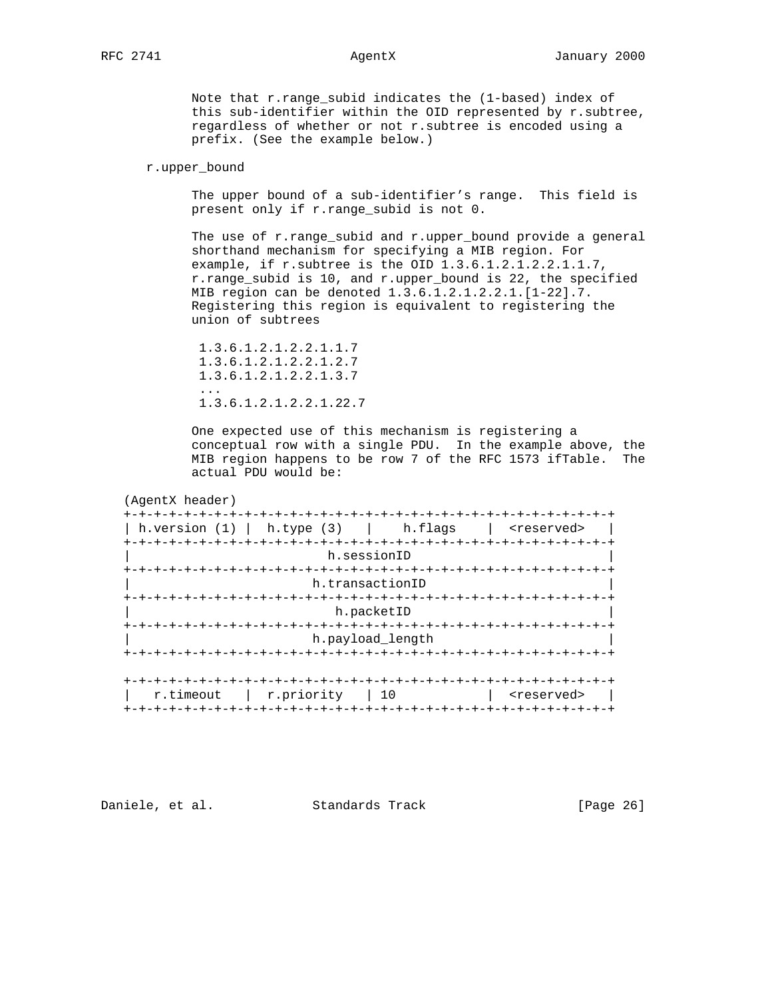Note that r.range\_subid indicates the (1-based) index of this sub-identifier within the OID represented by r.subtree, regardless of whether or not r.subtree is encoded using a prefix. (See the example below.)

# r.upper\_bound

 The upper bound of a sub-identifier's range. This field is present only if r.range\_subid is not 0.

 The use of r.range\_subid and r.upper\_bound provide a general shorthand mechanism for specifying a MIB region. For example, if r.subtree is the OID 1.3.6.1.2.1.2.2.1.1.7, r.range\_subid is 10, and r.upper\_bound is 22, the specified MIB region can be denoted 1.3.6.1.2.1.2.2.1.[1-22].7. Registering this region is equivalent to registering the union of subtrees

 1.3.6.1.2.1.2.2.1.1.7 1.3.6.1.2.1.2.2.1.2.7 1.3.6.1.2.1.2.2.1.3.7 ... 1.3.6.1.2.1.2.2.1.22.7

> One expected use of this mechanism is registering a conceptual row with a single PDU. In the example above, the MIB region happens to be row 7 of the RFC 1573 ifTable. The actual PDU would be:

## (AgentX header)

| h.version $(1)$   h.type $(3)$   h.flags   <reserved></reserved> |                  |                                   |                       |
|------------------------------------------------------------------|------------------|-----------------------------------|-----------------------|
|                                                                  |                  |                                   |                       |
|                                                                  | h.sessionID      |                                   |                       |
|                                                                  |                  |                                   |                       |
|                                                                  | h.transactionID  |                                   |                       |
|                                                                  |                  |                                   |                       |
|                                                                  | h.packetID       |                                   |                       |
| -+-+-+-+-+-+-+                                                   |                  |                                   |                       |
|                                                                  | h.payload length |                                   |                       |
|                                                                  |                  |                                   |                       |
|                                                                  |                  |                                   |                       |
|                                                                  |                  |                                   |                       |
| r.priority   10<br>r.timeout                                     |                  |                                   | <reserved></reserved> |
| +-+-+-+-+-+-+-+                                                  |                  | +-+-+-+-+-+-+-+-+-+-+-+-+-+-+-+-+ |                       |

Daniele, et al. Standards Track [Page 26]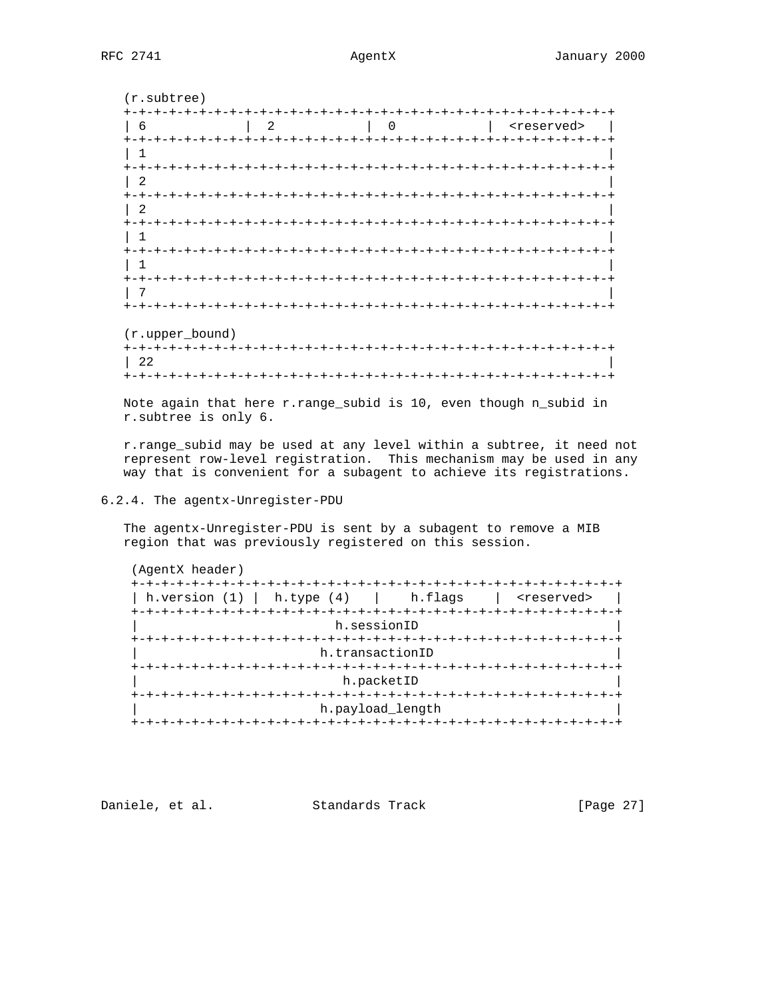(r.subtree) +-+-+-+-+-+-+-+-+-+-+-+-+-+-+-+-+-+-+-+-+-+-+-+-+-+-+-+-+-+-+-+-+ | 6 | 2 | 0 | <reserved> | +-+-+-+-+-+-+-+-+-+-+-+-+-+-+-+-+-+-+-+-+-+-+-+-+-+-+-+-+-+-+-+-+ | 1 | +-+-+-+-+-+-+-+-+-+-+-+-+-+-+-+-+-+-+-+-+-+-+-+-+-+-+-+-+-+-+-+-+ | 2 | +-+-+-+-+-+-+-+-+-+-+-+-+-+-+-+-+-+-+-+-+-+-+-+-+-+-+-+-+-+-+-+-+ | 2 | +-+-+-+-+-+-+-+-+-+-+-+-+-+-+-+-+-+-+-+-+-+-+-+-+-+-+-+-+-+-+-+-+ | 1 | +-+-+-+-+-+-+-+-+-+-+-+-+-+-+-+-+-+-+-+-+-+-+-+-+-+-+-+-+-+-+-+-+ | 1 | +-+-+-+-+-+-+-+-+-+-+-+-+-+-+-+-+-+-+-+-+-+-+-+-+-+-+-+-+-+-+-+-+ | 7 | +-+-+-+-+-+-+-+-+-+-+-+-+-+-+-+-+-+-+-+-+-+-+-+-+-+-+-+-+-+-+-+-+ (r.upper\_bound) +-+-+-+-+-+-+-+-+-+-+-+-+-+-+-+-+-+-+-+-+-+-+-+-+-+-+-+-+-+-+-+-+ | 22 |

 Note again that here r.range\_subid is 10, even though n\_subid in r.subtree is only 6.

+-+-+-+-+-+-+-+-+-+-+-+-+-+-+-+-+-+-+-+-+-+-+-+-+-+-+-+-+-+-+-+-+

 r.range\_subid may be used at any level within a subtree, it need not represent row-level registration. This mechanism may be used in any way that is convenient for a subagent to achieve its registrations.

# 6.2.4. The agentx-Unregister-PDU

 The agentx-Unregister-PDU is sent by a subagent to remove a MIB region that was previously registered on this session.

| h.sessionID<br>h.transactionID<br>h.packetID<br>+-+-+-+-+-+ | h.version $(1)$ h.type $(4)$ h.flags |                  | <reserved></reserved> |
|-------------------------------------------------------------|--------------------------------------|------------------|-----------------------|
|                                                             |                                      |                  |                       |
|                                                             |                                      |                  |                       |
|                                                             |                                      |                  |                       |
|                                                             |                                      |                  |                       |
|                                                             |                                      |                  |                       |
|                                                             |                                      |                  |                       |
|                                                             |                                      |                  |                       |
|                                                             |                                      | h.payload_length |                       |

Daniele, et al. Standards Track [Page 27]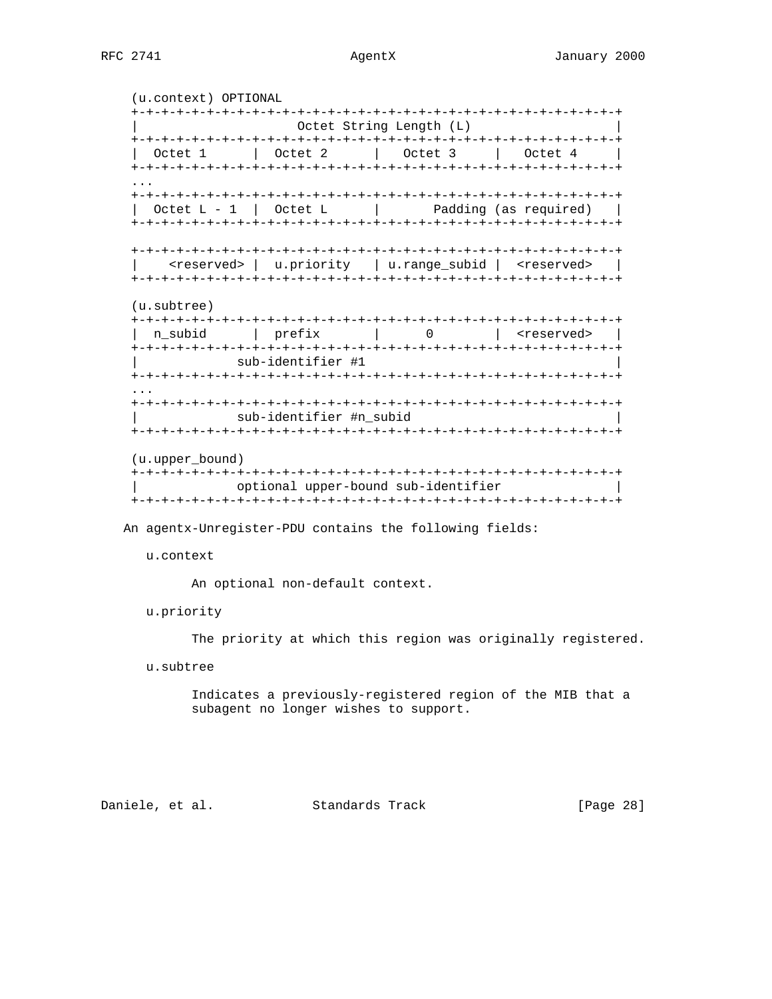(u.context) OPTIONAL +-+-+-+-+-+-+-+-+-+-+-+-+-+-+-+-+-+-+-+-+-+-+-+-+-+-+-+-+-+-+-+-+ Octet String Length (L) +-+-+-+-+-+-+-+-+-+-+-+-+-+-+-+-+-+-+-+-+-+-+-+-+-+-+-+-+-+-+-+-+ | Octet 1 | Octet 2 | Octet 3 | Octet 4 | +-+-+-+-+-+-+-+-+-+-+-+-+-+-+-+-+-+-+-+-+-+-+-+-+-+-+-+-+-+-+-+-+ ... +-+-+-+-+-+-+-+-+-+-+-+-+-+-+-+-+-+-+-+-+-+-+-+-+-+-+-+-+-+-+-+-+  $\text{Octet L - 1}$   $\text{Octet L}$  | Padding (as required) | +-+-+-+-+-+-+-+-+-+-+-+-+-+-+-+-+-+-+-+-+-+-+-+-+-+-+-+-+-+-+-+-+ +-+-+-+-+-+-+-+-+-+-+-+-+-+-+-+-+-+-+-+-+-+-+-+-+-+-+-+-+-+-+-+-+ | <reserved> | u.priority | u.range\_subid | <reserved> | +-+-+-+-+-+-+-+-+-+-+-+-+-+-+-+-+-+-+-+-+-+-+-+-+-+-+-+-+-+-+-+-+ (u.subtree) +-+-+-+-+-+-+-+-+-+-+-+-+-+-+-+-+-+-+-+-+-+-+-+-+-+-+-+-+-+-+-+-+ | n\_subid | prefix | 0 | <reserved> | +-+-+-+-+-+-+-+-+-+-+-+-+-+-+-+-+-+-+-+-+-+-+-+-+-+-+-+-+-+-+-+-+ sub-identifier #1 +-+-+-+-+-+-+-+-+-+-+-+-+-+-+-+-+-+-+-+-+-+-+-+-+-+-+-+-+-+-+-+-+ ... +-+-+-+-+-+-+-+-+-+-+-+-+-+-+-+-+-+-+-+-+-+-+-+-+-+-+-+-+-+-+-+-+ sub-identifier #n\_subid +-+-+-+-+-+-+-+-+-+-+-+-+-+-+-+-+-+-+-+-+-+-+-+-+-+-+-+-+-+-+-+-+ (u.upper\_bound) +-+-+-+-+-+-+-+-+-+-+-+-+-+-+-+-+-+-+-+-+-+-+-+-+-+-+-+-+-+-+-+-+ | optional upper-bound sub-identifier | +-+-+-+-+-+-+-+-+-+-+-+-+-+-+-+-+-+-+-+-+-+-+-+-+-+-+-+-+-+-+-+-+

An agentx-Unregister-PDU contains the following fields:

u.context

An optional non-default context.

u.priority

The priority at which this region was originally registered.

u.subtree

 Indicates a previously-registered region of the MIB that a subagent no longer wishes to support.

Daniele, et al. Standards Track [Page 28]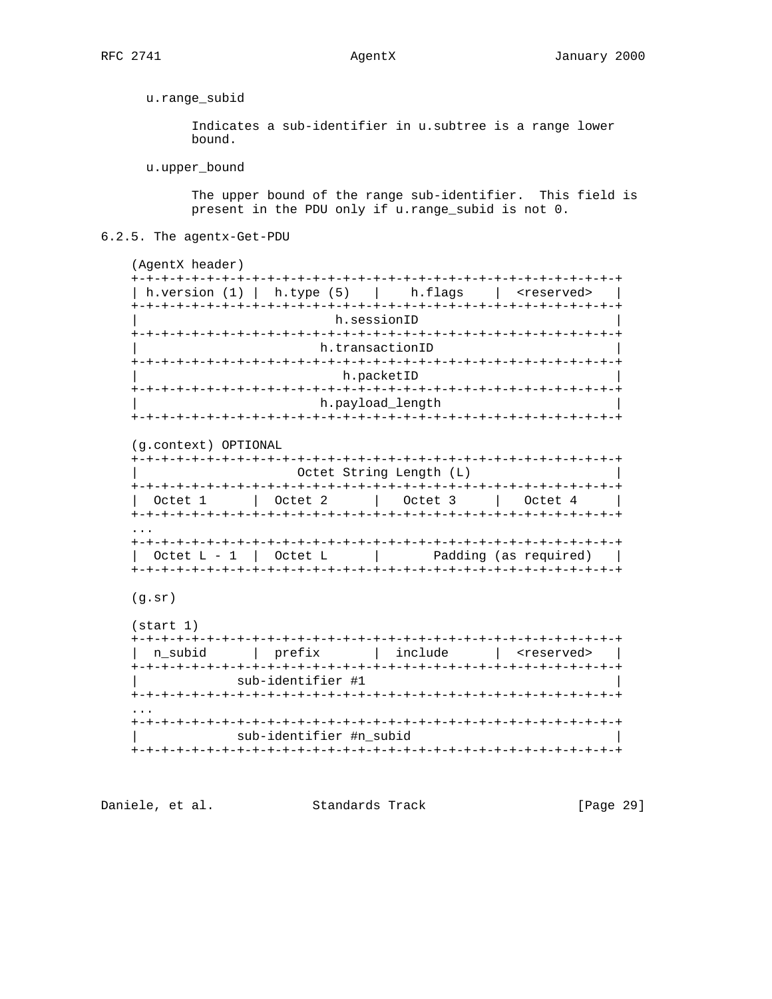u.range\_subid

Indicates a sub-identifier in u.subtree is a range lower bound.

u.upper\_bound

The upper bound of the range sub-identifier. This field is present in the PDU only if u.range\_subid is not 0.

6.2.5. The agentx-Get-PDU

(AgentX header) | h.version (1) | h.type (5) | h.flags | <reserved> | h.sessionID h.transactionID h.packetID h.payload\_length (g.context) OPTIONAL Octet String Length (L)  $\sim$  1 Octet  $L - 1$  | Octet  $L$  | Padding (as required) |  $(g.sr)$  $(stat 1)$ | n\_subid | prefix | include | <reserved> |

sub-identifier #1  $\mathbf{1}$ sub-identifier #n\_subid 

Daniele, et al. Standards Track [Page 29]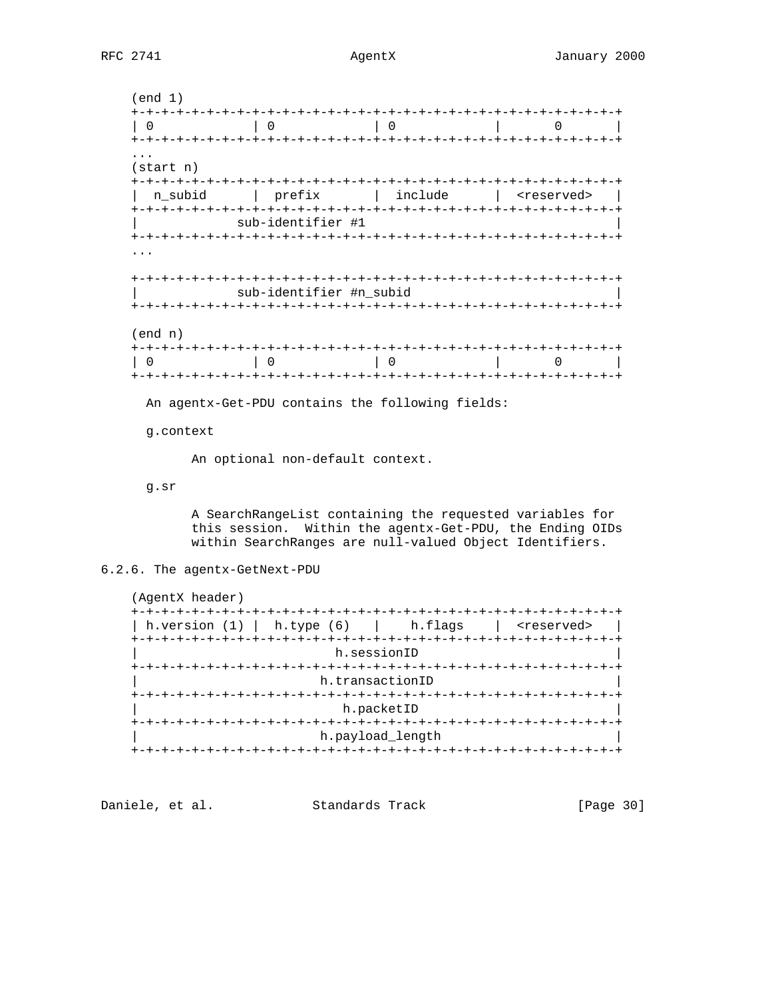(end 1) +-+-+-+-+-+-+-+-+-+-+-+-+-+-+-+-+-+-+-+-+-+-+-+-+-+-+-+-+-+-+-+-+ | 0 | 0 | 0 | 0 | +-+-+-+-+-+-+-+-+-+-+-+-+-+-+-+-+-+-+-+-+-+-+-+-+-+-+-+-+-+-+-+-+ ... (start n) +-+-+-+-+-+-+-+-+-+-+-+-+-+-+-+-+-+-+-+-+-+-+-+-+-+-+-+-+-+-+-+-+ | n\_subid | prefix | include | <reserved> | +-+-+-+-+-+-+-+-+-+-+-+-+-+-+-+-+-+-+-+-+-+-+-+-+-+-+-+-+-+-+-+-+ sub-identifier #1 +-+-+-+-+-+-+-+-+-+-+-+-+-+-+-+-+-+-+-+-+-+-+-+-+-+-+-+-+-+-+-+-+ ... +-+-+-+-+-+-+-+-+-+-+-+-+-+-+-+-+-+-+-+-+-+-+-+-+-+-+-+-+-+-+-+-+ sub-identifier #n\_subid +-+-+-+-+-+-+-+-+-+-+-+-+-+-+-+-+-+-+-+-+-+-+-+-+-+-+-+-+-+-+-+-+ (end n) +-+-+-+-+-+-+-+-+-+-+-+-+-+-+-+-+-+-+-+-+-+-+-+-+-+-+-+-+-+-+-+-+ | 0 | 0 | 0 | 0 | +-+-+-+-+-+-+-+-+-+-+-+-+-+-+-+-+-+-+-+-+-+-+-+-+-+-+-+-+-+-+-+-+

An agentx-Get-PDU contains the following fields:

g.context

An optional non-default context.

g.sr

 A SearchRangeList containing the requested variables for this session. Within the agentx-Get-PDU, the Ending OIDs within SearchRanges are null-valued Object Identifiers.

# 6.2.6. The agentx-GetNext-PDU

 (AgentX header) +-+-+-+-+-+-+-+-+-+-+-+-+-+-+-+-+-+-+-+-+-+-+-+-+-+-+-+-+-+-+-+-+ | h.version (1) | h.type (6) | h.flags | <reserved> | +-+-+-+-+-+-+-+-+-+-+-+-+-+-+-+-+-+-+-+-+-+-+-+-+-+-+-+-+-+-+-+-+ h.sessionID +-+-+-+-+-+-+-+-+-+-+-+-+-+-+-+-+-+-+-+-+-+-+-+-+-+-+-+-+-+-+-+-+ h.transactionID +-+-+-+-+-+-+-+-+-+-+-+-+-+-+-+-+-+-+-+-+-+-+-+-+-+-+-+-+-+-+-+-+ h.packetID +-+-+-+-+-+-+-+-+-+-+-+-+-+-+-+-+-+-+-+-+-+-+-+-+-+-+-+-+-+-+-+-+ h.payload\_length +-+-+-+-+-+-+-+-+-+-+-+-+-+-+-+-+-+-+-+-+-+-+-+-+-+-+-+-+-+-+-+-+

Daniele, et al. Standards Track [Page 30]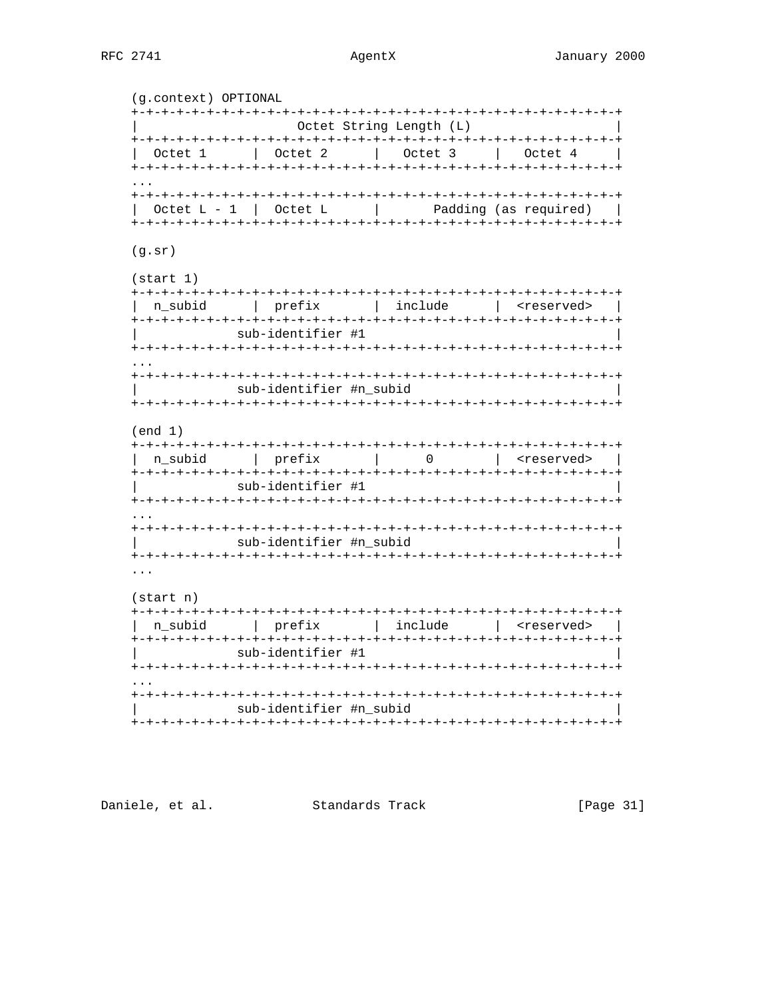(g.context) OPTIONAL Octet String Length (L) | Octet 1 | Octet 2 | Octet 3 | Octet 4 | Octet  $L - 1$  | Octet  $L$  $\mathbb{R}^n$ Padding (as required) |  $(g.sr)$  $(\text{start} 1)$ | n\_subid | prefix | include | <reserved> | sub-identifier #1 sub-identifier #n subid  $(end 1)$ n\_subid | prefix | 0 | <reserved> | sub-identifier #1 sub-identifier #n\_subid  $(\text{start} \space n)$ | n\_subid | prefix | include | <reserved> | sub-identifier #1 sub-identifier #n\_subid 

Daniele, et al. Standards Track

[Page 31]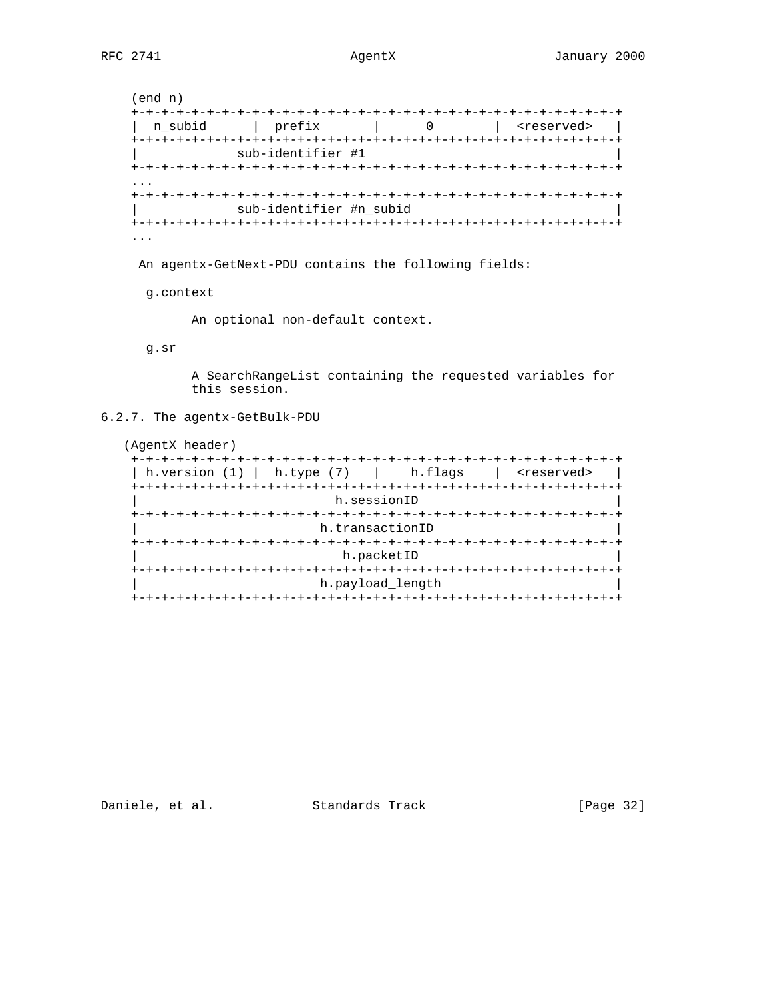(end n) +-+-+-+-+-+-+-+-+-+-+-+-+-+-+-+-+-+-+-+-+-+-+-+-+-+-+-+-+-+-+-+-+ | n\_subid | prefix | 0 | <reserved> | +-+-+-+-+-+-+-+-+-+-+-+-+-+-+-+-+-+-+-+-+-+-+-+-+-+-+-+-+-+-+-+-+ | sub-identifier #1 | +-+-+-+-+-+-+-+-+-+-+-+-+-+-+-+-+-+-+-+-+-+-+-+-+-+-+-+-+-+-+-+-+ ... +-+-+-+-+-+-+-+-+-+-+-+-+-+-+-+-+-+-+-+-+-+-+-+-+-+-+-+-+-+-+-+-+ sub-identifier #n\_subid +-+-+-+-+-+-+-+-+-+-+-+-+-+-+-+-+-+-+-+-+-+-+-+-+-+-+-+-+-+-+-+-+ ...

An agentx-GetNext-PDU contains the following fields:

g.context

An optional non-default context.

g.sr

 A SearchRangeList containing the requested variables for this session.

6.2.7. The agentx-GetBulk-PDU

 (AgentX header) +-+-+-+-+-+-+-+-+-+-+-+-+-+-+-+-+-+-+-+-+-+-+-+-+-+-+-+-+-+-+-+-+ | h.version (1) | h.type (7) | h.flags | <reserved> | +-+-+-+-+-+-+-+-+-+-+-+-+-+-+-+-+-+-+-+-+-+-+-+-+-+-+-+-+-+-+-+-+ h.sessionID +-+-+-+-+-+-+-+-+-+-+-+-+-+-+-+-+-+-+-+-+-+-+-+-+-+-+-+-+-+-+-+-+ h.transactionID +-+-+-+-+-+-+-+-+-+-+-+-+-+-+-+-+-+-+-+-+-+-+-+-+-+-+-+-+-+-+-+-+ h.packetID +-+-+-+-+-+-+-+-+-+-+-+-+-+-+-+-+-+-+-+-+-+-+-+-+-+-+-+-+-+-+-+-+ h.payload\_length +-+-+-+-+-+-+-+-+-+-+-+-+-+-+-+-+-+-+-+-+-+-+-+-+-+-+-+-+-+-+-+-+

Daniele, et al. Standards Track [Page 32]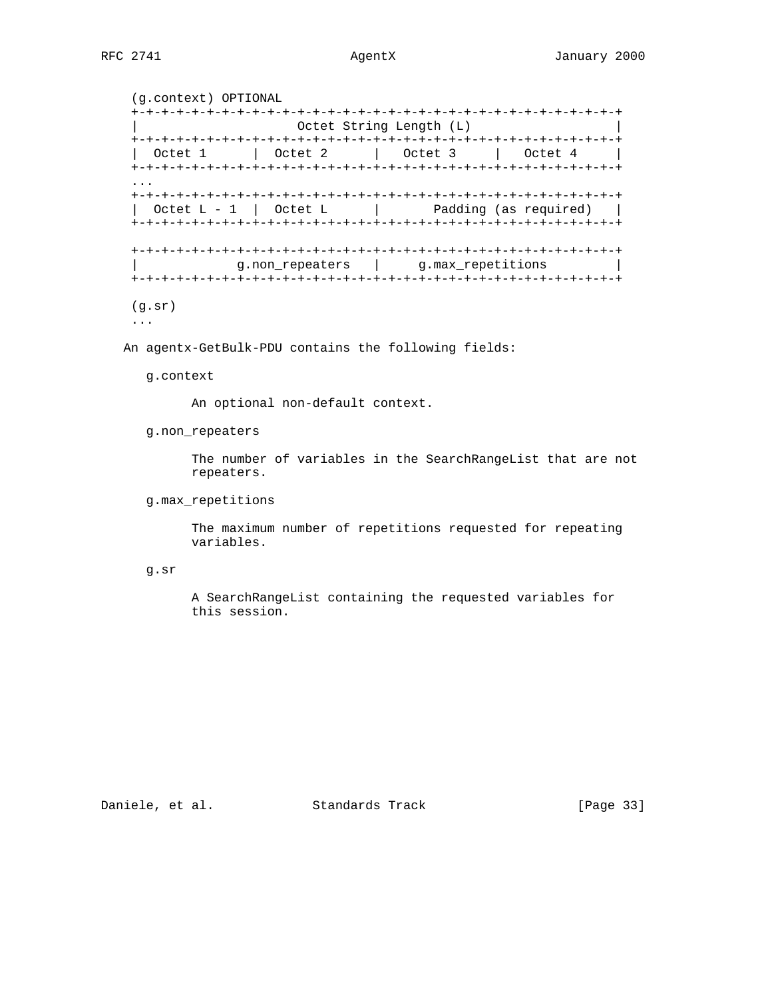```
 (g.context) OPTIONAL
   +-+-+-+-+-+-+-+-+-+-+-+-+-+-+-+-+-+-+-+-+-+-+-+-+-+-+-+-+-+-+-+-+
                       Octet String Length (L)
   +-+-+-+-+-+-+-+-+-+-+-+-+-+-+-+-+-+-+-+-+-+-+-+-+-+-+-+-+-+-+-+-+
     | Octet 1 | Octet 2 | Octet 3 | Octet 4 |
   +-+-+-+-+-+-+-+-+-+-+-+-+-+-+-+-+-+-+-+-+-+-+-+-+-+-+-+-+-+-+-+-+
...
   +-+-+-+-+-+-+-+-+-+-+-+-+-+-+-+-+-+-+-+-+-+-+-+-+-+-+-+-+-+-+-+-+
    \text{Octet L - 1} \text{Octet L} | Padding (as required) |
   +-+-+-+-+-+-+-+-+-+-+-+-+-+-+-+-+-+-+-+-+-+-+-+-+-+-+-+-+-+-+-+-+
   +-+-+-+-+-+-+-+-+-+-+-+-+-+-+-+-+-+-+-+-+-+-+-+-+-+-+-+-+-+-+-+-+
               g.non_repeaters | g.max_repetitions
   +-+-+-+-+-+-+-+-+-+-+-+-+-+-+-+-+-+-+-+-+-+-+-+-+-+-+-+-+-+-+-+-+
   (g.sr)
   ...
```
An agentx-GetBulk-PDU contains the following fields:

g.context

An optional non-default context.

g.non\_repeaters

 The number of variables in the SearchRangeList that are not repeaters.

g.max\_repetitions

 The maximum number of repetitions requested for repeating variables.

g.sr

 A SearchRangeList containing the requested variables for this session.

Daniele, et al. Standards Track [Page 33]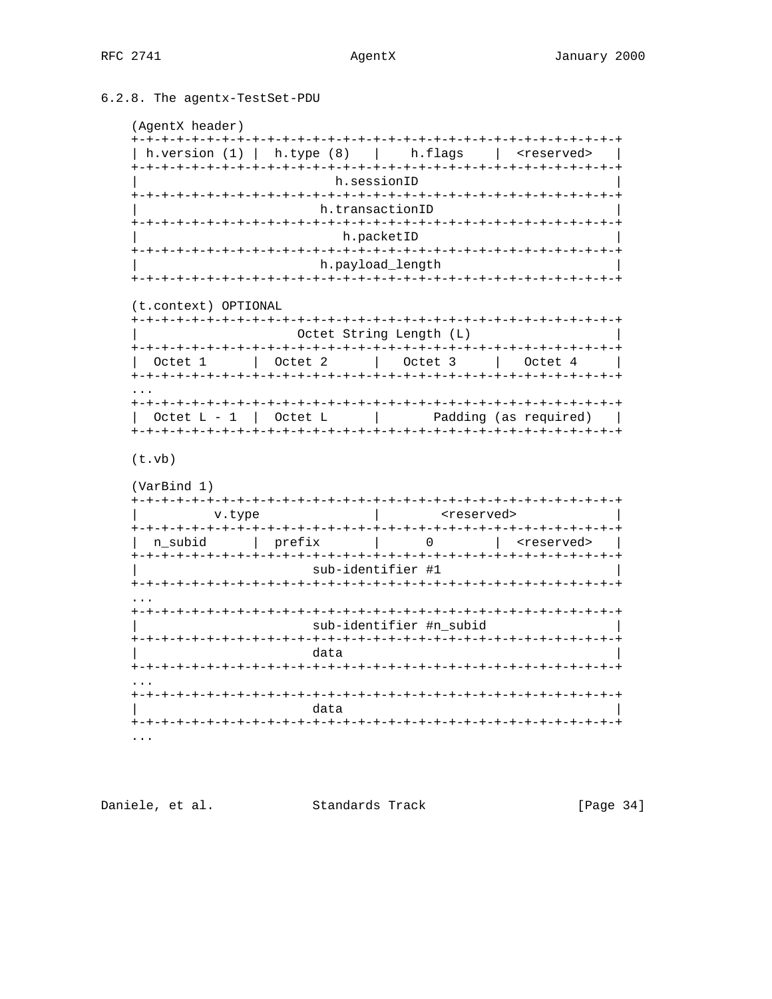# 6.2.8. The agentx-TestSet-PDU

```
(AgentX header)
```

|                      | h.version $(1)$   h.type $(8)$   h.flags |                                                       | s reserved>           |
|----------------------|------------------------------------------|-------------------------------------------------------|-----------------------|
|                      | h.sessionID                              |                                                       |                       |
|                      |                                          |                                                       |                       |
|                      | h.transactionID                          |                                                       |                       |
|                      |                                          | h.packetID                                            |                       |
|                      |                                          | h.payload length                                      |                       |
|                      |                                          |                                                       |                       |
| (t.context) OPTIONAL |                                          |                                                       |                       |
|                      |                                          | Octet String Length (L)                               |                       |
|                      |                                          |                                                       |                       |
| Octet 1              |                                          | Octet 2   Octet 3                                     | Octet 4               |
|                      |                                          |                                                       |                       |
|                      |                                          |                                                       |                       |
|                      | Octet $L - 1$   Octet $L$                |                                                       | Padding (as required) |
|                      |                                          |                                                       |                       |
|                      |                                          |                                                       |                       |
| (t.vb)               |                                          |                                                       |                       |
| (VarBind 1)          |                                          |                                                       |                       |
|                      |                                          |                                                       |                       |
| v.type               |                                          | <reserved></reserved>                                 |                       |
| n subid l            | prefix                                   | $\mathcal{L} = \{1, \ldots, n\}$<br>$0 \qquad \qquad$ | <reserved></reserved> |
|                      |                                          |                                                       |                       |
|                      | sub-identifier #1                        |                                                       |                       |
|                      |                                          |                                                       |                       |
|                      |                                          | sub-identifier #n subid                               |                       |
|                      |                                          |                                                       |                       |
|                      | data                                     |                                                       |                       |
|                      |                                          |                                                       |                       |
|                      | data                                     |                                                       |                       |
|                      | -+-+-+-+-+-+-+-+-+-+-+-+-+-              |                                                       |                       |

Daniele, et al. Standards Track

[Page 34]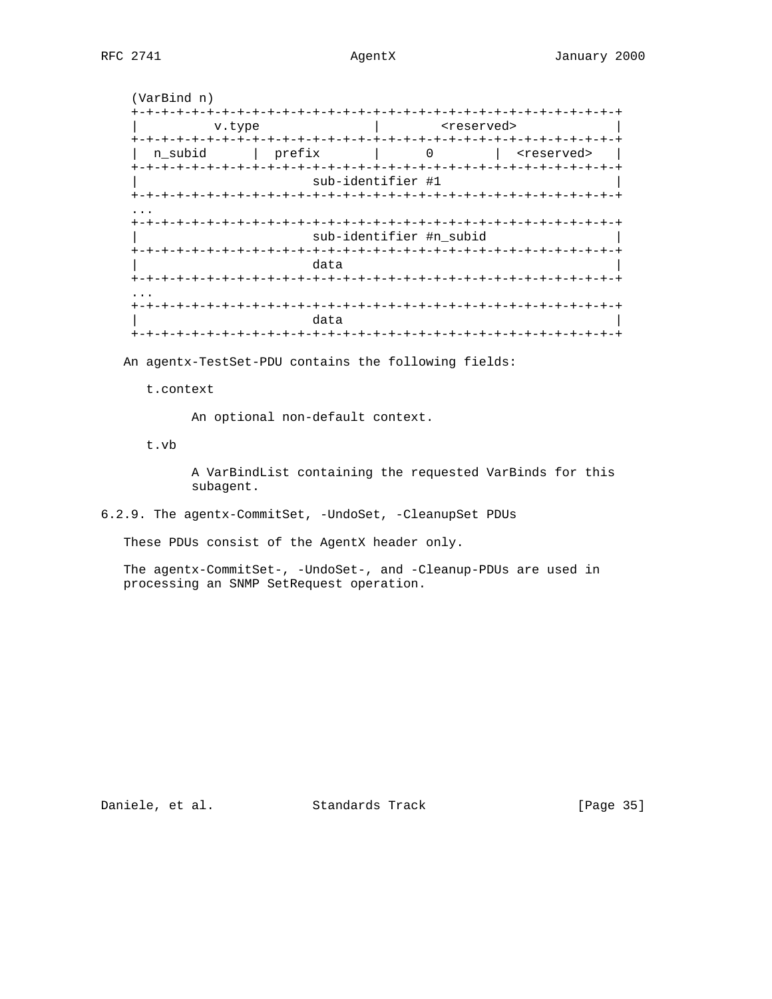|                         |                                  |                         | <reserved></reserved>                 |
|-------------------------|----------------------------------|-------------------------|---------------------------------------|
| $+ - + - +$<br>n subid  | prefix                           | -+-<br>$\mathbf 0$      | <reserved></reserved>                 |
|                         | $- + - + -$<br>sub-identifier #1 |                         | +-+-+-+-+-+-+-+-+-+-+-+-+-+-+-+-+-+-+ |
|                         |                                  |                         |                                       |
|                         |                                  |                         |                                       |
|                         |                                  | sub-identifier #n_subid |                                       |
|                         |                                  |                         |                                       |
|                         | data<br>-+-+-+-+-+-+-+-+-+-+     |                         | -+-+-+-+-+-+-+-+-+                    |
|                         |                                  |                         |                                       |
| $+ - + - + - + - + - +$ |                                  |                         | -+-+-+-+-+-+-+-+-+-+-+-+              |

An agentx-TestSet-PDU contains the following fields:

t.context

An optional non-default context.

t.vb

 A VarBindList containing the requested VarBinds for this subagent.

6.2.9. The agentx-CommitSet, -UndoSet, -CleanupSet PDUs

These PDUs consist of the AgentX header only.

 The agentx-CommitSet-, -UndoSet-, and -Cleanup-PDUs are used in processing an SNMP SetRequest operation.

Daniele, et al. Standards Track [Page 35]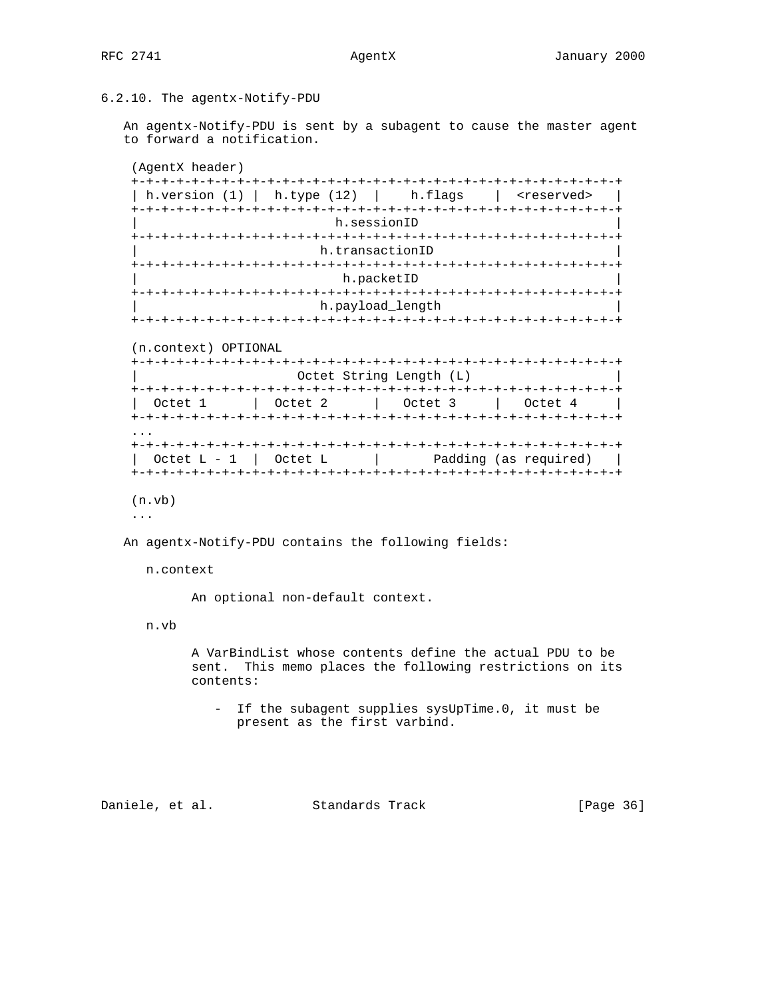6.2.10. The agentx-Notify-PDU

 An agentx-Notify-PDU is sent by a subagent to cause the master agent to forward a notification.

(AgentX header)

| h.version $(1)$      | h.type $(12)$   h.flags |                 |                         | <reserved></reserved> |
|----------------------|-------------------------|-----------------|-------------------------|-----------------------|
|                      |                         | h.sessionID     |                         |                       |
|                      |                         |                 |                         |                       |
|                      |                         | h.transactionID |                         |                       |
|                      |                         |                 |                         |                       |
|                      |                         | h.packetID      |                         |                       |
|                      |                         |                 |                         |                       |
|                      |                         |                 | h.payload length        |                       |
|                      |                         |                 |                         |                       |
|                      |                         |                 |                         |                       |
| (n.context) OPTIONAL |                         |                 |                         |                       |
|                      |                         |                 |                         |                       |
|                      |                         |                 | Octet String Length (L) |                       |
|                      |                         |                 |                         |                       |
|                      |                         |                 |                         |                       |

 ... +-+-+-+-+-+-+-+-+-+-+-+-+-+-+-+-+-+-+-+-+-+-+-+-+-+-+-+-+-+-+-+-+ | Octet L - 1 | Octet L | Padding (as required) | +-+-+-+-+-+-+-+-+-+-+-+-+-+-+-+-+-+-+-+-+-+-+-+-+-+-+-+-+-+-+-+-+

(n.vb)

...

An agentx-Notify-PDU contains the following fields:

n.context

An optional non-default context.

n.vb

 A VarBindList whose contents define the actual PDU to be sent. This memo places the following restrictions on its contents:

 - If the subagent supplies sysUpTime.0, it must be present as the first varbind.

Daniele, et al. Standards Track [Page 36]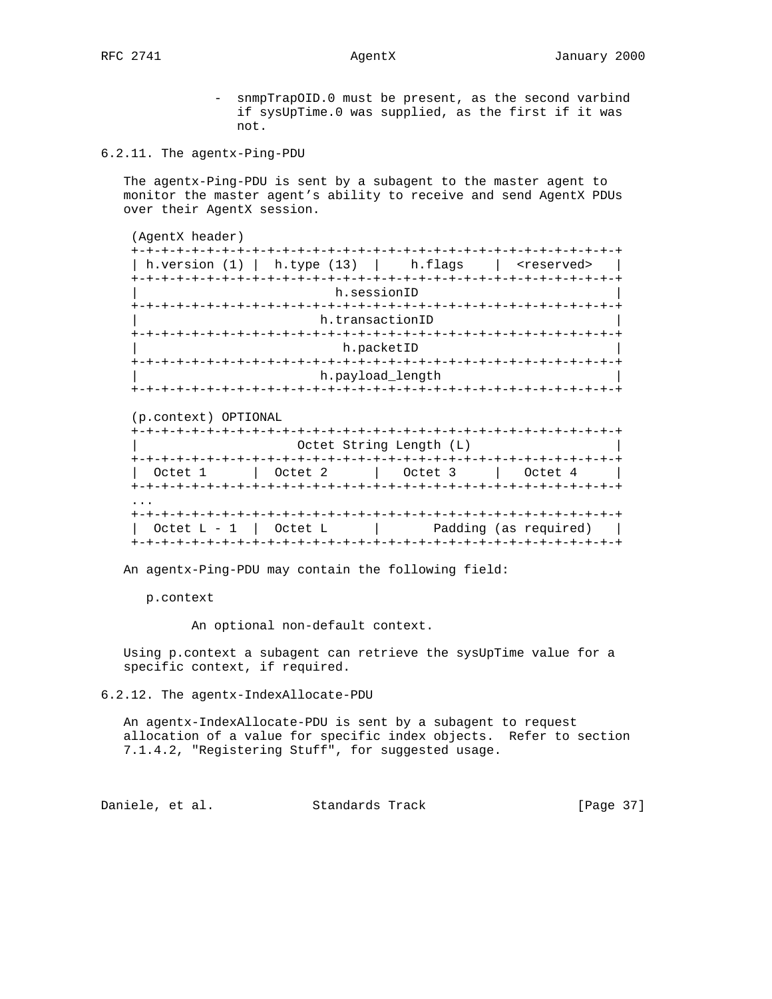- snmpTrapOID.0 must be present, as the second varbind if sysUpTime.0 was supplied, as the first if it was not.

6.2.11. The agentx-Ping-PDU

 The agentx-Ping-PDU is sent by a subagent to the master agent to monitor the master agent's ability to receive and send AgentX PDUs over their AgentX session.

| h.version (1) |                   | $\vert$ h.type $(13)$ $\vert$ h.flags | <reserved></reserved>  |
|---------------|-------------------|---------------------------------------|------------------------|
|               |                   |                                       |                        |
|               | h.sessionID       |                                       |                        |
|               |                   |                                       |                        |
|               | h.transactionID   |                                       |                        |
|               | +-+-+-+-+-+-+-+-+ |                                       | -+-+-+-+-+-+-+-+-+-+-+ |
|               | h.packetID        |                                       |                        |
|               |                   | +-+-+-+-+-+-+-+-+-+                   | --+-+-+-+-+-+-+-+-+-   |

### (p.context) OPTIONAL

|         |         | Octet String Length (L)<br>-+-+-+-+-+-+-+-+-+-+-+-+-+-+-+-+-+-+-+- |         |
|---------|---------|--------------------------------------------------------------------|---------|
| Octet 1 | Octet 2 | Octet 3                                                            | Octet 4 |
|         |         |                                                                    |         |
|         |         |                                                                    |         |
|         |         |                                                                    |         |

An agentx-Ping-PDU may contain the following field:

p.context

An optional non-default context.

 Using p.context a subagent can retrieve the sysUpTime value for a specific context, if required.

6.2.12. The agentx-IndexAllocate-PDU

 An agentx-IndexAllocate-PDU is sent by a subagent to request allocation of a value for specific index objects. Refer to section 7.1.4.2, "Registering Stuff", for suggested usage.

Daniele, et al. Standards Track [Page 37]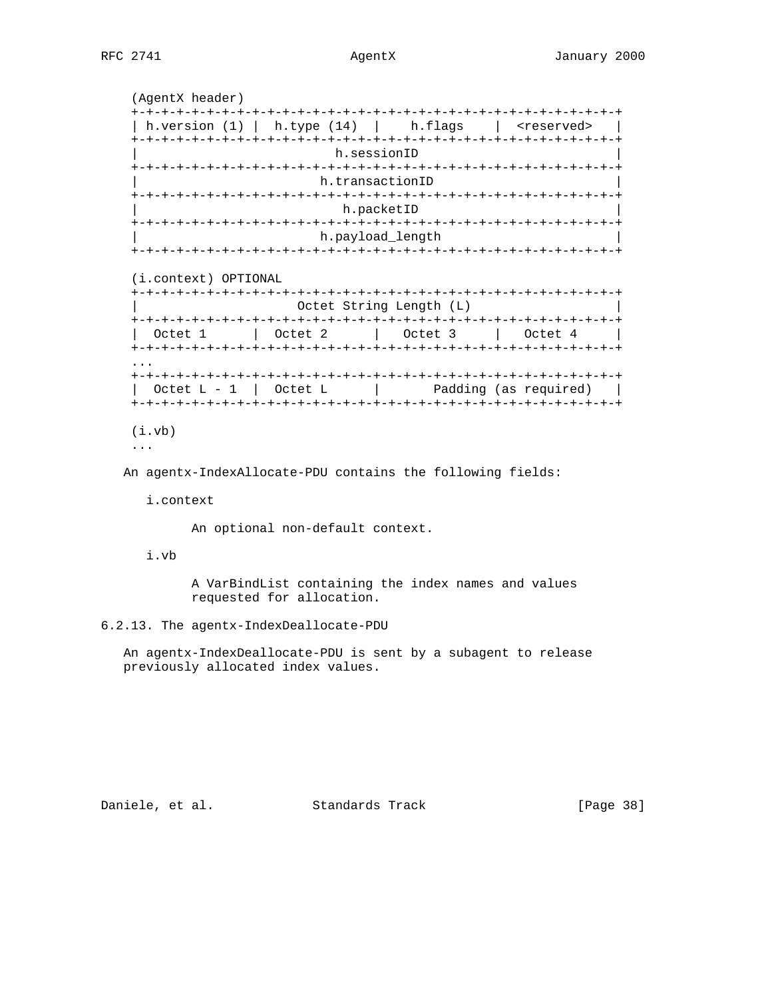(AgentX header) +-+-+-+-+-+-+-+-+-+-+-+-+-+-+-+-+-+-+-+-+-+-+-+-+-+-+-+-+-+-+-+-+ | h.version (1) | h.type (14) | h.flags | <reserved> | +-+-+-+-+-+-+-+-+-+-+-+-+-+-+-+-+-+-+-+-+-+-+-+-+-+-+-+-+-+-+-+-+ h.sessionID +-+-+-+-+-+-+-+-+-+-+-+-+-+-+-+-+-+-+-+-+-+-+-+-+-+-+-+-+-+-+-+-+ h.transactionID +-+-+-+-+-+-+-+-+-+-+-+-+-+-+-+-+-+-+-+-+-+-+-+-+-+-+-+-+-+-+-+-+ h.packetID +-+-+-+-+-+-+-+-+-+-+-+-+-+-+-+-+-+-+-+-+-+-+-+-+-+-+-+-+-+-+-+-+ h.payload\_length +-+-+-+-+-+-+-+-+-+-+-+-+-+-+-+-+-+-+-+-+-+-+-+-+-+-+-+-+-+-+-+-+ (i.context) OPTIONAL +-+-+-+-+-+-+-+-+-+-+-+-+-+-+-+-+-+-+-+-+-+-+-+-+-+-+-+-+-+-+-+-+ Octet String Length (L) +-+-+-+-+-+-+-+-+-+-+-+-+-+-+-+-+-+-+-+-+-+-+-+-+-+-+-+-+-+-+-+-+ | Octet 1 | Octet 2 | Octet 3 | Octet 4 | +-+-+-+-+-+-+-+-+-+-+-+-+-+-+-+-+-+-+-+-+-+-+-+-+-+-+-+-+-+-+-+-+ ... +-+-+-+-+-+-+-+-+-+-+-+-+-+-+-+-+-+-+-+-+-+-+-+-+-+-+-+-+-+-+-+-+  $\text{Octet L - 1}$   $\text{Octet L}$  | Padding (as required) | +-+-+-+-+-+-+-+-+-+-+-+-+-+-+-+-+-+-+-+-+-+-+-+-+-+-+-+-+-+-+-+-+ (i.vb)

...

An agentx-IndexAllocate-PDU contains the following fields:

i.context

An optional non-default context.

i.vb

 A VarBindList containing the index names and values requested for allocation.

6.2.13. The agentx-IndexDeallocate-PDU

 An agentx-IndexDeallocate-PDU is sent by a subagent to release previously allocated index values.

Daniele, et al. Standards Track [Page 38]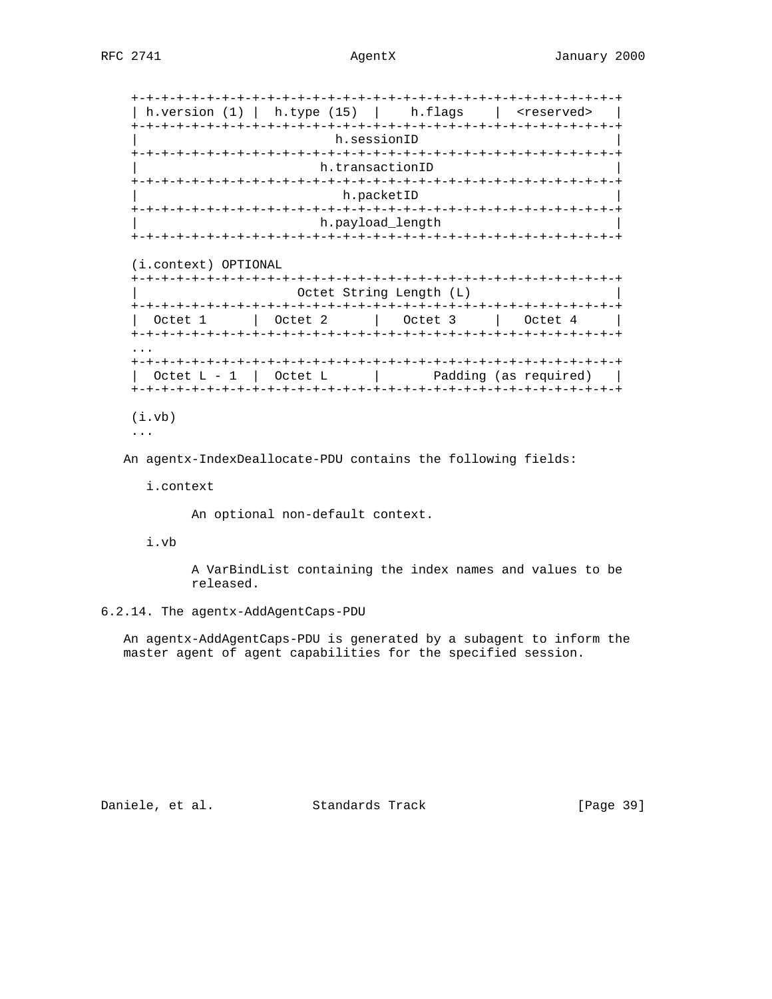| h.version $(1)$           |         | h.type $(15)$   h.flags   | steserved> |
|---------------------------|---------|---------------------------|------------|
|                           |         |                           |            |
|                           |         | h.sessionID               |            |
|                           |         |                           |            |
|                           |         | h.transactionID           |            |
|                           |         |                           |            |
|                           |         | h.packetID                |            |
|                           |         |                           |            |
|                           |         | h.payload_length          |            |
|                           |         |                           |            |
| (i.context) OPTIONAL      |         |                           |            |
|                           |         | Octet String Length (L)   |            |
| Octet 1                   | Octet 2 | Octet 3                   | Octet 4    |
|                           |         |                           |            |
| Octet $L - 1$   Octet $L$ |         | and Padding (as required) |            |

```
 (i.vb)
...
```
An agentx-IndexDeallocate-PDU contains the following fields:

i.context

An optional non-default context.

i.vb

 A VarBindList containing the index names and values to be released.

6.2.14. The agentx-AddAgentCaps-PDU

 An agentx-AddAgentCaps-PDU is generated by a subagent to inform the master agent of agent capabilities for the specified session.

Daniele, et al. Standards Track [Page 39]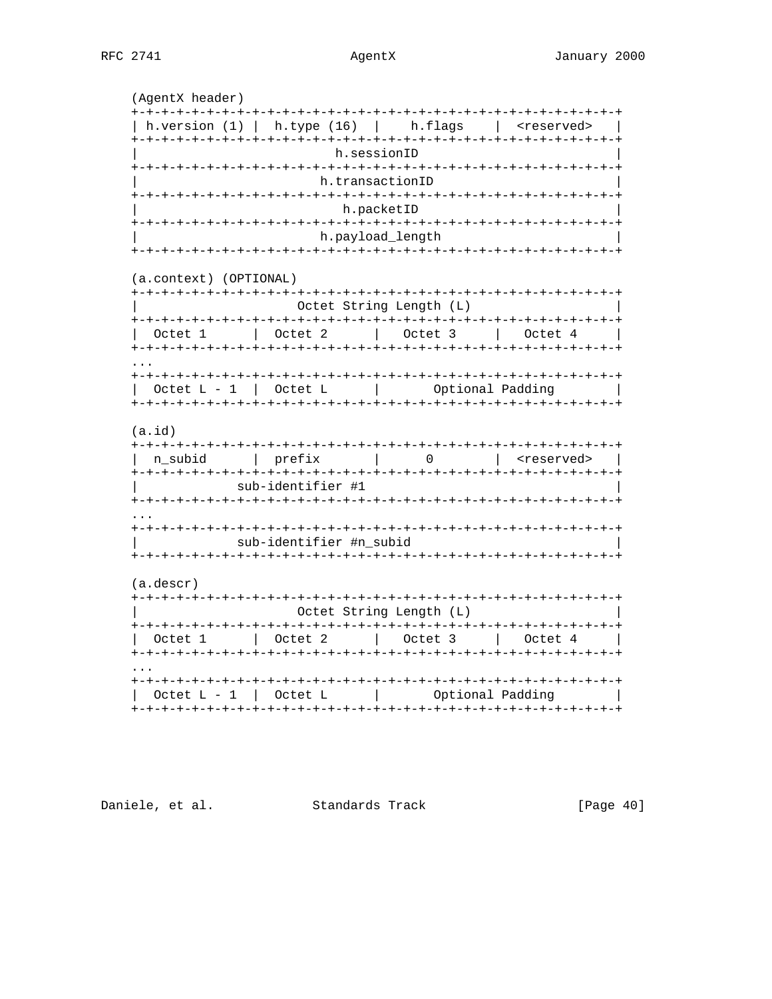(AgentX header) | h.version (1) | h.type (16) | h.flags | <reserved> | h.sessionID h.transactionID h.packetID h.payload\_length (a.context) (OPTIONAL) Octet String Length (L) | Octet 1 | Octet 2 | Octet 3 | Octet 4 Octet  $L - 1$  | Octet  $L$  | Optional Padding |  $(a.id)$ n\_subid | prefix | 0 | <reserved> | sub-identifier #1 sub-identifier #n\_subid  $(a.descr)$ Octet String Length (L) | Octet 1 | Octet 2 | Octet 3 | Octet 4 | Octet L - 1 | Octet L | | Optional Padding | 

Daniele, et al. Standards Track

 $[Page 40]$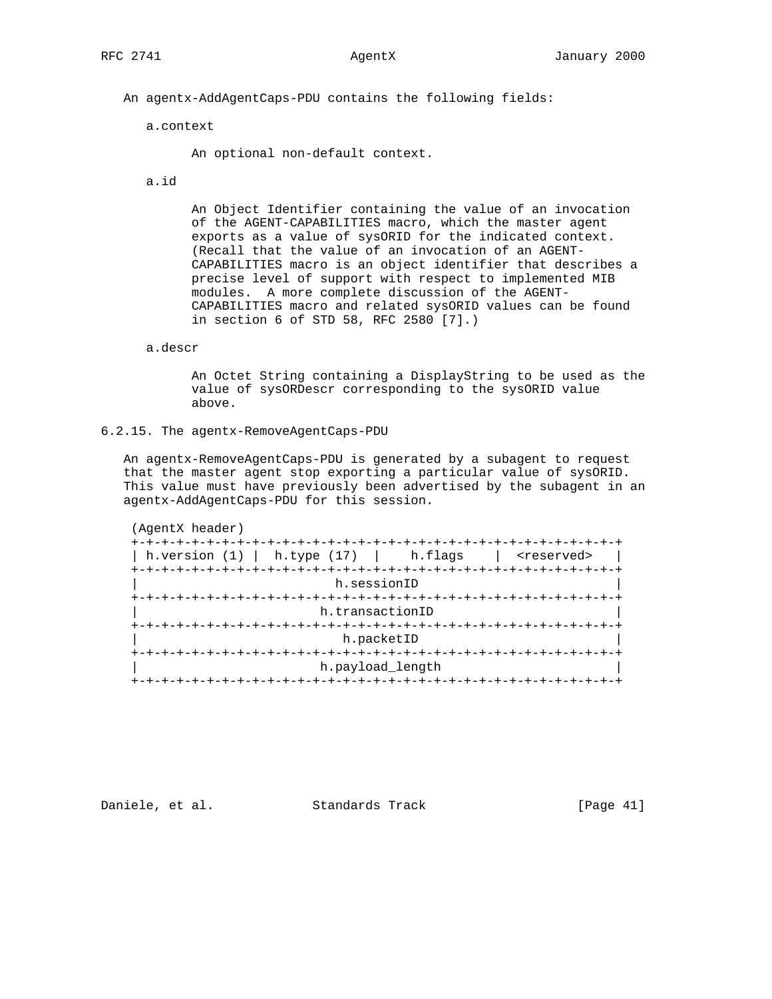An agentx-AddAgentCaps-PDU contains the following fields:

a.context

An optional non-default context.

a.id

 An Object Identifier containing the value of an invocation of the AGENT-CAPABILITIES macro, which the master agent exports as a value of sysORID for the indicated context. (Recall that the value of an invocation of an AGENT- CAPABILITIES macro is an object identifier that describes a precise level of support with respect to implemented MIB modules. A more complete discussion of the AGENT- CAPABILITIES macro and related sysORID values can be found in section 6 of STD 58, RFC 2580 [7].)

# a.descr

 An Octet String containing a DisplayString to be used as the value of sysORDescr corresponding to the sysORID value above.

6.2.15. The agentx-RemoveAgentCaps-PDU

 An agentx-RemoveAgentCaps-PDU is generated by a subagent to request that the master agent stop exporting a particular value of sysORID. This value must have previously been advertised by the subagent in an agentx-AddAgentCaps-PDU for this session.

| h.version (1) | $\vert$ h.type (17) $\vert$ h.flags | <reserved></reserved> |
|---------------|-------------------------------------|-----------------------|
|               | h.sessionID                         |                       |
|               |                                     |                       |
|               | h.transactionID                     |                       |
|               |                                     |                       |
|               | h.packetID                          |                       |
|               |                                     |                       |

Daniele, et al. Standards Track [Page 41]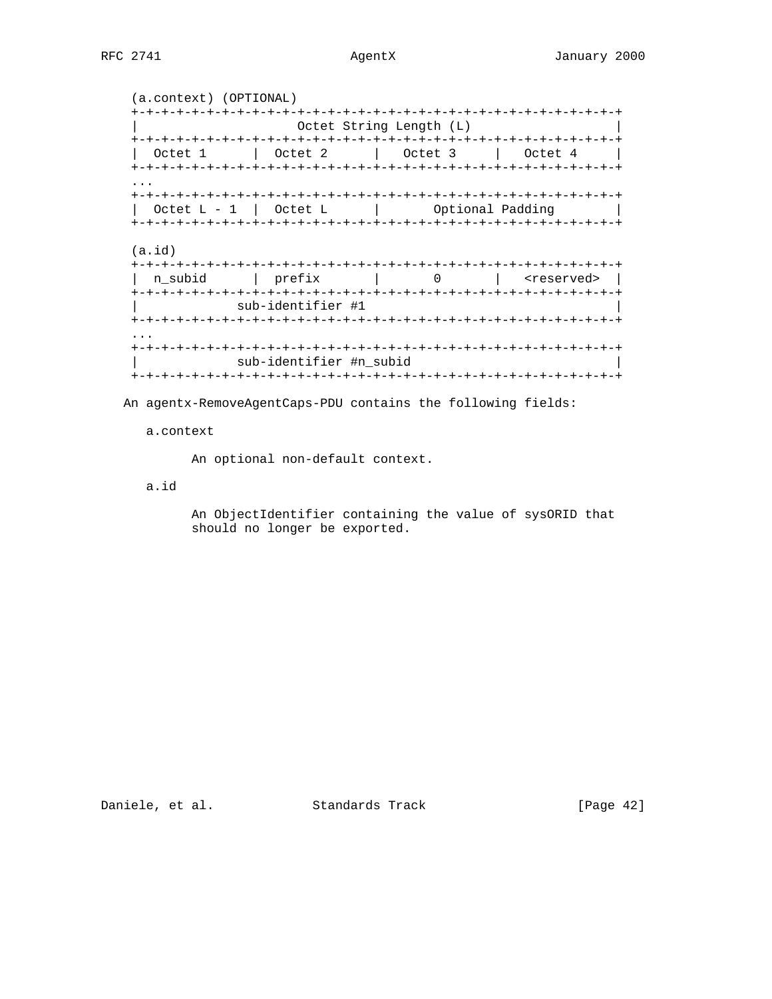```
 (a.context) (OPTIONAL)
   +-+-+-+-+-+-+-+-+-+-+-+-+-+-+-+-+-+-+-+-+-+-+-+-+-+-+-+-+-+-+-+-+
                       Octet String Length (L)
   +-+-+-+-+-+-+-+-+-+-+-+-+-+-+-+-+-+-+-+-+-+-+-+-+-+-+-+-+-+-+-+-+
   | Octet 1 | Octet 2 | Octet 3 | Octet 4 |
   +-+-+-+-+-+-+-+-+-+-+-+-+-+-+-+-+-+-+-+-+-+-+-+-+-+-+-+-+-+-+-+-+
...
   +-+-+-+-+-+-+-+-+-+-+-+-+-+-+-+-+-+-+-+-+-+-+-+-+-+-+-+-+-+-+-+-+
    \text{Octet L - 1} | Octet L | Optional Padding
   +-+-+-+-+-+-+-+-+-+-+-+-+-+-+-+-+-+-+-+-+-+-+-+-+-+-+-+-+-+-+-+-+
   (a.id)
   +-+-+-+-+-+-+-+-+-+-+-+-+-+-+-+-+-+-+-+-+-+-+-+-+-+-+-+-+-+-+-+-+
   | n_subid | prefix | 0 | <reserved> |
   +-+-+-+-+-+-+-+-+-+-+-+-+-+-+-+-+-+-+-+-+-+-+-+-+-+-+-+-+-+-+-+-+
                | sub-identifier #1 |
   +-+-+-+-+-+-+-+-+-+-+-+-+-+-+-+-+-+-+-+-+-+-+-+-+-+-+-+-+-+-+-+-+
   ...
   +-+-+-+-+-+-+-+-+-+-+-+-+-+-+-+-+-+-+-+-+-+-+-+-+-+-+-+-+-+-+-+-+
              sub-identifier #n_subid
   +-+-+-+-+-+-+-+-+-+-+-+-+-+-+-+-+-+-+-+-+-+-+-+-+-+-+-+-+-+-+-+-+
```
An agentx-RemoveAgentCaps-PDU contains the following fields:

## a.context

An optional non-default context.

# a.id

 An ObjectIdentifier containing the value of sysORID that should no longer be exported.

Daniele, et al. Standards Track [Page 42]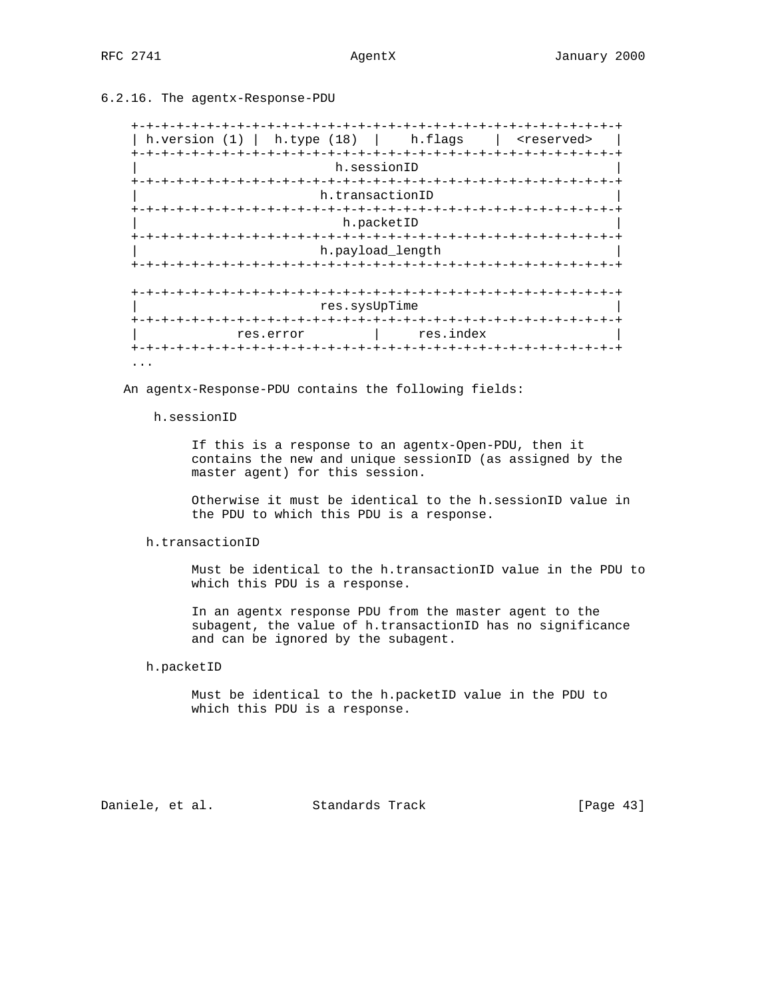# 6.2.16. The agentx-Response-PDU

 +-+-+-+-+-+-+-+-+-+-+-+-+-+-+-+-+-+-+-+-+-+-+-+-+-+-+-+-+-+-+-+-+ | h.version (1) | h.type (18) | h.flags | <reserved> | +-+-+-+-+-+-+-+-+-+-+-+-+-+-+-+-+-+-+-+-+-+-+-+-+-+-+-+-+-+-+-+-+ h.sessionID +-+-+-+-+-+-+-+-+-+-+-+-+-+-+-+-+-+-+-+-+-+-+-+-+-+-+-+-+-+-+-+-+ h.transactionID +-+-+-+-+-+-+-+-+-+-+-+-+-+-+-+-+-+-+-+-+-+-+-+-+-+-+-+-+-+-+-+-+ h.packetID +-+-+-+-+-+-+-+-+-+-+-+-+-+-+-+-+-+-+-+-+-+-+-+-+-+-+-+-+-+-+-+-+ h.payload\_length +-+-+-+-+-+-+-+-+-+-+-+-+-+-+-+-+-+-+-+-+-+-+-+-+-+-+-+-+-+-+-+-+ +-+-+-+-+-+-+-+-+-+-+-+-+-+-+-+-+-+-+-+-+-+-+-+-+-+-+-+-+-+-+-+-+ res.sysUpTime +-+-+-+-+-+-+-+-+-+-+-+-+-+-+-+-+-+-+-+-+-+-+-+-+-+-+-+-+-+-+-+-+ res.error | res.index +-+-+-+-+-+-+-+-+-+-+-+-+-+-+-+-+-+-+-+-+-+-+-+-+-+-+-+-+-+-+-+-+ ...

An agentx-Response-PDU contains the following fields:

### h.sessionID

 If this is a response to an agentx-Open-PDU, then it contains the new and unique sessionID (as assigned by the master agent) for this session.

 Otherwise it must be identical to the h.sessionID value in the PDU to which this PDU is a response.

# h.transactionID

 Must be identical to the h.transactionID value in the PDU to which this PDU is a response.

 In an agentx response PDU from the master agent to the subagent, the value of h.transactionID has no significance and can be ignored by the subagent.

# h.packetID

 Must be identical to the h.packetID value in the PDU to which this PDU is a response.

Daniele, et al. Standards Track [Page 43]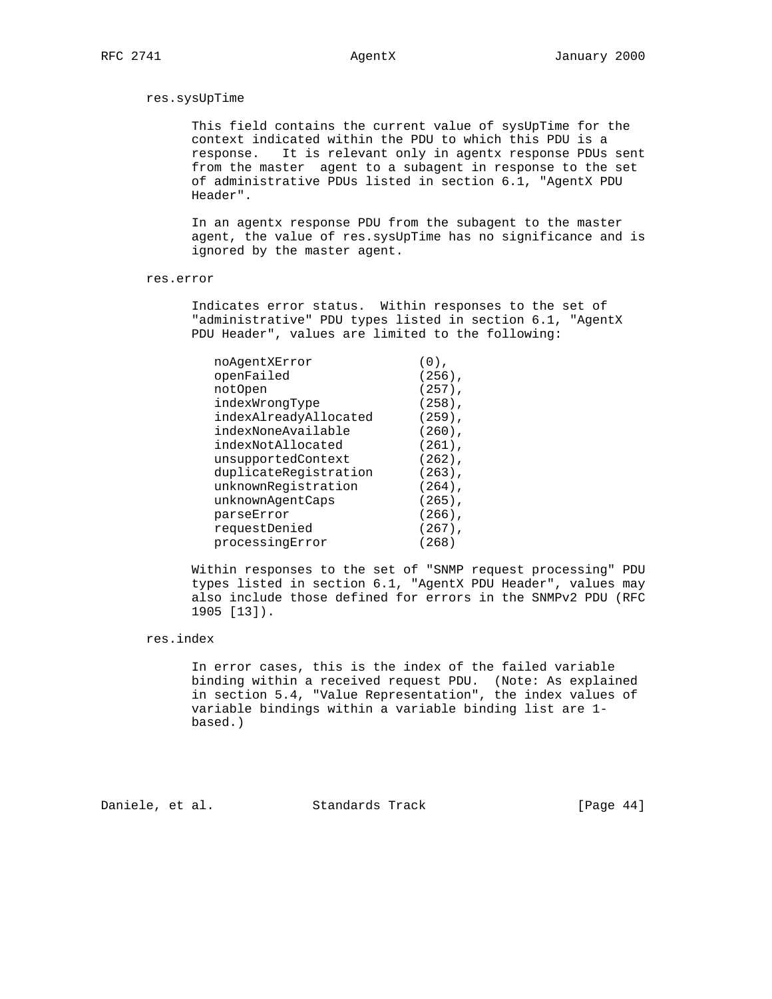### res.sysUpTime

 This field contains the current value of sysUpTime for the context indicated within the PDU to which this PDU is a response. It is relevant only in agentx response PDUs sent from the master agent to a subagent in response to the set of administrative PDUs listed in section 6.1, "AgentX PDU Header".

 In an agentx response PDU from the subagent to the master agent, the value of res.sysUpTime has no significance and is ignored by the master agent.

### res.error

 Indicates error status. Within responses to the set of "administrative" PDU types listed in section 6.1, "AgentX PDU Header", values are limited to the following:

| noAgentXError         | $(0)$ .   |
|-----------------------|-----------|
| openFailed            | $(256)$ , |
| notOpen               | $(257)$ , |
| indexWrongType        | $(258)$ , |
| indexAlreadyAllocated | $(259)$ , |
| indexNoneAvailable    | $(260)$ , |
| indexNotAllocated     | $(261)$ , |
| unsupportedContext    | $(262)$ , |
| duplicateRegistration | $(263)$ , |
| unknownRegistration   | $(264)$ , |
| unknownAgentCaps      | $(265)$ , |
| parseError            | $(266)$ , |
| requestDenied         | $(267)$ , |
| processingError       | (268)     |

 Within responses to the set of "SNMP request processing" PDU types listed in section 6.1, "AgentX PDU Header", values may also include those defined for errors in the SNMPv2 PDU (RFC 1905 [13]).

# res.index

 In error cases, this is the index of the failed variable binding within a received request PDU. (Note: As explained in section 5.4, "Value Representation", the index values of variable bindings within a variable binding list are 1 based.)

Daniele, et al. Standards Track [Page 44]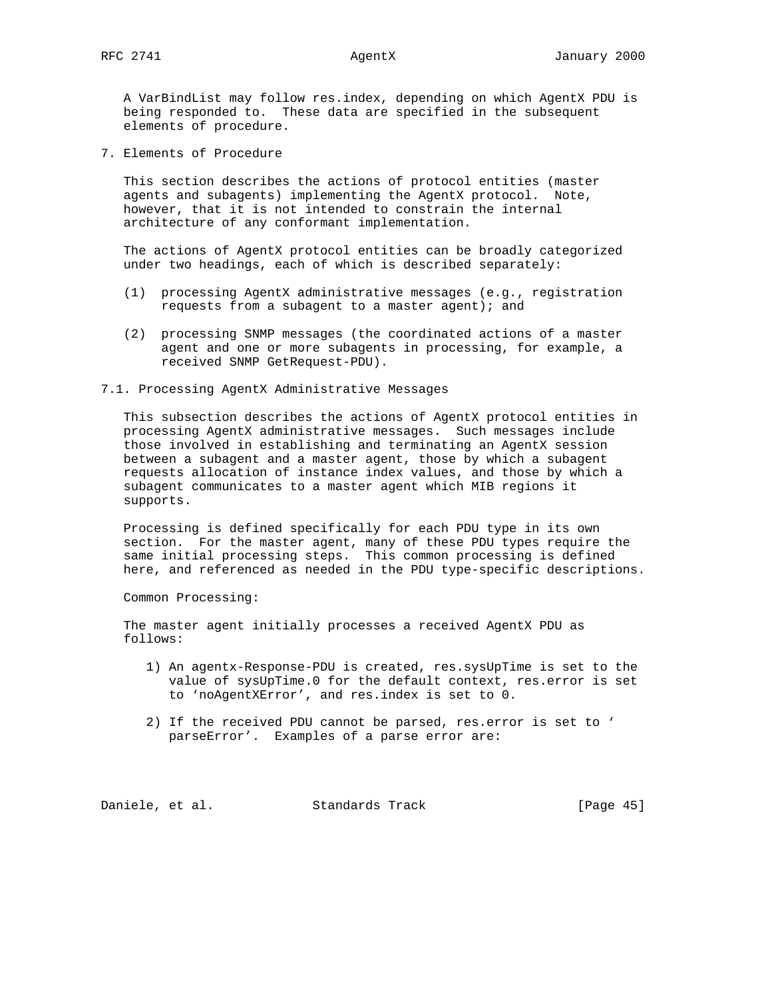A VarBindList may follow res.index, depending on which AgentX PDU is being responded to. These data are specified in the subsequent elements of procedure.

7. Elements of Procedure

 This section describes the actions of protocol entities (master agents and subagents) implementing the AgentX protocol. Note, however, that it is not intended to constrain the internal architecture of any conformant implementation.

 The actions of AgentX protocol entities can be broadly categorized under two headings, each of which is described separately:

- (1) processing AgentX administrative messages (e.g., registration requests from a subagent to a master agent); and
- (2) processing SNMP messages (the coordinated actions of a master agent and one or more subagents in processing, for example, a received SNMP GetRequest-PDU).

# 7.1. Processing AgentX Administrative Messages

 This subsection describes the actions of AgentX protocol entities in processing AgentX administrative messages. Such messages include those involved in establishing and terminating an AgentX session between a subagent and a master agent, those by which a subagent requests allocation of instance index values, and those by which a subagent communicates to a master agent which MIB regions it supports.

 Processing is defined specifically for each PDU type in its own section. For the master agent, many of these PDU types require the same initial processing steps. This common processing is defined here, and referenced as needed in the PDU type-specific descriptions.

Common Processing:

 The master agent initially processes a received AgentX PDU as follows:

- 1) An agentx-Response-PDU is created, res.sysUpTime is set to the value of sysUpTime.0 for the default context, res.error is set to 'noAgentXError', and res.index is set to 0.
- 2) If the received PDU cannot be parsed, res.error is set to ' parseError'. Examples of a parse error are:

Daniele, et al. Standards Track [Page 45]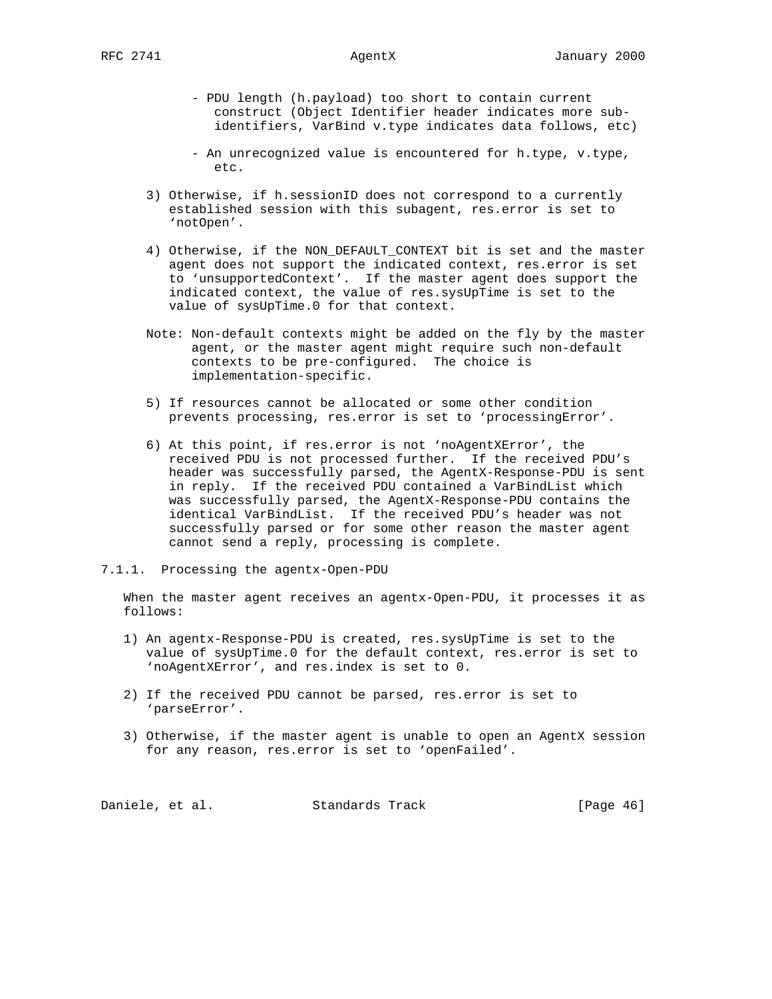- PDU length (h.payload) too short to contain current construct (Object Identifier header indicates more sub identifiers, VarBind v.type indicates data follows, etc)

- An unrecognized value is encountered for h.type, v.type, etc.
- 3) Otherwise, if h.sessionID does not correspond to a currently established session with this subagent, res.error is set to 'notOpen'.
- 4) Otherwise, if the NON\_DEFAULT\_CONTEXT bit is set and the master agent does not support the indicated context, res.error is set to 'unsupportedContext'. If the master agent does support the indicated context, the value of res.sysUpTime is set to the value of sysUpTime.0 for that context.
- Note: Non-default contexts might be added on the fly by the master agent, or the master agent might require such non-default contexts to be pre-configured. The choice is implementation-specific.
- 5) If resources cannot be allocated or some other condition prevents processing, res.error is set to 'processingError'.
- 6) At this point, if res.error is not 'noAgentXError', the received PDU is not processed further. If the received PDU's header was successfully parsed, the AgentX-Response-PDU is sent in reply. If the received PDU contained a VarBindList which was successfully parsed, the AgentX-Response-PDU contains the identical VarBindList. If the received PDU's header was not successfully parsed or for some other reason the master agent cannot send a reply, processing is complete.
- 7.1.1. Processing the agentx-Open-PDU

 When the master agent receives an agentx-Open-PDU, it processes it as follows:

- 1) An agentx-Response-PDU is created, res.sysUpTime is set to the value of sysUpTime.0 for the default context, res.error is set to 'noAgentXError', and res.index is set to 0.
- 2) If the received PDU cannot be parsed, res.error is set to 'parseError'.
- 3) Otherwise, if the master agent is unable to open an AgentX session for any reason, res.error is set to 'openFailed'.

Daniele, et al. Standards Track [Page 46]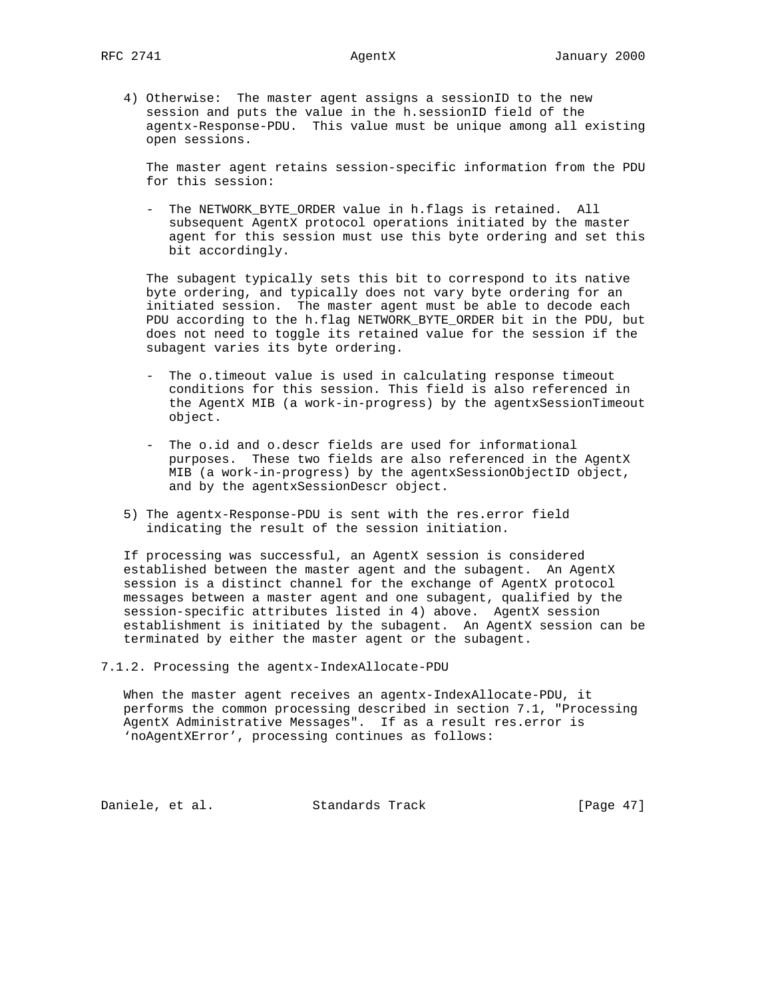4) Otherwise: The master agent assigns a sessionID to the new session and puts the value in the h.sessionID field of the agentx-Response-PDU. This value must be unique among all existing open sessions.

 The master agent retains session-specific information from the PDU for this session:

 - The NETWORK\_BYTE\_ORDER value in h.flags is retained. All subsequent AgentX protocol operations initiated by the master agent for this session must use this byte ordering and set this bit accordingly.

 The subagent typically sets this bit to correspond to its native byte ordering, and typically does not vary byte ordering for an initiated session. The master agent must be able to decode each PDU according to the h.flag NETWORK\_BYTE\_ORDER bit in the PDU, but does not need to toggle its retained value for the session if the subagent varies its byte ordering.

- The o.timeout value is used in calculating response timeout conditions for this session. This field is also referenced in the AgentX MIB (a work-in-progress) by the agentxSessionTimeout object.
- The o.id and o.descr fields are used for informational purposes. These two fields are also referenced in the AgentX MIB (a work-in-progress) by the agentxSessionObjectID object, and by the agentxSessionDescr object.
- 5) The agentx-Response-PDU is sent with the res.error field indicating the result of the session initiation.

 If processing was successful, an AgentX session is considered established between the master agent and the subagent. An AgentX session is a distinct channel for the exchange of AgentX protocol messages between a master agent and one subagent, qualified by the session-specific attributes listed in 4) above. AgentX session establishment is initiated by the subagent. An AgentX session can be terminated by either the master agent or the subagent.

7.1.2. Processing the agentx-IndexAllocate-PDU

 When the master agent receives an agentx-IndexAllocate-PDU, it performs the common processing described in section 7.1, "Processing AgentX Administrative Messages". If as a result res.error is 'noAgentXError', processing continues as follows:

Daniele, et al. Standards Track [Page 47]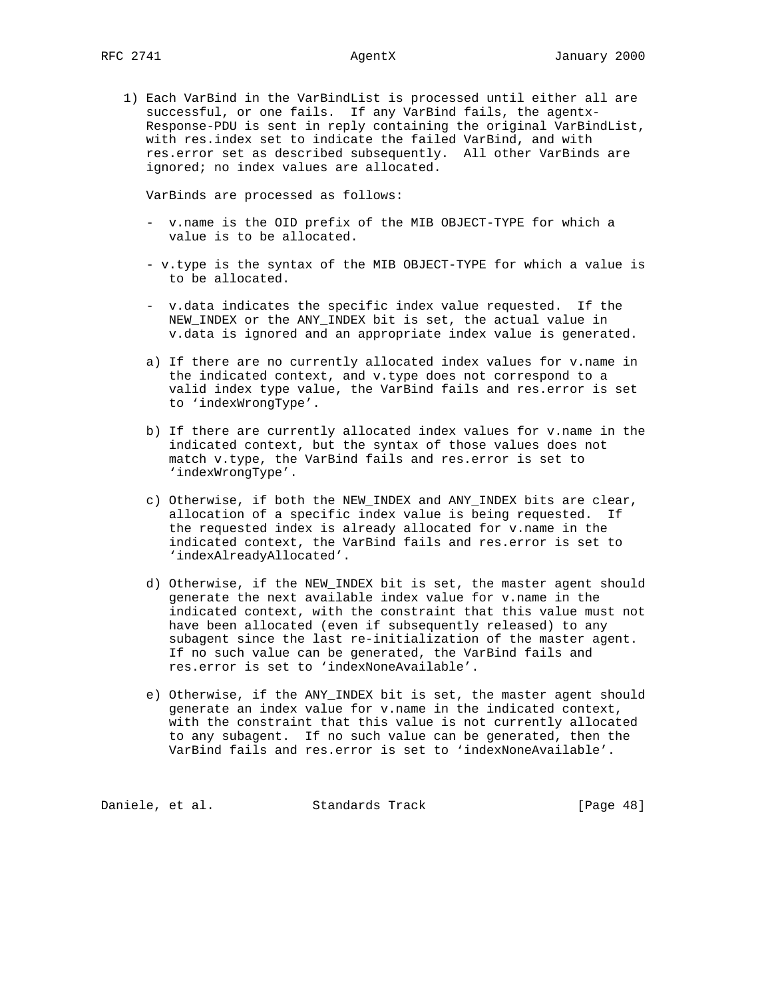1) Each VarBind in the VarBindList is processed until either all are successful, or one fails. If any VarBind fails, the agentx- Response-PDU is sent in reply containing the original VarBindList, with res.index set to indicate the failed VarBind, and with res.error set as described subsequently. All other VarBinds are ignored; no index values are allocated.

VarBinds are processed as follows:

- v.name is the OID prefix of the MIB OBJECT-TYPE for which a value is to be allocated.
- v.type is the syntax of the MIB OBJECT-TYPE for which a value is to be allocated.
- v.data indicates the specific index value requested. If the NEW\_INDEX or the ANY\_INDEX bit is set, the actual value in v.data is ignored and an appropriate index value is generated.
- a) If there are no currently allocated index values for v.name in the indicated context, and v.type does not correspond to a valid index type value, the VarBind fails and res.error is set to 'indexWrongType'.
- b) If there are currently allocated index values for v.name in the indicated context, but the syntax of those values does not match v.type, the VarBind fails and res.error is set to 'indexWrongType'.
- c) Otherwise, if both the NEW\_INDEX and ANY\_INDEX bits are clear, allocation of a specific index value is being requested. If the requested index is already allocated for v.name in the indicated context, the VarBind fails and res.error is set to 'indexAlreadyAllocated'.
- d) Otherwise, if the NEW\_INDEX bit is set, the master agent should generate the next available index value for v.name in the indicated context, with the constraint that this value must not have been allocated (even if subsequently released) to any subagent since the last re-initialization of the master agent. If no such value can be generated, the VarBind fails and res.error is set to 'indexNoneAvailable'.
- e) Otherwise, if the ANY\_INDEX bit is set, the master agent should generate an index value for v.name in the indicated context, with the constraint that this value is not currently allocated to any subagent. If no such value can be generated, then the VarBind fails and res.error is set to 'indexNoneAvailable'.

Daniele, et al. Standards Track [Page 48]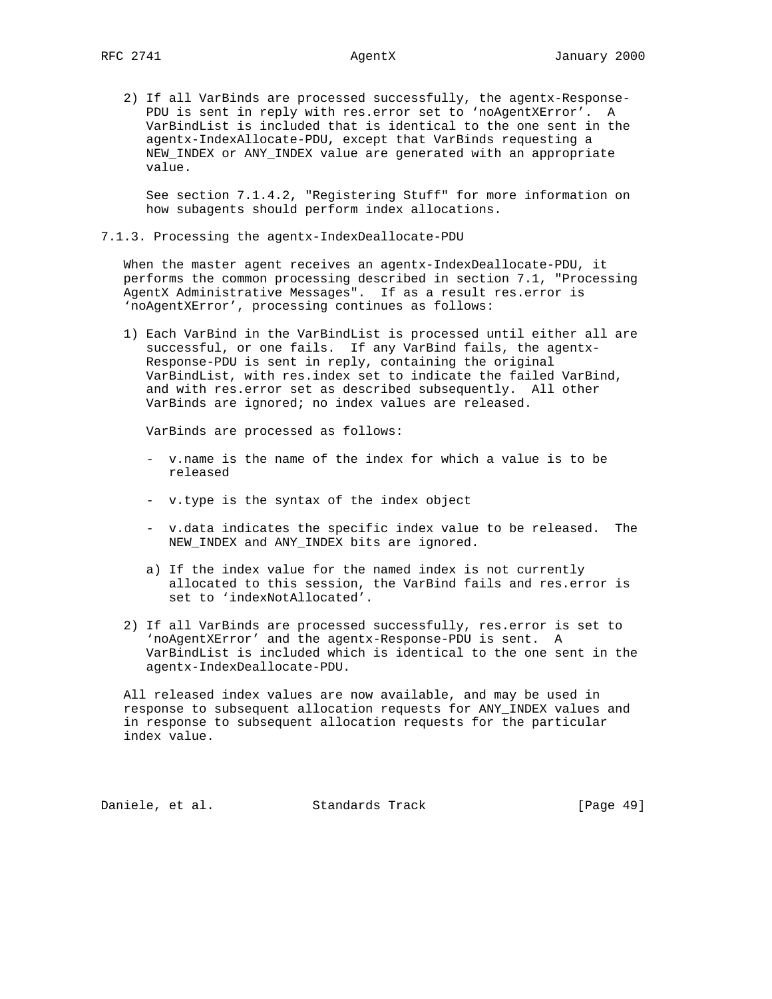2) If all VarBinds are processed successfully, the agentx-Response- PDU is sent in reply with res.error set to 'noAgentXError'. A VarBindList is included that is identical to the one sent in the agentx-IndexAllocate-PDU, except that VarBinds requesting a NEW\_INDEX or ANY\_INDEX value are generated with an appropriate value.

 See section 7.1.4.2, "Registering Stuff" for more information on how subagents should perform index allocations.

7.1.3. Processing the agentx-IndexDeallocate-PDU

 When the master agent receives an agentx-IndexDeallocate-PDU, it performs the common processing described in section 7.1, "Processing AgentX Administrative Messages". If as a result res.error is 'noAgentXError', processing continues as follows:

 1) Each VarBind in the VarBindList is processed until either all are successful, or one fails. If any VarBind fails, the agentx- Response-PDU is sent in reply, containing the original VarBindList, with res.index set to indicate the failed VarBind, and with res.error set as described subsequently. All other VarBinds are ignored; no index values are released.

VarBinds are processed as follows:

- v.name is the name of the index for which a value is to be released
- v.type is the syntax of the index object
- v.data indicates the specific index value to be released. The NEW\_INDEX and ANY\_INDEX bits are ignored.
- a) If the index value for the named index is not currently allocated to this session, the VarBind fails and res.error is set to 'indexNotAllocated'.
- 2) If all VarBinds are processed successfully, res.error is set to 'noAgentXError' and the agentx-Response-PDU is sent. A VarBindList is included which is identical to the one sent in the agentx-IndexDeallocate-PDU.

 All released index values are now available, and may be used in response to subsequent allocation requests for ANY\_INDEX values and in response to subsequent allocation requests for the particular index value.

Daniele, et al. Standards Track [Page 49]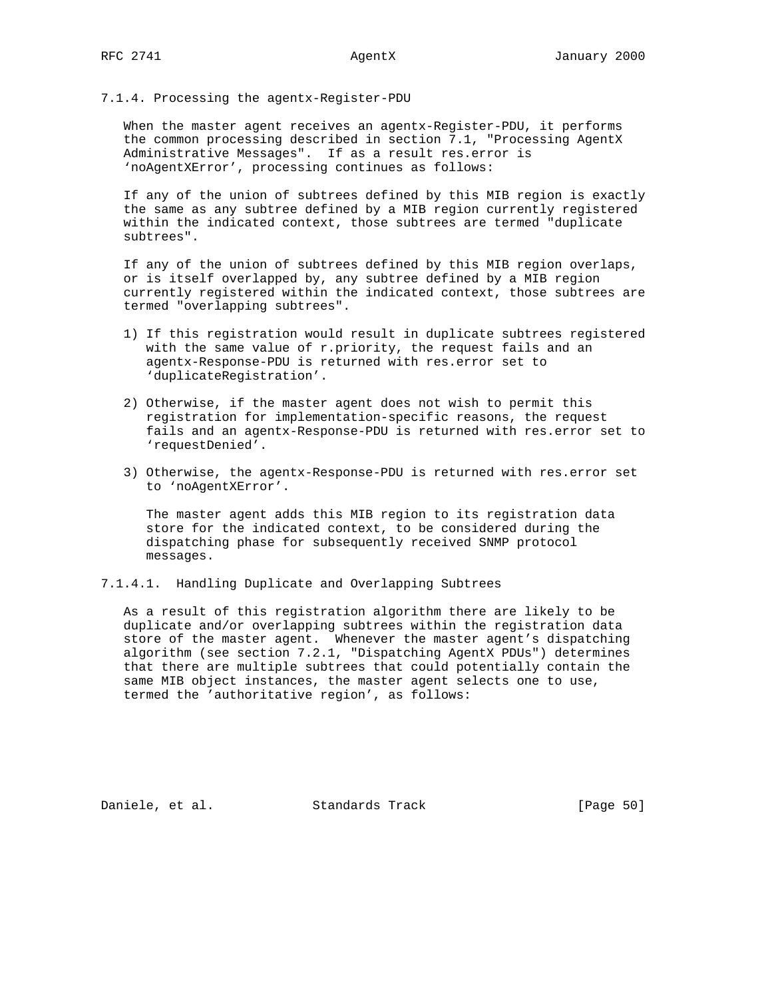# 7.1.4. Processing the agentx-Register-PDU

 When the master agent receives an agentx-Register-PDU, it performs the common processing described in section 7.1, "Processing AgentX Administrative Messages". If as a result res.error is 'noAgentXError', processing continues as follows:

 If any of the union of subtrees defined by this MIB region is exactly the same as any subtree defined by a MIB region currently registered within the indicated context, those subtrees are termed "duplicate subtrees".

 If any of the union of subtrees defined by this MIB region overlaps, or is itself overlapped by, any subtree defined by a MIB region currently registered within the indicated context, those subtrees are termed "overlapping subtrees".

- 1) If this registration would result in duplicate subtrees registered with the same value of r.priority, the request fails and an agentx-Response-PDU is returned with res.error set to 'duplicateRegistration'.
- 2) Otherwise, if the master agent does not wish to permit this registration for implementation-specific reasons, the request fails and an agentx-Response-PDU is returned with res.error set to 'requestDenied'.
- 3) Otherwise, the agentx-Response-PDU is returned with res.error set to 'noAgentXError'.

 The master agent adds this MIB region to its registration data store for the indicated context, to be considered during the dispatching phase for subsequently received SNMP protocol messages.

7.1.4.1. Handling Duplicate and Overlapping Subtrees

 As a result of this registration algorithm there are likely to be duplicate and/or overlapping subtrees within the registration data store of the master agent. Whenever the master agent's dispatching algorithm (see section 7.2.1, "Dispatching AgentX PDUs") determines that there are multiple subtrees that could potentially contain the same MIB object instances, the master agent selects one to use, termed the 'authoritative region', as follows:

Daniele, et al. Standards Track [Page 50]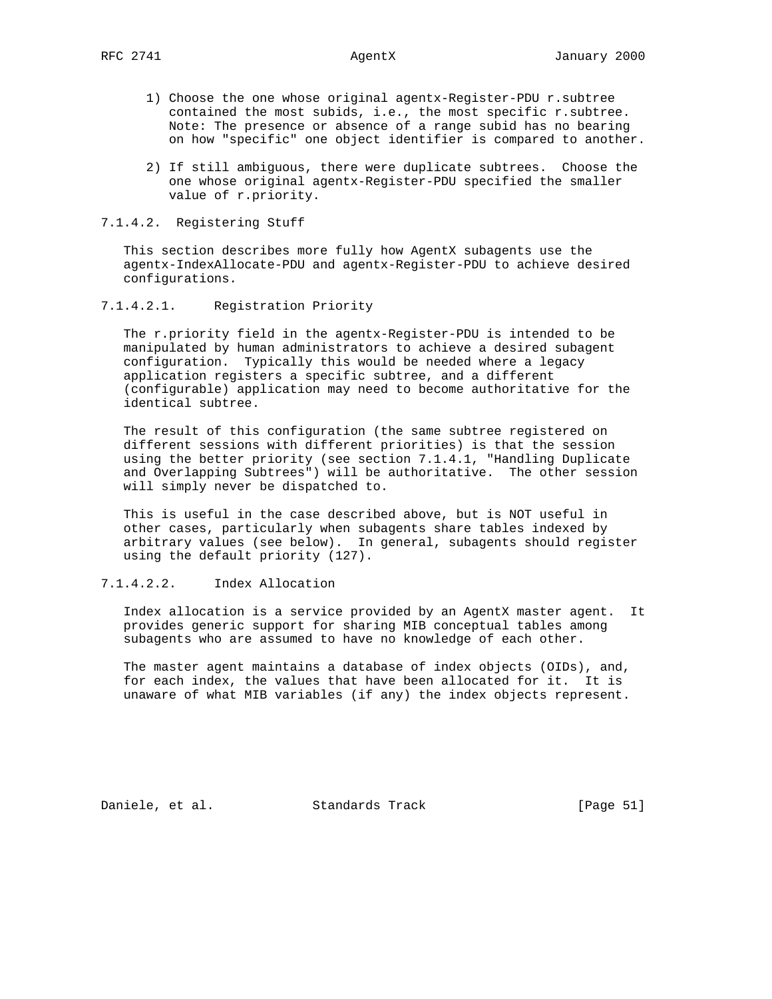- 1) Choose the one whose original agentx-Register-PDU r.subtree contained the most subids, i.e., the most specific r.subtree. Note: The presence or absence of a range subid has no bearing on how "specific" one object identifier is compared to another.
- 2) If still ambiguous, there were duplicate subtrees. Choose the one whose original agentx-Register-PDU specified the smaller value of r.priority.

# 7.1.4.2. Registering Stuff

This section describes more fully how AgentX subagents use the agentx-IndexAllocate-PDU and agentx-Register-PDU to achieve desired configurations.

# 7.1.4.2.1. Registration Priority

 The r.priority field in the agentx-Register-PDU is intended to be manipulated by human administrators to achieve a desired subagent configuration. Typically this would be needed where a legacy application registers a specific subtree, and a different (configurable) application may need to become authoritative for the identical subtree.

 The result of this configuration (the same subtree registered on different sessions with different priorities) is that the session using the better priority (see section 7.1.4.1, "Handling Duplicate and Overlapping Subtrees") will be authoritative. The other session will simply never be dispatched to.

 This is useful in the case described above, but is NOT useful in other cases, particularly when subagents share tables indexed by arbitrary values (see below). In general, subagents should register using the default priority (127).

# 7.1.4.2.2. Index Allocation

 Index allocation is a service provided by an AgentX master agent. It provides generic support for sharing MIB conceptual tables among subagents who are assumed to have no knowledge of each other.

 The master agent maintains a database of index objects (OIDs), and, for each index, the values that have been allocated for it. It is unaware of what MIB variables (if any) the index objects represent.

Daniele, et al. Standards Track [Page 51]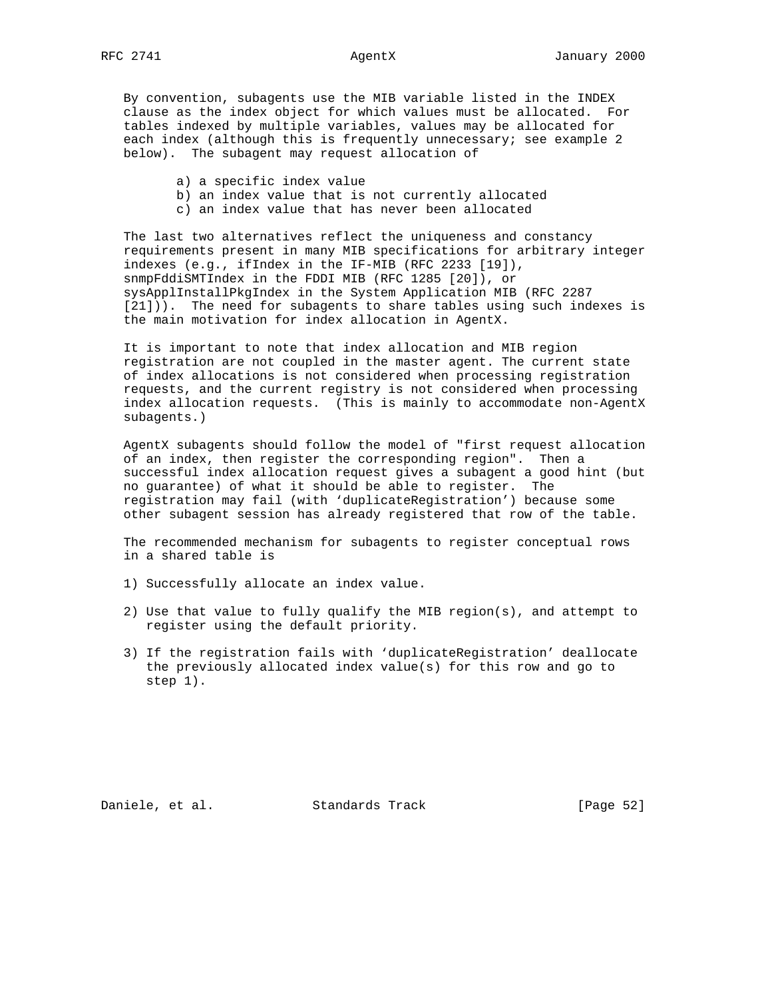By convention, subagents use the MIB variable listed in the INDEX clause as the index object for which values must be allocated. For tables indexed by multiple variables, values may be allocated for each index (although this is frequently unnecessary; see example 2 below). The subagent may request allocation of

- a) a specific index value
- b) an index value that is not currently allocated
- c) an index value that has never been allocated

 The last two alternatives reflect the uniqueness and constancy requirements present in many MIB specifications for arbitrary integer indexes (e.g., ifIndex in the IF-MIB (RFC 2233 [19]), snmpFddiSMTIndex in the FDDI MIB (RFC 1285 [20]), or sysApplInstallPkgIndex in the System Application MIB (RFC 2287 [21])). The need for subagents to share tables using such indexes is the main motivation for index allocation in AgentX.

 It is important to note that index allocation and MIB region registration are not coupled in the master agent. The current state of index allocations is not considered when processing registration requests, and the current registry is not considered when processing index allocation requests. (This is mainly to accommodate non-AgentX subagents.)

 AgentX subagents should follow the model of "first request allocation of an index, then register the corresponding region". Then a successful index allocation request gives a subagent a good hint (but no guarantee) of what it should be able to register. The registration may fail (with 'duplicateRegistration') because some other subagent session has already registered that row of the table.

 The recommended mechanism for subagents to register conceptual rows in a shared table is

- 1) Successfully allocate an index value.
- 2) Use that value to fully qualify the MIB region(s), and attempt to register using the default priority.
- 3) If the registration fails with 'duplicateRegistration' deallocate the previously allocated index value(s) for this row and go to step 1).

Daniele, et al. Standards Track [Page 52]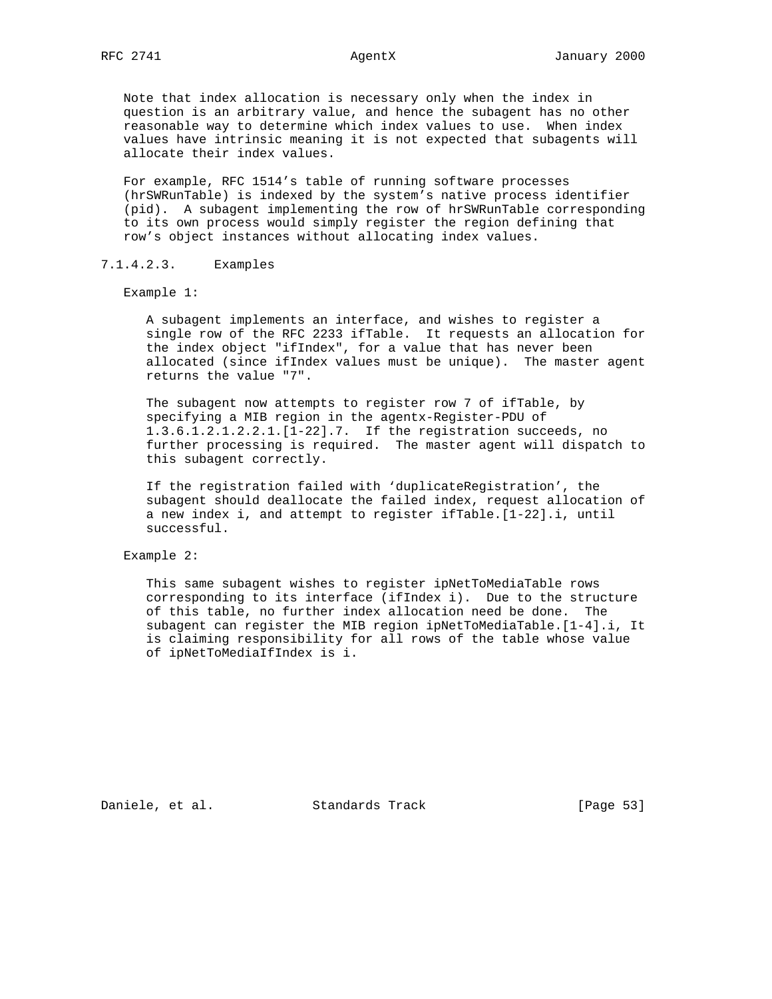Note that index allocation is necessary only when the index in question is an arbitrary value, and hence the subagent has no other reasonable way to determine which index values to use. When index values have intrinsic meaning it is not expected that subagents will allocate their index values.

 For example, RFC 1514's table of running software processes (hrSWRunTable) is indexed by the system's native process identifier (pid). A subagent implementing the row of hrSWRunTable corresponding to its own process would simply register the region defining that row's object instances without allocating index values.

7.1.4.2.3. Examples

Example 1:

 A subagent implements an interface, and wishes to register a single row of the RFC 2233 ifTable. It requests an allocation for the index object "ifIndex", for a value that has never been allocated (since ifIndex values must be unique). The master agent returns the value "7".

 The subagent now attempts to register row 7 of ifTable, by specifying a MIB region in the agentx-Register-PDU of 1.3.6.1.2.1.2.2.1.[1-22].7. If the registration succeeds, no further processing is required. The master agent will dispatch to this subagent correctly.

 If the registration failed with 'duplicateRegistration', the subagent should deallocate the failed index, request allocation of a new index i, and attempt to register ifTable.[1-22].i, until successful.

Example 2:

 This same subagent wishes to register ipNetToMediaTable rows corresponding to its interface (ifIndex i). Due to the structure of this table, no further index allocation need be done. The subagent can register the MIB region ipNetToMediaTable.[1-4].i, It is claiming responsibility for all rows of the table whose value of ipNetToMediaIfIndex is i.

Daniele, et al. Standards Track [Page 53]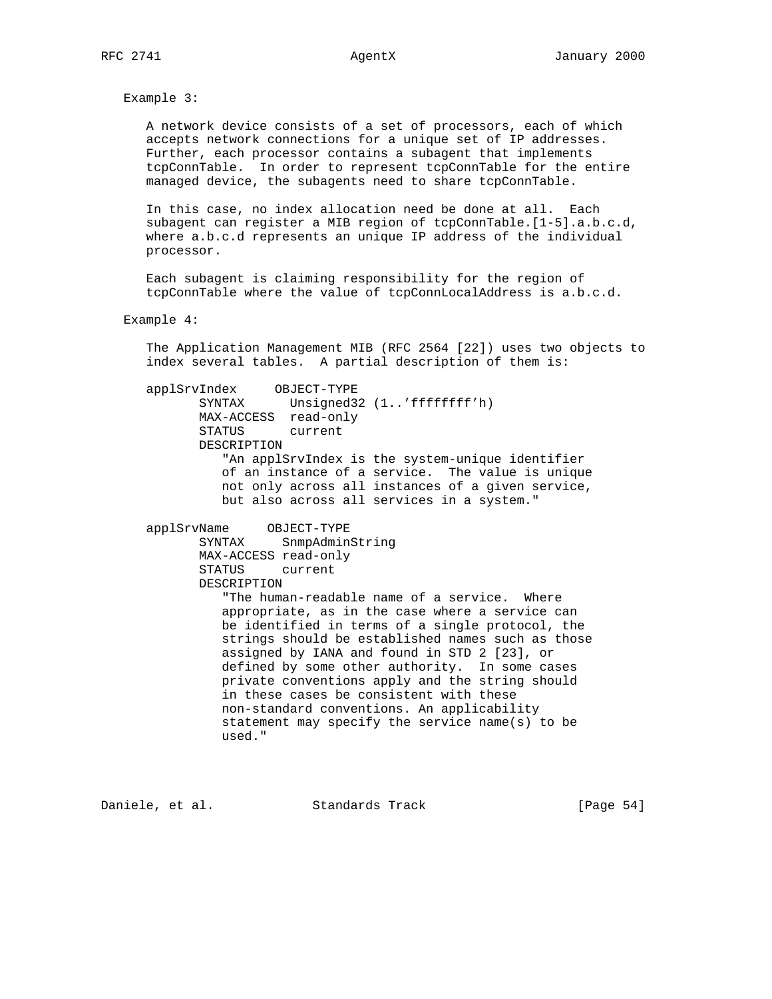Example 3:

 A network device consists of a set of processors, each of which accepts network connections for a unique set of IP addresses. Further, each processor contains a subagent that implements tcpConnTable. In order to represent tcpConnTable for the entire managed device, the subagents need to share tcpConnTable.

 In this case, no index allocation need be done at all. Each subagent can register a MIB region of tcpConnTable.[1-5].a.b.c.d, where a.b.c.d represents an unique IP address of the individual processor.

 Each subagent is claiming responsibility for the region of tcpConnTable where the value of tcpConnLocalAddress is a.b.c.d.

### Example 4:

 The Application Management MIB (RFC 2564 [22]) uses two objects to index several tables. A partial description of them is:

 applSrvIndex OBJECT-TYPE SYNTAX Unsigned32 (1..'ffffffff'h) MAX-ACCESS read-only STATUS current DESCRIPTION "An applSrvIndex is the system-unique identifier of an instance of a service. The value is unique not only across all instances of a given service, but also across all services in a system."

 applSrvName OBJECT-TYPE SYNTAX SnmpAdminString MAX-ACCESS read-only STATUS current DESCRIPTION "The human-readable name of a service. Where appropriate, as in the case where a service can be identified in terms of a single protocol, the strings should be established names such as those assigned by IANA and found in STD 2 [23], or defined by some other authority. In some cases private conventions apply and the string should in these cases be consistent with these non-standard conventions. An applicability statement may specify the service name(s) to be used."

Daniele, et al. Standards Track [Page 54]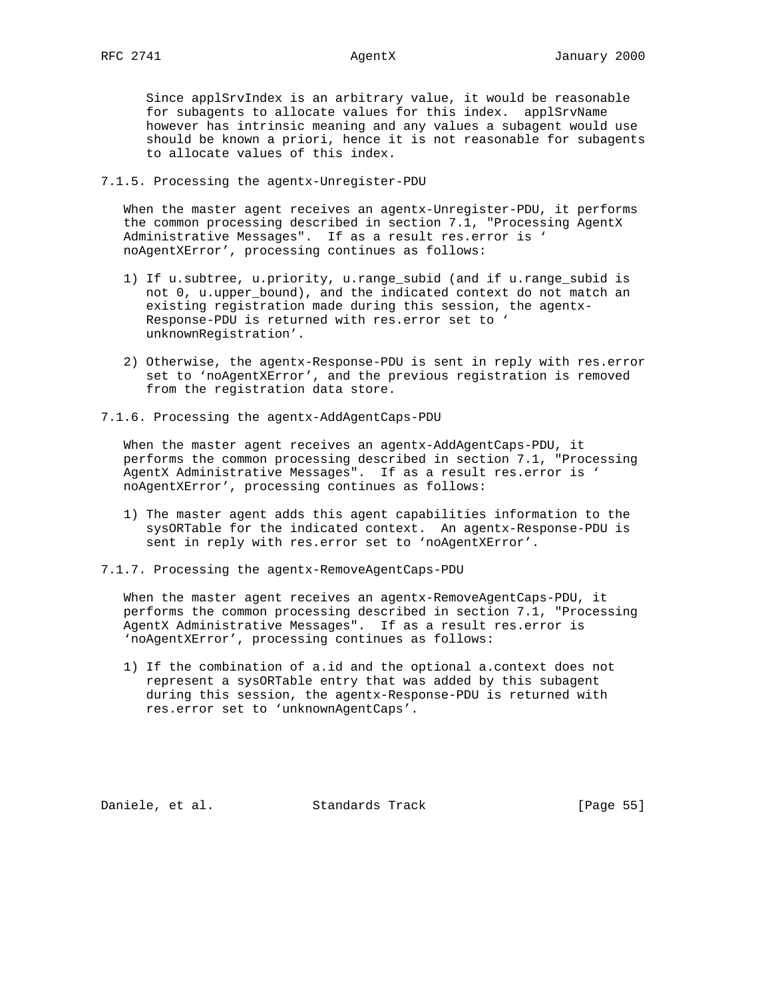Since applSrvIndex is an arbitrary value, it would be reasonable for subagents to allocate values for this index. applSrvName however has intrinsic meaning and any values a subagent would use should be known a priori, hence it is not reasonable for subagents to allocate values of this index.

# 7.1.5. Processing the agentx-Unregister-PDU

 When the master agent receives an agentx-Unregister-PDU, it performs the common processing described in section 7.1, "Processing AgentX Administrative Messages". If as a result res.error is ' noAgentXError', processing continues as follows:

- 1) If u.subtree, u.priority, u.range\_subid (and if u.range\_subid is not 0, u.upper\_bound), and the indicated context do not match an existing registration made during this session, the agentx- Response-PDU is returned with res.error set to ' unknownRegistration'.
- 2) Otherwise, the agentx-Response-PDU is sent in reply with res.error set to 'noAgentXError', and the previous registration is removed from the registration data store.
- 7.1.6. Processing the agentx-AddAgentCaps-PDU

 When the master agent receives an agentx-AddAgentCaps-PDU, it performs the common processing described in section 7.1, "Processing AgentX Administrative Messages". If as a result res.error is ' noAgentXError', processing continues as follows:

- 1) The master agent adds this agent capabilities information to the sysORTable for the indicated context. An agentx-Response-PDU is sent in reply with res.error set to 'noAgentXError'.
- 7.1.7. Processing the agentx-RemoveAgentCaps-PDU

 When the master agent receives an agentx-RemoveAgentCaps-PDU, it performs the common processing described in section 7.1, "Processing AgentX Administrative Messages". If as a result res.error is 'noAgentXError', processing continues as follows:

 1) If the combination of a.id and the optional a.context does not represent a sysORTable entry that was added by this subagent during this session, the agentx-Response-PDU is returned with res.error set to 'unknownAgentCaps'.

Daniele, et al. Standards Track [Page 55]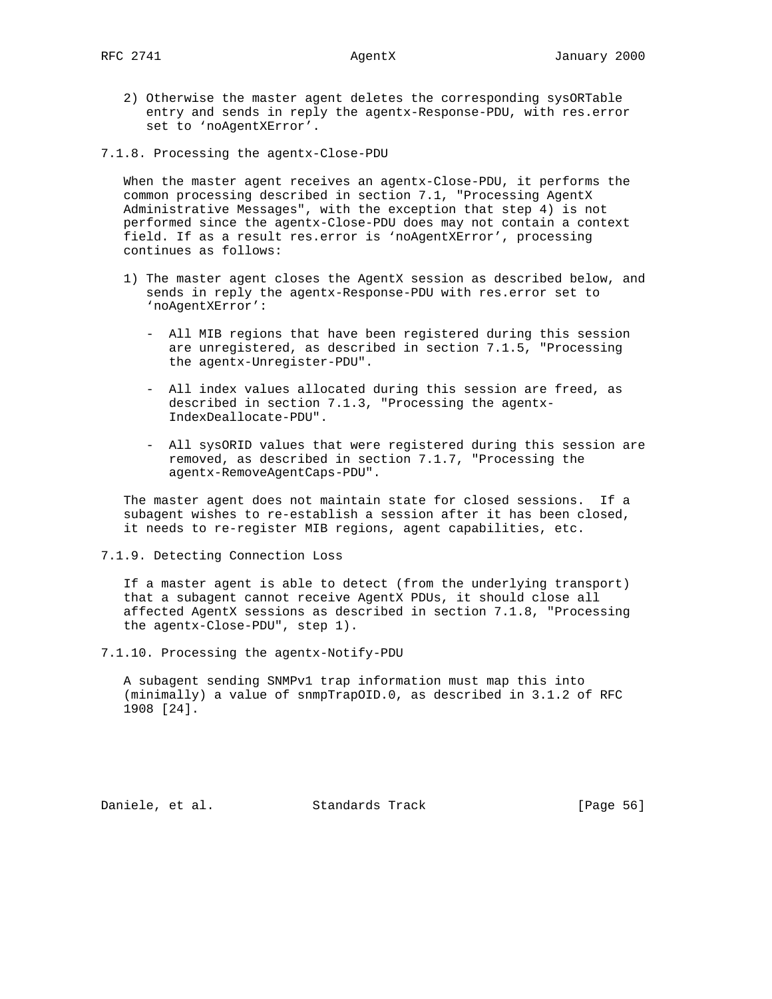- 2) Otherwise the master agent deletes the corresponding sysORTable entry and sends in reply the agentx-Response-PDU, with res.error set to 'noAgentXError'.
- 7.1.8. Processing the agentx-Close-PDU

 When the master agent receives an agentx-Close-PDU, it performs the common processing described in section 7.1, "Processing AgentX Administrative Messages", with the exception that step 4) is not performed since the agentx-Close-PDU does may not contain a context field. If as a result res.error is 'noAgentXError', processing continues as follows:

- 1) The master agent closes the AgentX session as described below, and sends in reply the agentx-Response-PDU with res.error set to 'noAgentXError':
	- All MIB regions that have been registered during this session are unregistered, as described in section 7.1.5, "Processing the agentx-Unregister-PDU".
	- All index values allocated during this session are freed, as described in section 7.1.3, "Processing the agentx- IndexDeallocate-PDU".
	- All sysORID values that were registered during this session are removed, as described in section 7.1.7, "Processing the agentx-RemoveAgentCaps-PDU".

 The master agent does not maintain state for closed sessions. If a subagent wishes to re-establish a session after it has been closed, it needs to re-register MIB regions, agent capabilities, etc.

7.1.9. Detecting Connection Loss

 If a master agent is able to detect (from the underlying transport) that a subagent cannot receive AgentX PDUs, it should close all affected AgentX sessions as described in section 7.1.8, "Processing the agentx-Close-PDU", step 1).

7.1.10. Processing the agentx-Notify-PDU

 A subagent sending SNMPv1 trap information must map this into (minimally) a value of snmpTrapOID.0, as described in 3.1.2 of RFC 1908 [24].

Daniele, et al. Standards Track [Page 56]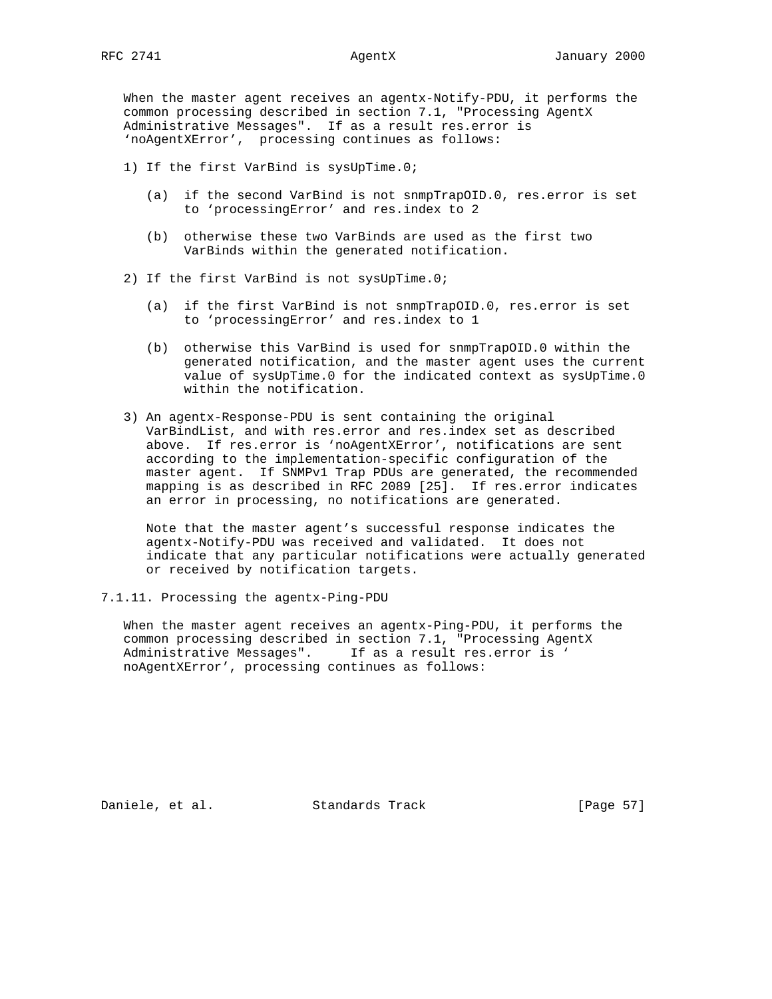When the master agent receives an agentx-Notify-PDU, it performs the common processing described in section 7.1, "Processing AgentX Administrative Messages". If as a result res.error is 'noAgentXError', processing continues as follows:

- 1) If the first VarBind is sysUpTime.0;
	- (a) if the second VarBind is not snmpTrapOID.0, res.error is set to 'processingError' and res.index to 2
	- (b) otherwise these two VarBinds are used as the first two VarBinds within the generated notification.
- 2) If the first VarBind is not sysUpTime.0;
	- (a) if the first VarBind is not snmpTrapOID.0, res.error is set to 'processingError' and res.index to 1
	- (b) otherwise this VarBind is used for snmpTrapOID.0 within the generated notification, and the master agent uses the current value of sysUpTime.0 for the indicated context as sysUpTime.0 within the notification.
- 3) An agentx-Response-PDU is sent containing the original VarBindList, and with res.error and res.index set as described above. If res.error is 'noAgentXError', notifications are sent according to the implementation-specific configuration of the master agent. If SNMPv1 Trap PDUs are generated, the recommended mapping is as described in RFC 2089 [25]. If res.error indicates an error in processing, no notifications are generated.

 Note that the master agent's successful response indicates the agentx-Notify-PDU was received and validated. It does not indicate that any particular notifications were actually generated or received by notification targets.

7.1.11. Processing the agentx-Ping-PDU

 When the master agent receives an agentx-Ping-PDU, it performs the common processing described in section 7.1, "Processing AgentX Administrative Messages". If as a result res.error is ' noAgentXError', processing continues as follows:

Daniele, et al. Standards Track [Page 57]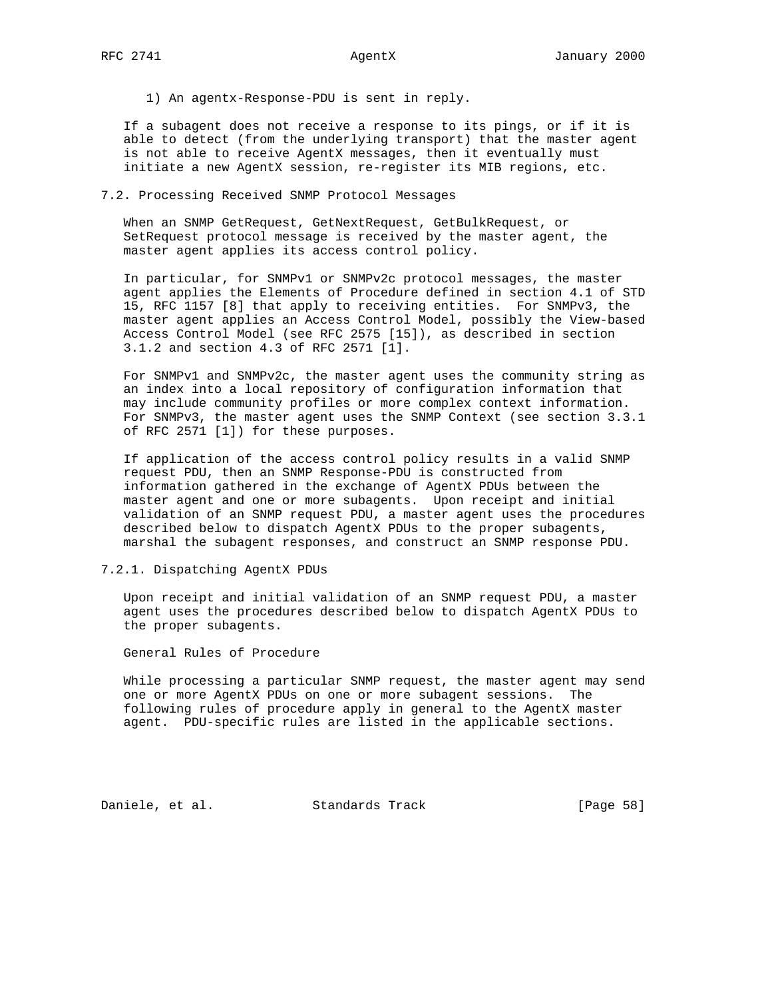1) An agentx-Response-PDU is sent in reply.

 If a subagent does not receive a response to its pings, or if it is able to detect (from the underlying transport) that the master agent is not able to receive AgentX messages, then it eventually must initiate a new AgentX session, re-register its MIB regions, etc.

# 7.2. Processing Received SNMP Protocol Messages

 When an SNMP GetRequest, GetNextRequest, GetBulkRequest, or SetRequest protocol message is received by the master agent, the master agent applies its access control policy.

 In particular, for SNMPv1 or SNMPv2c protocol messages, the master agent applies the Elements of Procedure defined in section 4.1 of STD 15, RFC 1157 [8] that apply to receiving entities. For SNMPv3, the master agent applies an Access Control Model, possibly the View-based Access Control Model (see RFC 2575 [15]), as described in section 3.1.2 and section 4.3 of RFC 2571 [1].

 For SNMPv1 and SNMPv2c, the master agent uses the community string as an index into a local repository of configuration information that may include community profiles or more complex context information. For SNMPv3, the master agent uses the SNMP Context (see section 3.3.1 of RFC 2571 [1]) for these purposes.

 If application of the access control policy results in a valid SNMP request PDU, then an SNMP Response-PDU is constructed from information gathered in the exchange of AgentX PDUs between the master agent and one or more subagents. Upon receipt and initial validation of an SNMP request PDU, a master agent uses the procedures described below to dispatch AgentX PDUs to the proper subagents, marshal the subagent responses, and construct an SNMP response PDU.

## 7.2.1. Dispatching AgentX PDUs

 Upon receipt and initial validation of an SNMP request PDU, a master agent uses the procedures described below to dispatch AgentX PDUs to the proper subagents.

General Rules of Procedure

 While processing a particular SNMP request, the master agent may send one or more AgentX PDUs on one or more subagent sessions. The following rules of procedure apply in general to the AgentX master agent. PDU-specific rules are listed in the applicable sections.

Daniele, et al. Standards Track [Page 58]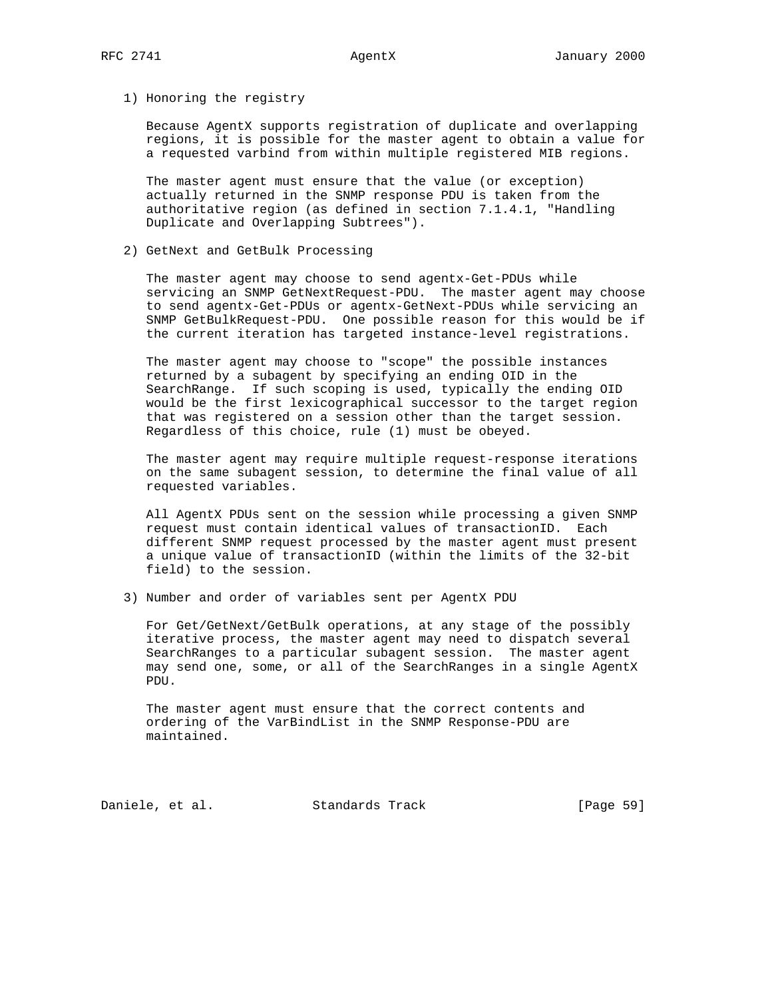1) Honoring the registry

 Because AgentX supports registration of duplicate and overlapping regions, it is possible for the master agent to obtain a value for a requested varbind from within multiple registered MIB regions.

 The master agent must ensure that the value (or exception) actually returned in the SNMP response PDU is taken from the authoritative region (as defined in section 7.1.4.1, "Handling Duplicate and Overlapping Subtrees").

2) GetNext and GetBulk Processing

 The master agent may choose to send agentx-Get-PDUs while servicing an SNMP GetNextRequest-PDU. The master agent may choose to send agentx-Get-PDUs or agentx-GetNext-PDUs while servicing an SNMP GetBulkRequest-PDU. One possible reason for this would be if the current iteration has targeted instance-level registrations.

 The master agent may choose to "scope" the possible instances returned by a subagent by specifying an ending OID in the SearchRange. If such scoping is used, typically the ending OID would be the first lexicographical successor to the target region that was registered on a session other than the target session. Regardless of this choice, rule (1) must be obeyed.

 The master agent may require multiple request-response iterations on the same subagent session, to determine the final value of all requested variables.

 All AgentX PDUs sent on the session while processing a given SNMP request must contain identical values of transactionID. Each different SNMP request processed by the master agent must present a unique value of transactionID (within the limits of the 32-bit field) to the session.

3) Number and order of variables sent per AgentX PDU

 For Get/GetNext/GetBulk operations, at any stage of the possibly iterative process, the master agent may need to dispatch several SearchRanges to a particular subagent session. The master agent may send one, some, or all of the SearchRanges in a single AgentX PDU.

 The master agent must ensure that the correct contents and ordering of the VarBindList in the SNMP Response-PDU are maintained.

Daniele, et al. Standards Track [Page 59]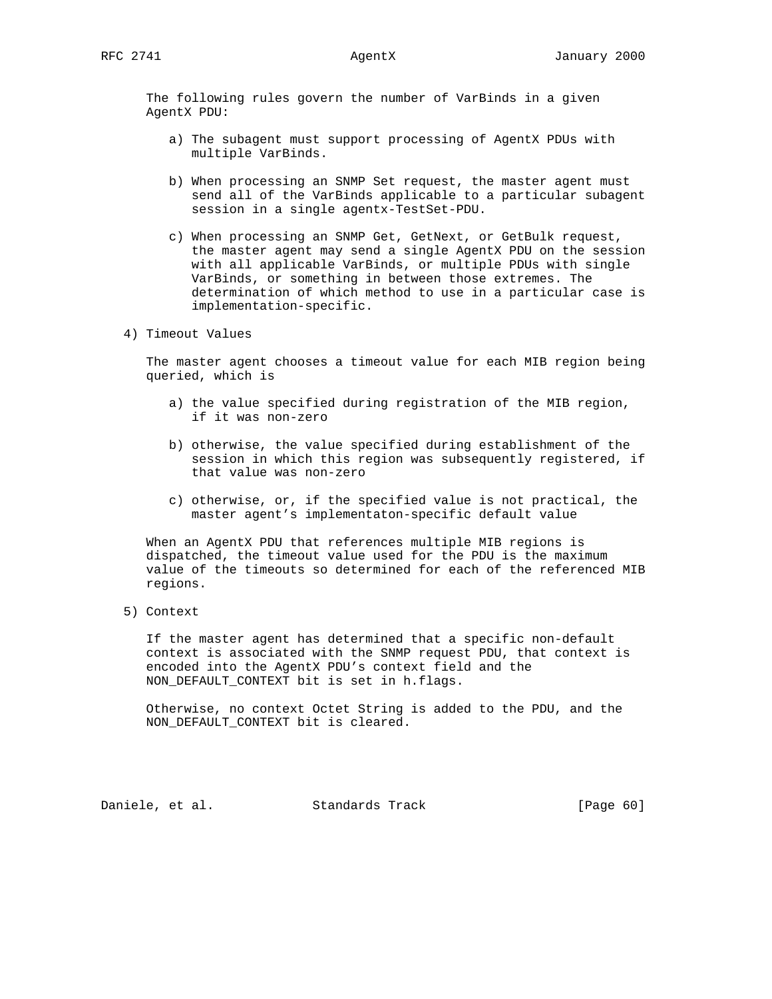The following rules govern the number of VarBinds in a given AgentX PDU:

- a) The subagent must support processing of AgentX PDUs with multiple VarBinds.
- b) When processing an SNMP Set request, the master agent must send all of the VarBinds applicable to a particular subagent session in a single agentx-TestSet-PDU.
- c) When processing an SNMP Get, GetNext, or GetBulk request, the master agent may send a single AgentX PDU on the session with all applicable VarBinds, or multiple PDUs with single VarBinds, or something in between those extremes. The determination of which method to use in a particular case is implementation-specific.
- 4) Timeout Values

 The master agent chooses a timeout value for each MIB region being queried, which is

- a) the value specified during registration of the MIB region, if it was non-zero
- b) otherwise, the value specified during establishment of the session in which this region was subsequently registered, if that value was non-zero
- c) otherwise, or, if the specified value is not practical, the master agent's implementaton-specific default value

 When an AgentX PDU that references multiple MIB regions is dispatched, the timeout value used for the PDU is the maximum value of the timeouts so determined for each of the referenced MIB regions.

5) Context

 If the master agent has determined that a specific non-default context is associated with the SNMP request PDU, that context is encoded into the AgentX PDU's context field and the NON\_DEFAULT\_CONTEXT bit is set in h.flags.

 Otherwise, no context Octet String is added to the PDU, and the NON\_DEFAULT\_CONTEXT bit is cleared.

Daniele, et al. Standards Track [Page 60]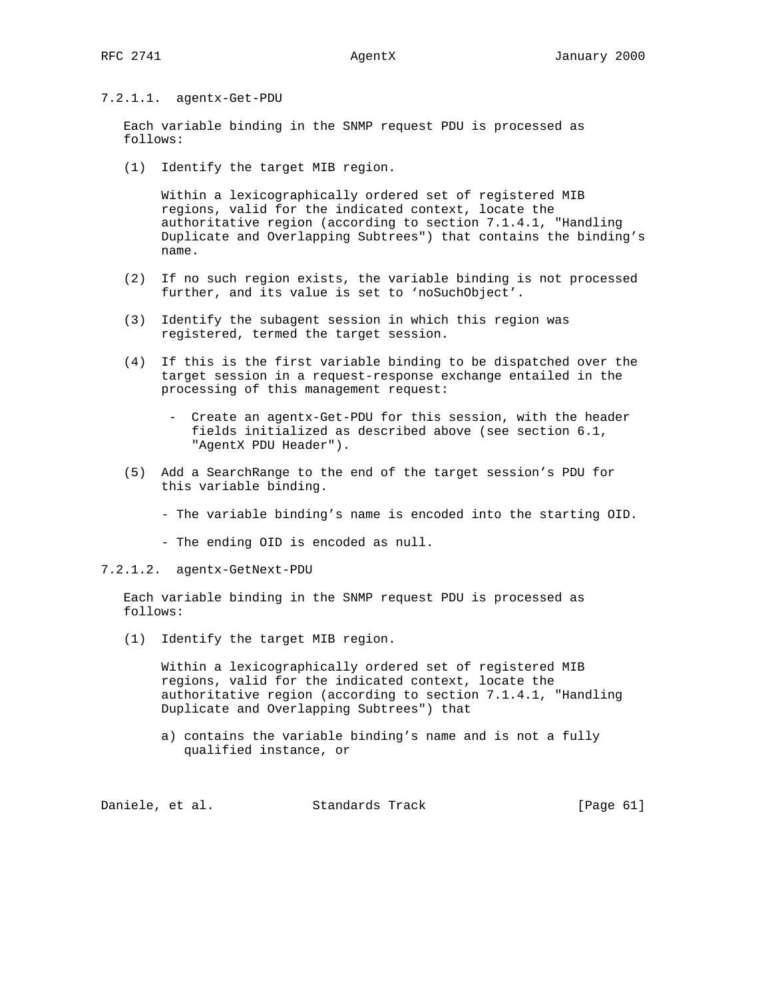# 7.2.1.1. agentx-Get-PDU

 Each variable binding in the SNMP request PDU is processed as follows:

(1) Identify the target MIB region.

 Within a lexicographically ordered set of registered MIB regions, valid for the indicated context, locate the authoritative region (according to section 7.1.4.1, "Handling Duplicate and Overlapping Subtrees") that contains the binding's name.

- (2) If no such region exists, the variable binding is not processed further, and its value is set to 'noSuchObject'.
- (3) Identify the subagent session in which this region was registered, termed the target session.
- (4) If this is the first variable binding to be dispatched over the target session in a request-response exchange entailed in the processing of this management request:
	- Create an agentx-Get-PDU for this session, with the header fields initialized as described above (see section 6.1, "AgentX PDU Header").
- (5) Add a SearchRange to the end of the target session's PDU for this variable binding.
	- The variable binding's name is encoded into the starting OID.
	- The ending OID is encoded as null.
- 7.2.1.2. agentx-GetNext-PDU

 Each variable binding in the SNMP request PDU is processed as follows:

(1) Identify the target MIB region.

 Within a lexicographically ordered set of registered MIB regions, valid for the indicated context, locate the authoritative region (according to section 7.1.4.1, "Handling Duplicate and Overlapping Subtrees") that

 a) contains the variable binding's name and is not a fully qualified instance, or

Daniele, et al. Standards Track [Page 61]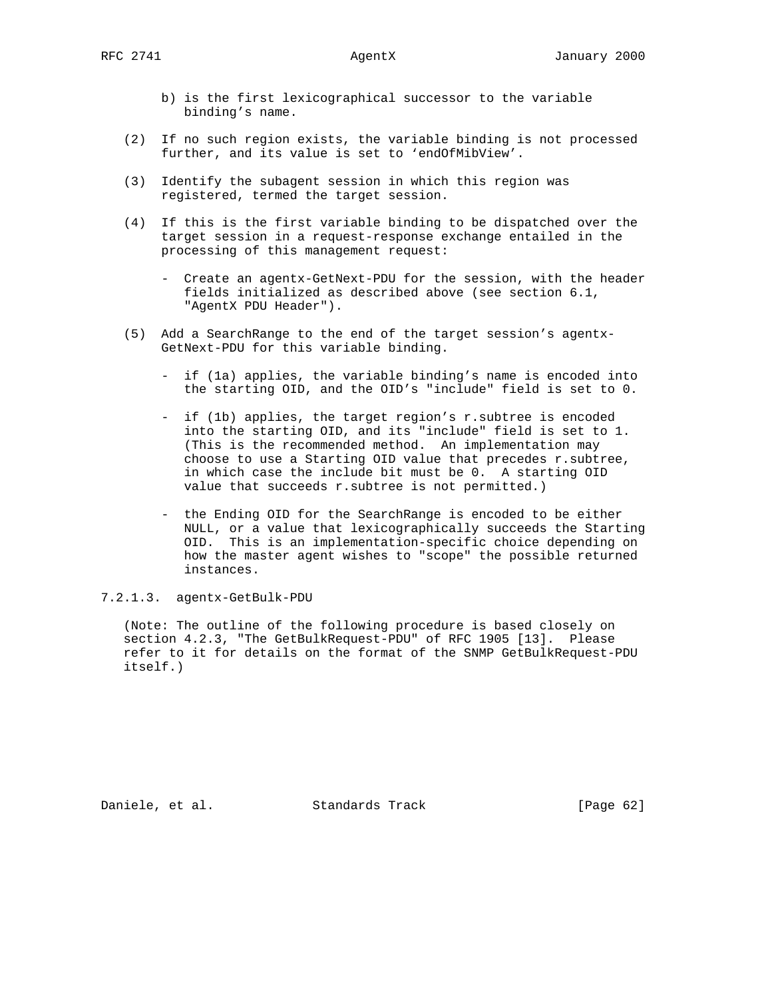- b) is the first lexicographical successor to the variable binding's name.
- (2) If no such region exists, the variable binding is not processed further, and its value is set to 'endOfMibView'.
- (3) Identify the subagent session in which this region was registered, termed the target session.
- (4) If this is the first variable binding to be dispatched over the target session in a request-response exchange entailed in the processing of this management request:
	- Create an agentx-GetNext-PDU for the session, with the header fields initialized as described above (see section 6.1, "AgentX PDU Header").
- (5) Add a SearchRange to the end of the target session's agentx- GetNext-PDU for this variable binding.
	- if (1a) applies, the variable binding's name is encoded into the starting OID, and the OID's "include" field is set to 0.
	- if (1b) applies, the target region's r.subtree is encoded into the starting OID, and its "include" field is set to 1. (This is the recommended method. An implementation may choose to use a Starting OID value that precedes r.subtree, in which case the include bit must be 0. A starting OID value that succeeds r.subtree is not permitted.)
	- the Ending OID for the SearchRange is encoded to be either NULL, or a value that lexicographically succeeds the Starting OID. This is an implementation-specific choice depending on how the master agent wishes to "scope" the possible returned instances.

7.2.1.3. agentx-GetBulk-PDU

 (Note: The outline of the following procedure is based closely on section 4.2.3, "The GetBulkRequest-PDU" of RFC 1905 [13]. Please refer to it for details on the format of the SNMP GetBulkRequest-PDU itself.)

Daniele, et al. Standards Track [Page 62]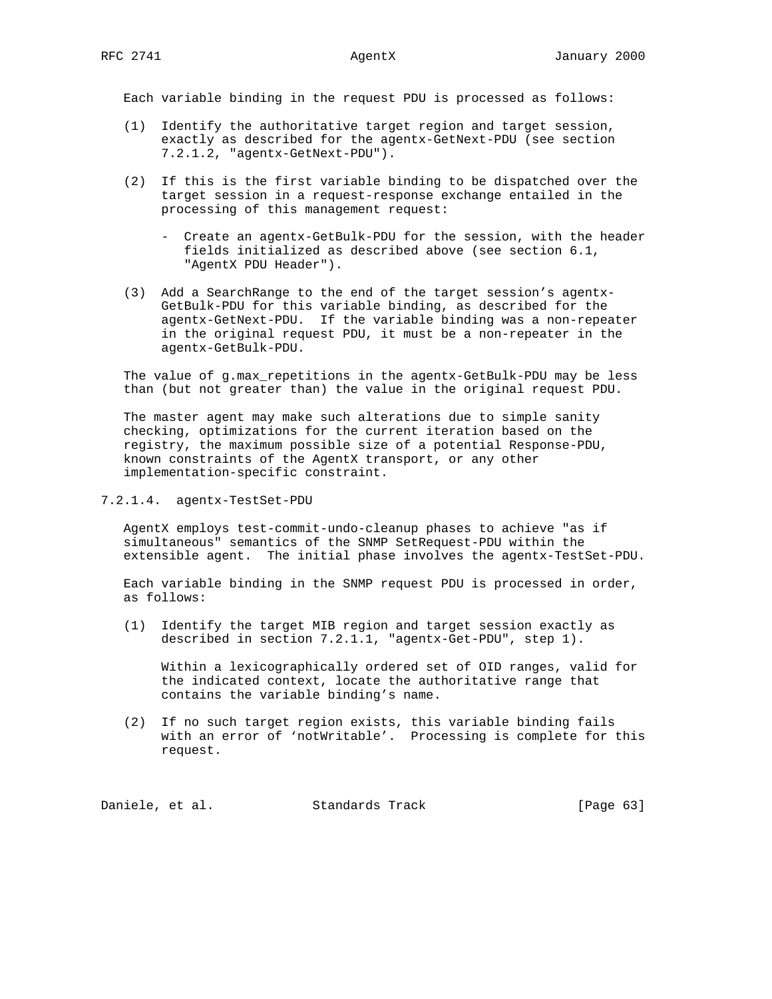Each variable binding in the request PDU is processed as follows:

- (1) Identify the authoritative target region and target session, exactly as described for the agentx-GetNext-PDU (see section 7.2.1.2, "agentx-GetNext-PDU").
- (2) If this is the first variable binding to be dispatched over the target session in a request-response exchange entailed in the processing of this management request:
	- Create an agentx-GetBulk-PDU for the session, with the header fields initialized as described above (see section 6.1, "AgentX PDU Header").
- (3) Add a SearchRange to the end of the target session's agentx- GetBulk-PDU for this variable binding, as described for the agentx-GetNext-PDU. If the variable binding was a non-repeater in the original request PDU, it must be a non-repeater in the agentx-GetBulk-PDU.

 The value of g.max\_repetitions in the agentx-GetBulk-PDU may be less than (but not greater than) the value in the original request PDU.

 The master agent may make such alterations due to simple sanity checking, optimizations for the current iteration based on the registry, the maximum possible size of a potential Response-PDU, known constraints of the AgentX transport, or any other implementation-specific constraint.

# 7.2.1.4. agentx-TestSet-PDU

 AgentX employs test-commit-undo-cleanup phases to achieve "as if simultaneous" semantics of the SNMP SetRequest-PDU within the extensible agent. The initial phase involves the agentx-TestSet-PDU.

 Each variable binding in the SNMP request PDU is processed in order, as follows:

 (1) Identify the target MIB region and target session exactly as described in section 7.2.1.1, "agentx-Get-PDU", step 1).

 Within a lexicographically ordered set of OID ranges, valid for the indicated context, locate the authoritative range that contains the variable binding's name.

 (2) If no such target region exists, this variable binding fails with an error of 'notWritable'. Processing is complete for this request.

Daniele, et al. Standards Track [Page 63]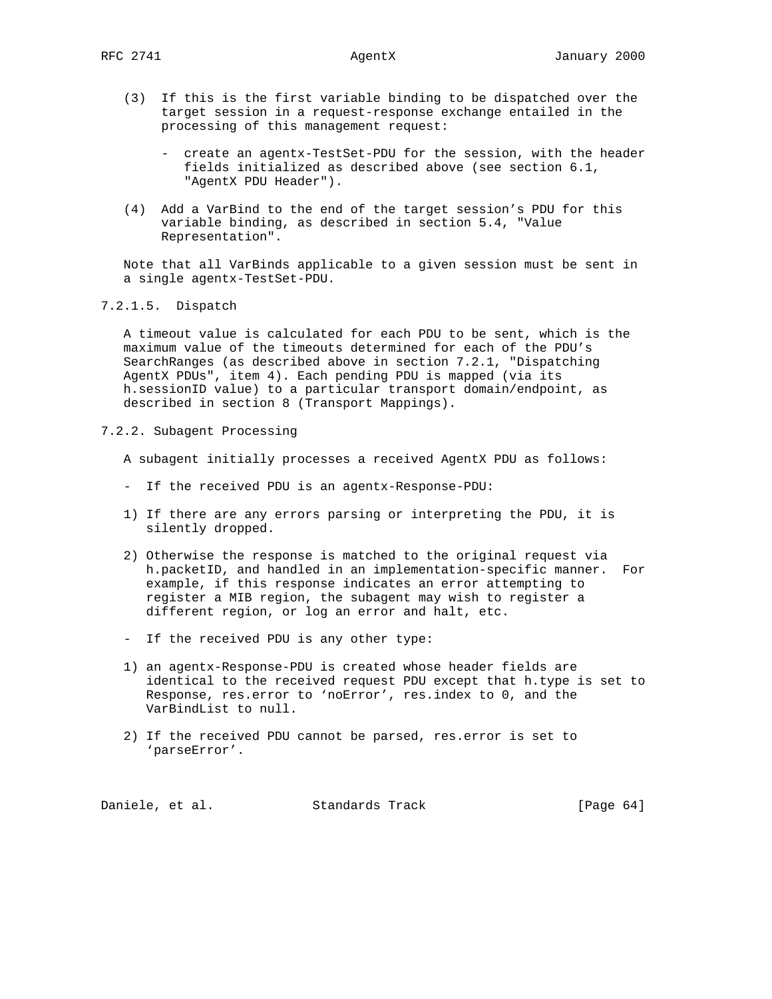- (3) If this is the first variable binding to be dispatched over the target session in a request-response exchange entailed in the processing of this management request:
	- create an agentx-TestSet-PDU for the session, with the header fields initialized as described above (see section 6.1, "AgentX PDU Header").
- (4) Add a VarBind to the end of the target session's PDU for this variable binding, as described in section 5.4, "Value Representation".

 Note that all VarBinds applicable to a given session must be sent in a single agentx-TestSet-PDU.

7.2.1.5. Dispatch

 A timeout value is calculated for each PDU to be sent, which is the maximum value of the timeouts determined for each of the PDU's SearchRanges (as described above in section 7.2.1, "Dispatching AgentX PDUs", item 4). Each pending PDU is mapped (via its h.sessionID value) to a particular transport domain/endpoint, as described in section 8 (Transport Mappings).

7.2.2. Subagent Processing

A subagent initially processes a received AgentX PDU as follows:

- If the received PDU is an agentx-Response-PDU:
- 1) If there are any errors parsing or interpreting the PDU, it is silently dropped.
- 2) Otherwise the response is matched to the original request via h.packetID, and handled in an implementation-specific manner. For example, if this response indicates an error attempting to register a MIB region, the subagent may wish to register a different region, or log an error and halt, etc.
- If the received PDU is any other type:
- 1) an agentx-Response-PDU is created whose header fields are identical to the received request PDU except that h.type is set to Response, res.error to 'noError', res.index to 0, and the VarBindList to null.
- 2) If the received PDU cannot be parsed, res.error is set to 'parseError'.

Daniele, et al. Standards Track [Page 64]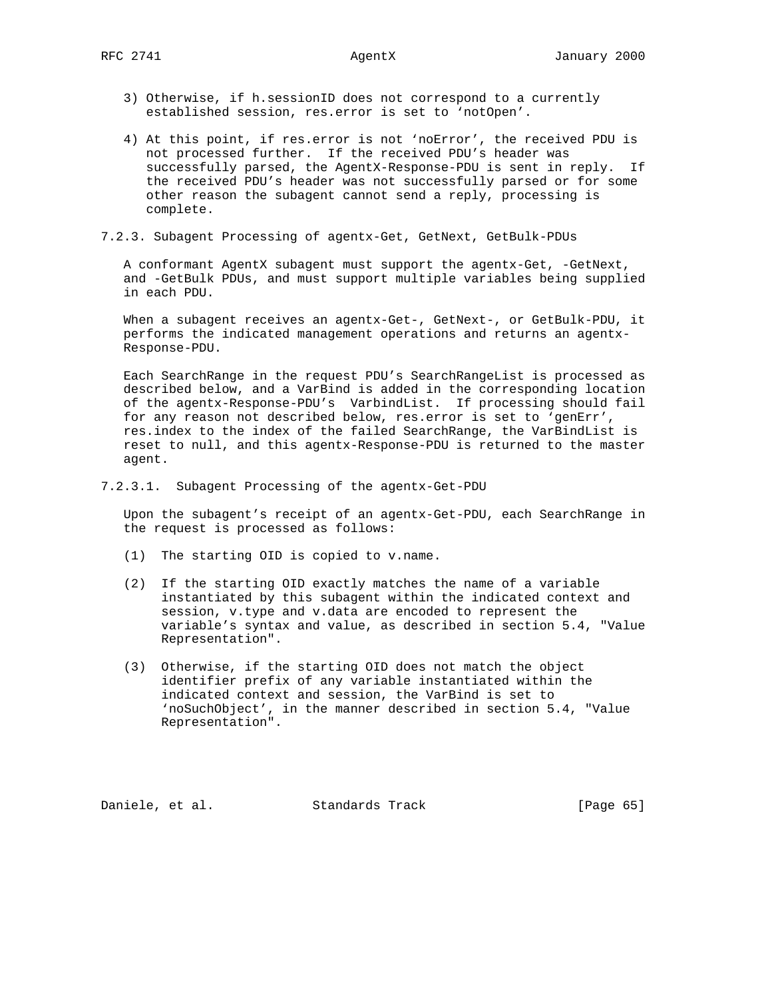- 3) Otherwise, if h.sessionID does not correspond to a currently established session, res.error is set to 'notOpen'.
- 4) At this point, if res.error is not 'noError', the received PDU is not processed further. If the received PDU's header was successfully parsed, the AgentX-Response-PDU is sent in reply. If the received PDU's header was not successfully parsed or for some other reason the subagent cannot send a reply, processing is complete.
- 7.2.3. Subagent Processing of agentx-Get, GetNext, GetBulk-PDUs

 A conformant AgentX subagent must support the agentx-Get, -GetNext, and -GetBulk PDUs, and must support multiple variables being supplied in each PDU.

When a subagent receives an agentx-Get-, GetNext-, or GetBulk-PDU, it performs the indicated management operations and returns an agentx- Response-PDU.

 Each SearchRange in the request PDU's SearchRangeList is processed as described below, and a VarBind is added in the corresponding location of the agentx-Response-PDU's VarbindList. If processing should fail for any reason not described below, res.error is set to 'genErr', res.index to the index of the failed SearchRange, the VarBindList is reset to null, and this agentx-Response-PDU is returned to the master agent.

7.2.3.1. Subagent Processing of the agentx-Get-PDU

 Upon the subagent's receipt of an agentx-Get-PDU, each SearchRange in the request is processed as follows:

- (1) The starting OID is copied to v.name.
- (2) If the starting OID exactly matches the name of a variable instantiated by this subagent within the indicated context and session, v.type and v.data are encoded to represent the variable's syntax and value, as described in section 5.4, "Value Representation".
- (3) Otherwise, if the starting OID does not match the object identifier prefix of any variable instantiated within the indicated context and session, the VarBind is set to 'noSuchObject', in the manner described in section 5.4, "Value Representation".

Daniele, et al. Standards Track [Page 65]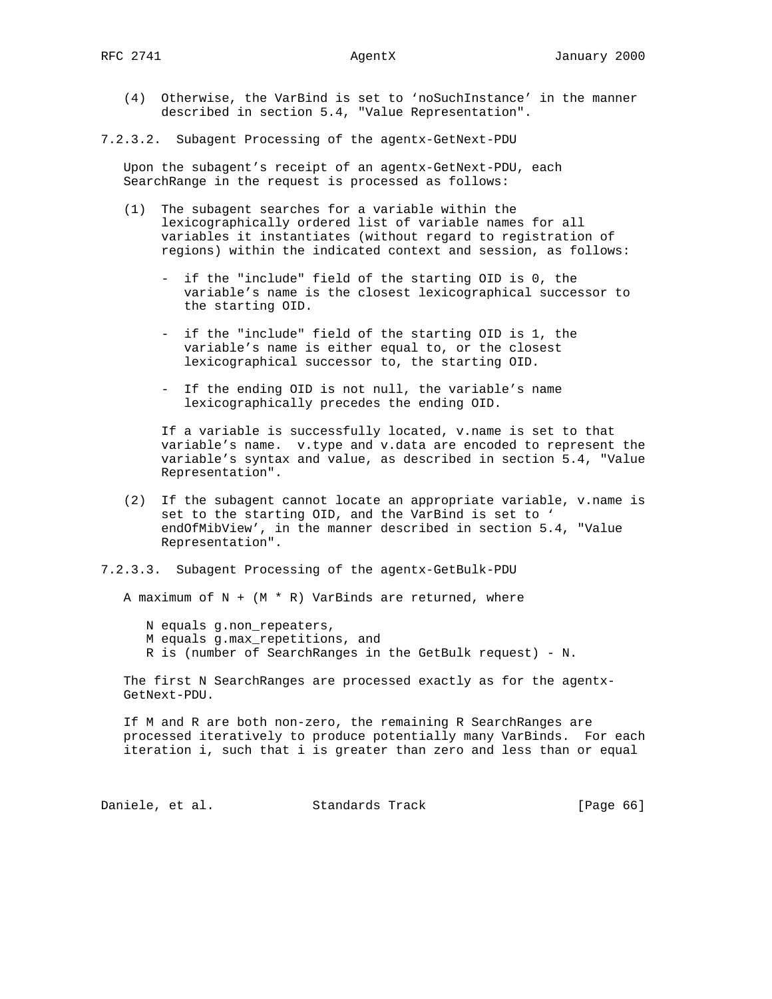(4) Otherwise, the VarBind is set to 'noSuchInstance' in the manner described in section 5.4, "Value Representation".

### 7.2.3.2. Subagent Processing of the agentx-GetNext-PDU

 Upon the subagent's receipt of an agentx-GetNext-PDU, each SearchRange in the request is processed as follows:

- (1) The subagent searches for a variable within the lexicographically ordered list of variable names for all variables it instantiates (without regard to registration of regions) within the indicated context and session, as follows:
	- if the "include" field of the starting OID is 0, the variable's name is the closest lexicographical successor to the starting OID.
	- if the "include" field of the starting OID is 1, the variable's name is either equal to, or the closest lexicographical successor to, the starting OID.
	- If the ending OID is not null, the variable's name lexicographically precedes the ending OID.

 If a variable is successfully located, v.name is set to that variable's name. v.type and v.data are encoded to represent the variable's syntax and value, as described in section 5.4, "Value Representation".

 (2) If the subagent cannot locate an appropriate variable, v.name is set to the starting OID, and the VarBind is set to ' endOfMibView', in the manner described in section 5.4, "Value Representation".

## 7.2.3.3. Subagent Processing of the agentx-GetBulk-PDU

A maximum of  $N + (M * R)$  VarBinds are returned, where

N equals g.non\_repeaters,

- M equals g.max\_repetitions, and
- R is (number of SearchRanges in the GetBulk request) N.

 The first N SearchRanges are processed exactly as for the agentx- GetNext-PDU.

 If M and R are both non-zero, the remaining R SearchRanges are processed iteratively to produce potentially many VarBinds. For each iteration i, such that i is greater than zero and less than or equal

Daniele, et al. Standards Track [Page 66]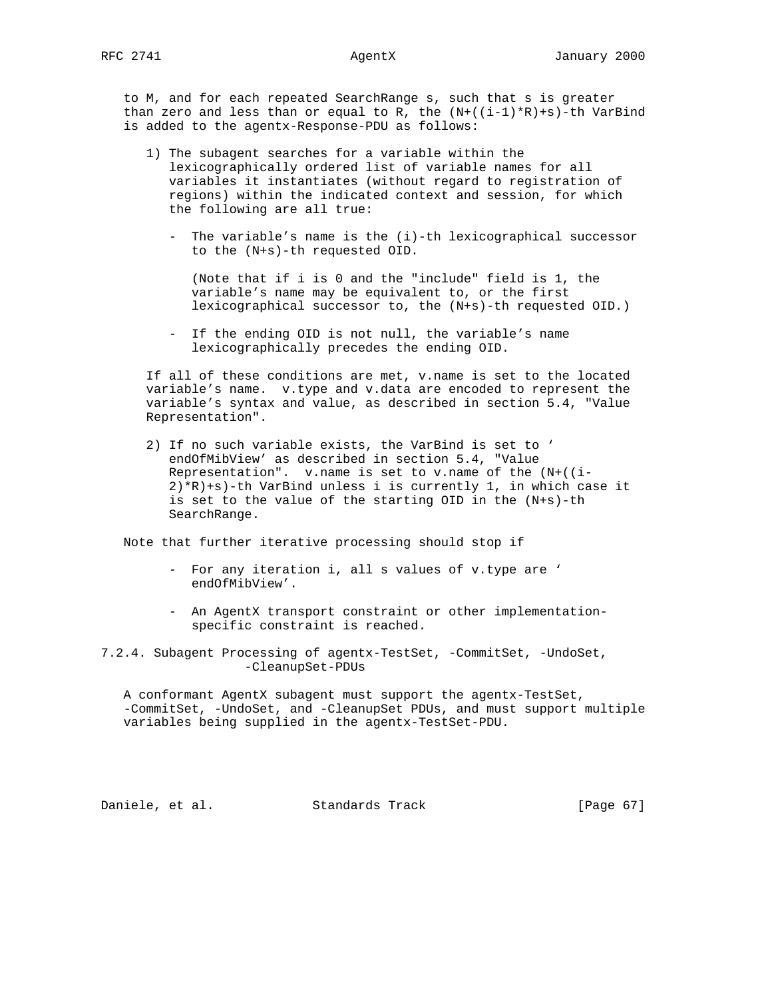to M, and for each repeated SearchRange s, such that s is greater than zero and less than or equal to R, the  $(N+((i-1)*R)+s)-th$  VarBind is added to the agentx-Response-PDU as follows:

- 1) The subagent searches for a variable within the lexicographically ordered list of variable names for all variables it instantiates (without regard to registration of regions) within the indicated context and session, for which the following are all true:
	- The variable's name is the (i)-th lexicographical successor to the (N+s)-th requested OID.

 (Note that if i is 0 and the "include" field is 1, the variable's name may be equivalent to, or the first lexicographical successor to, the (N+s)-th requested OID.)

 - If the ending OID is not null, the variable's name lexicographically precedes the ending OID.

 If all of these conditions are met, v.name is set to the located variable's name. v.type and v.data are encoded to represent the variable's syntax and value, as described in section 5.4, "Value Representation".

 2) If no such variable exists, the VarBind is set to ' endOfMibView' as described in section 5.4, "Value Representation". v.name is set to v.name of the (N+((i- 2)\*R)+s)-th VarBind unless i is currently 1, in which case it is set to the value of the starting OID in the (N+s)-th SearchRange.

Note that further iterative processing should stop if

- For any iteration i, all s values of v.type are ' endOfMibView'.
- An AgentX transport constraint or other implementation specific constraint is reached.
- 7.2.4. Subagent Processing of agentx-TestSet, -CommitSet, -UndoSet, -CleanupSet-PDUs

 A conformant AgentX subagent must support the agentx-TestSet, -CommitSet, -UndoSet, and -CleanupSet PDUs, and must support multiple variables being supplied in the agentx-TestSet-PDU.

Daniele, et al. Standards Track [Page 67]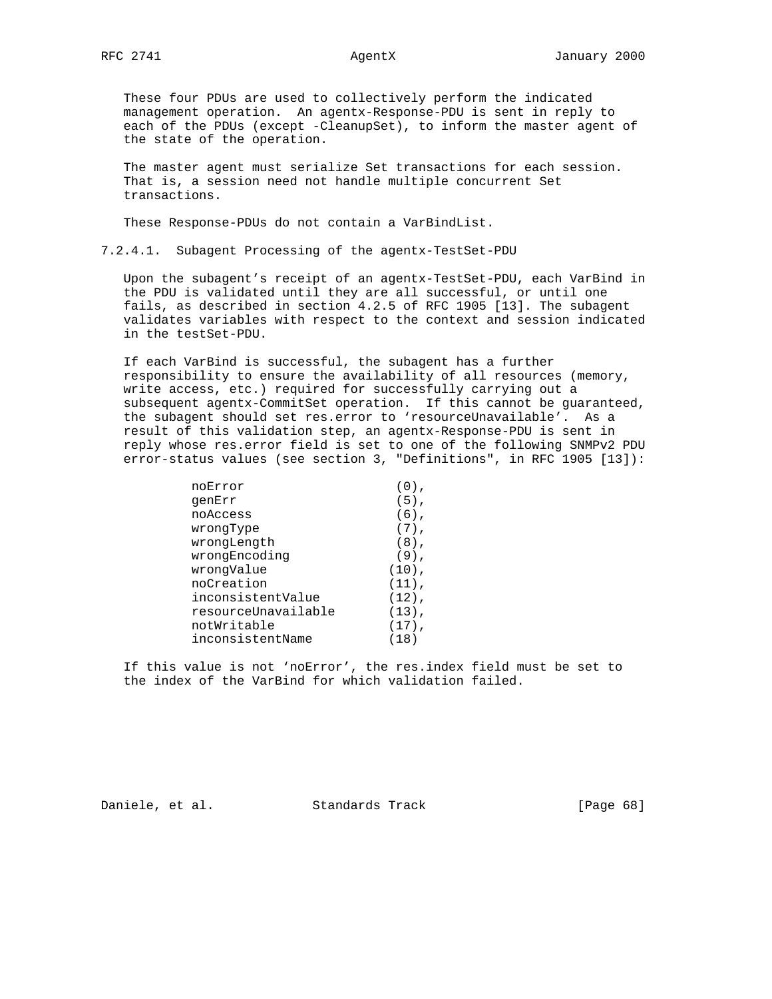These four PDUs are used to collectively perform the indicated management operation. An agentx-Response-PDU is sent in reply to each of the PDUs (except -CleanupSet), to inform the master agent of the state of the operation.

 The master agent must serialize Set transactions for each session. That is, a session need not handle multiple concurrent Set transactions.

These Response-PDUs do not contain a VarBindList.

7.2.4.1. Subagent Processing of the agentx-TestSet-PDU

 Upon the subagent's receipt of an agentx-TestSet-PDU, each VarBind in the PDU is validated until they are all successful, or until one fails, as described in section 4.2.5 of RFC 1905 [13]. The subagent validates variables with respect to the context and session indicated in the testSet-PDU.

 If each VarBind is successful, the subagent has a further responsibility to ensure the availability of all resources (memory, write access, etc.) required for successfully carrying out a subsequent agentx-CommitSet operation. If this cannot be guaranteed, the subagent should set res.error to 'resourceUnavailable'. As a result of this validation step, an agentx-Response-PDU is sent in reply whose res.error field is set to one of the following SNMPv2 PDU error-status values (see section 3, "Definitions", in RFC 1905 [13]):

| noError             |          |
|---------------------|----------|
| qenErr              | $(5)$ ,  |
| noAccess            | $(6)$ ,  |
| wrongType           | $(7)$ ,  |
| wrongLength         | $(8)$ ,  |
| wrongEncoding       | $(9)$ ,  |
| wrongValue          | $(10)$ , |
| noCreation          | $(11)$ , |
| inconsistentValue   | $(12)$ , |
| resourceUnavailable | $(13)$ , |
| notWritable         | $(17)$ , |
| inconsistentName    | (18)     |
|                     |          |

 If this value is not 'noError', the res.index field must be set to the index of the VarBind for which validation failed.

Daniele, et al. Standards Track [Page 68]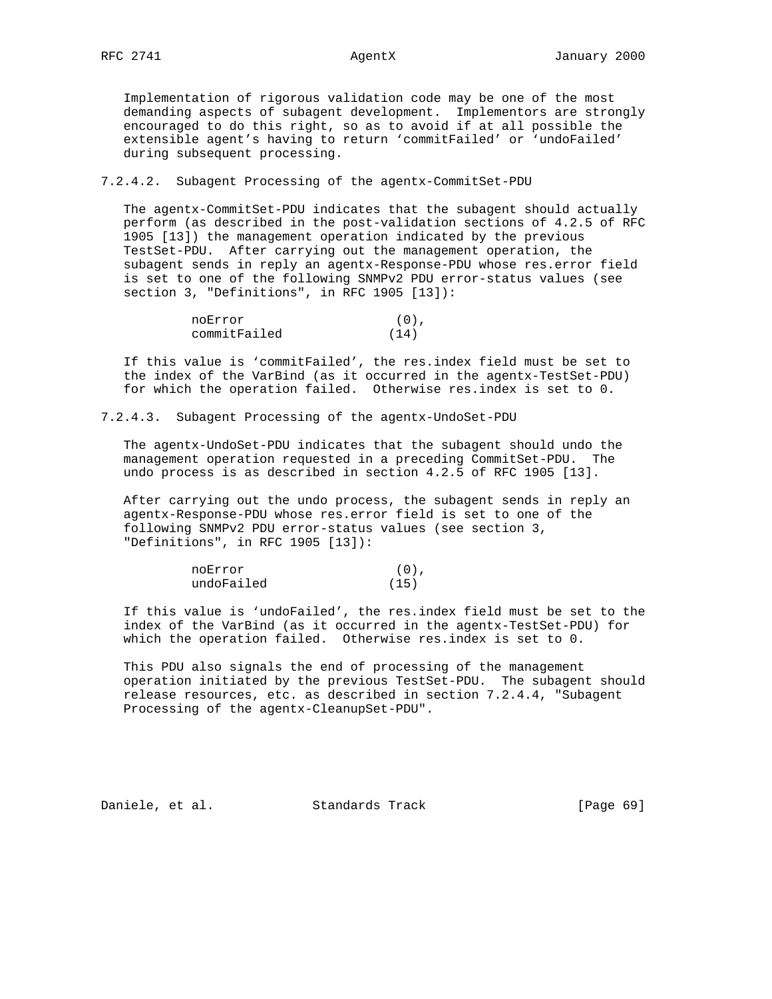Implementation of rigorous validation code may be one of the most demanding aspects of subagent development. Implementors are strongly encouraged to do this right, so as to avoid if at all possible the extensible agent's having to return 'commitFailed' or 'undoFailed' during subsequent processing.

7.2.4.2. Subagent Processing of the agentx-CommitSet-PDU

 The agentx-CommitSet-PDU indicates that the subagent should actually perform (as described in the post-validation sections of 4.2.5 of RFC 1905 [13]) the management operation indicated by the previous TestSet-PDU. After carrying out the management operation, the subagent sends in reply an agentx-Response-PDU whose res.error field is set to one of the following SNMPv2 PDU error-status values (see section 3, "Definitions", in RFC 1905 [13]):

| noError      | $(0)$ , |
|--------------|---------|
| commitFailed | (14)    |

 If this value is 'commitFailed', the res.index field must be set to the index of the VarBind (as it occurred in the agentx-TestSet-PDU) for which the operation failed. Otherwise res.index is set to 0.

7.2.4.3. Subagent Processing of the agentx-UndoSet-PDU

 The agentx-UndoSet-PDU indicates that the subagent should undo the management operation requested in a preceding CommitSet-PDU. The undo process is as described in section 4.2.5 of RFC 1905 [13].

 After carrying out the undo process, the subagent sends in reply an agentx-Response-PDU whose res.error field is set to one of the following SNMPv2 PDU error-status values (see section 3, "Definitions", in RFC 1905 [13]):

| noError    | (0). |
|------------|------|
| undoFailed | (15) |

 If this value is 'undoFailed', the res.index field must be set to the index of the VarBind (as it occurred in the agentx-TestSet-PDU) for which the operation failed. Otherwise res.index is set to 0.

 This PDU also signals the end of processing of the management operation initiated by the previous TestSet-PDU. The subagent should release resources, etc. as described in section 7.2.4.4, "Subagent Processing of the agentx-CleanupSet-PDU".

Daniele, et al. Standards Track [Page 69]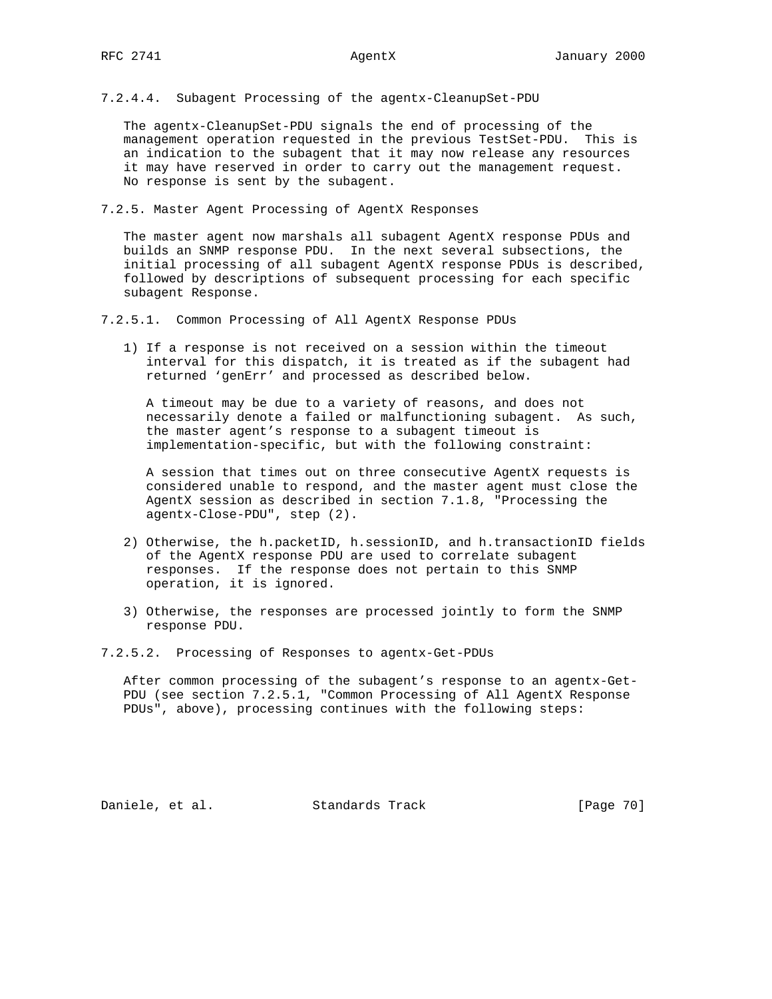7.2.4.4. Subagent Processing of the agentx-CleanupSet-PDU

 The agentx-CleanupSet-PDU signals the end of processing of the management operation requested in the previous TestSet-PDU. This is an indication to the subagent that it may now release any resources it may have reserved in order to carry out the management request. No response is sent by the subagent.

7.2.5. Master Agent Processing of AgentX Responses

 The master agent now marshals all subagent AgentX response PDUs and builds an SNMP response PDU. In the next several subsections, the initial processing of all subagent AgentX response PDUs is described, followed by descriptions of subsequent processing for each specific subagent Response.

7.2.5.1. Common Processing of All AgentX Response PDUs

 1) If a response is not received on a session within the timeout interval for this dispatch, it is treated as if the subagent had returned 'genErr' and processed as described below.

 A timeout may be due to a variety of reasons, and does not necessarily denote a failed or malfunctioning subagent. As such, the master agent's response to a subagent timeout is implementation-specific, but with the following constraint:

 A session that times out on three consecutive AgentX requests is considered unable to respond, and the master agent must close the AgentX session as described in section 7.1.8, "Processing the agentx-Close-PDU", step (2).

- 2) Otherwise, the h.packetID, h.sessionID, and h.transactionID fields of the AgentX response PDU are used to correlate subagent responses. If the response does not pertain to this SNMP operation, it is ignored.
- 3) Otherwise, the responses are processed jointly to form the SNMP response PDU.

7.2.5.2. Processing of Responses to agentx-Get-PDUs

 After common processing of the subagent's response to an agentx-Get- PDU (see section 7.2.5.1, "Common Processing of All AgentX Response PDUs", above), processing continues with the following steps:

Daniele, et al. Standards Track [Page 70]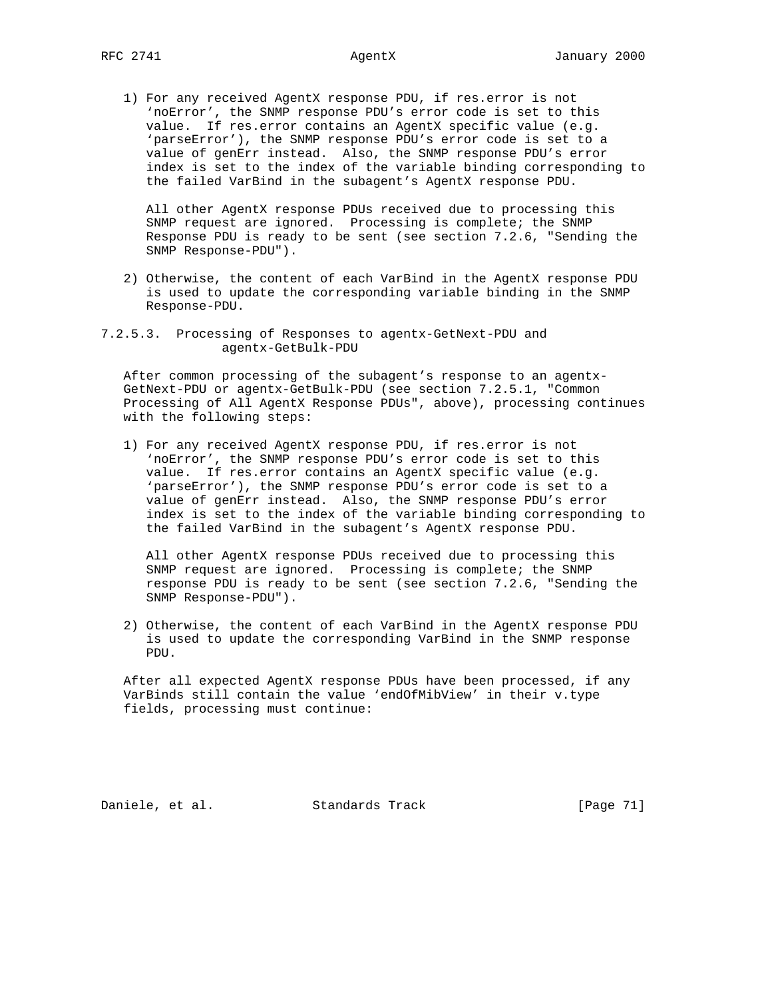1) For any received AgentX response PDU, if res.error is not 'noError', the SNMP response PDU's error code is set to this value. If res.error contains an AgentX specific value (e.g. 'parseError'), the SNMP response PDU's error code is set to a value of genErr instead. Also, the SNMP response PDU's error index is set to the index of the variable binding corresponding to the failed VarBind in the subagent's AgentX response PDU.

 All other AgentX response PDUs received due to processing this SNMP request are ignored. Processing is complete; the SNMP Response PDU is ready to be sent (see section 7.2.6, "Sending the SNMP Response-PDU").

- 2) Otherwise, the content of each VarBind in the AgentX response PDU is used to update the corresponding variable binding in the SNMP Response-PDU.
- 7.2.5.3. Processing of Responses to agentx-GetNext-PDU and agentx-GetBulk-PDU

 After common processing of the subagent's response to an agentx- GetNext-PDU or agentx-GetBulk-PDU (see section 7.2.5.1, "Common Processing of All AgentX Response PDUs", above), processing continues with the following steps:

 1) For any received AgentX response PDU, if res.error is not 'noError', the SNMP response PDU's error code is set to this value. If res.error contains an AgentX specific value (e.g. 'parseError'), the SNMP response PDU's error code is set to a value of genErr instead. Also, the SNMP response PDU's error index is set to the index of the variable binding corresponding to the failed VarBind in the subagent's AgentX response PDU.

 All other AgentX response PDUs received due to processing this SNMP request are ignored. Processing is complete; the SNMP response PDU is ready to be sent (see section 7.2.6, "Sending the SNMP Response-PDU").

 2) Otherwise, the content of each VarBind in the AgentX response PDU is used to update the corresponding VarBind in the SNMP response PDU.

 After all expected AgentX response PDUs have been processed, if any VarBinds still contain the value 'endOfMibView' in their v.type fields, processing must continue:

Daniele, et al. Standards Track [Page 71]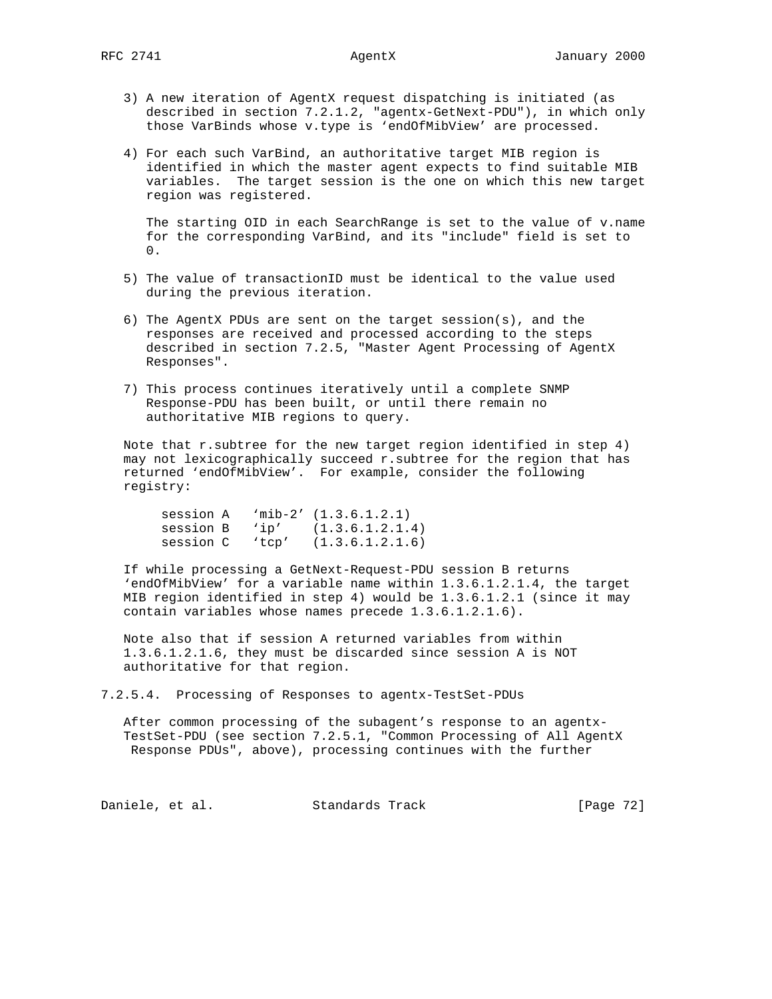- 3) A new iteration of AgentX request dispatching is initiated (as described in section 7.2.1.2, "agentx-GetNext-PDU"), in which only those VarBinds whose v.type is 'endOfMibView' are processed.
- 4) For each such VarBind, an authoritative target MIB region is identified in which the master agent expects to find suitable MIB variables. The target session is the one on which this new target region was registered.

 The starting OID in each SearchRange is set to the value of v.name for the corresponding VarBind, and its "include" field is set to  $0.$ 

- 5) The value of transactionID must be identical to the value used during the previous iteration.
- 6) The AgentX PDUs are sent on the target session(s), and the responses are received and processed according to the steps described in section 7.2.5, "Master Agent Processing of AgentX Responses".
- 7) This process continues iteratively until a complete SNMP Response-PDU has been built, or until there remain no authoritative MIB regions to query.

 Note that r.subtree for the new target region identified in step 4) may not lexicographically succeed r.subtree for the region that has returned 'endOfMibView'. For example, consider the following registry:

 session A 'mib-2' (1.3.6.1.2.1) session B 'ip' (1.3.6.1.2.1.4) session C 'tcp' (1.3.6.1.2.1.6)

 If while processing a GetNext-Request-PDU session B returns 'endOfMibView' for a variable name within 1.3.6.1.2.1.4, the target MIB region identified in step 4) would be 1.3.6.1.2.1 (since it may contain variables whose names precede 1.3.6.1.2.1.6).

 Note also that if session A returned variables from within 1.3.6.1.2.1.6, they must be discarded since session A is NOT authoritative for that region.

7.2.5.4. Processing of Responses to agentx-TestSet-PDUs

 After common processing of the subagent's response to an agentx- TestSet-PDU (see section 7.2.5.1, "Common Processing of All AgentX Response PDUs", above), processing continues with the further

Daniele, et al. Standards Track [Page 72]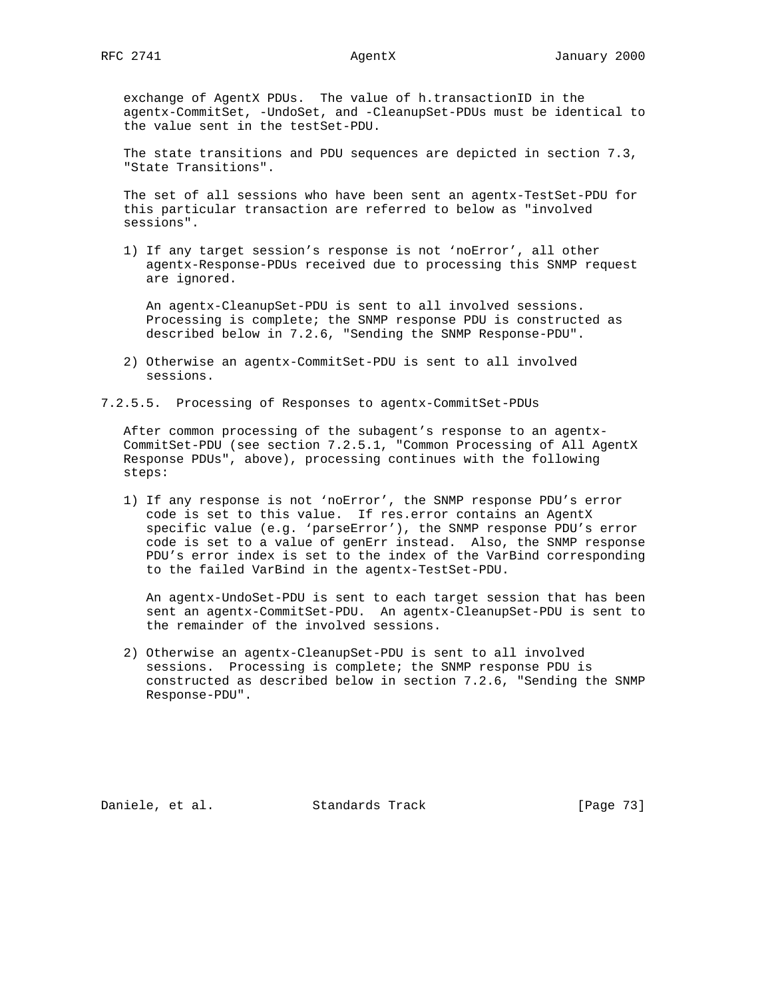exchange of AgentX PDUs. The value of h.transactionID in the agentx-CommitSet, -UndoSet, and -CleanupSet-PDUs must be identical to the value sent in the testSet-PDU.

 The state transitions and PDU sequences are depicted in section 7.3, "State Transitions".

 The set of all sessions who have been sent an agentx-TestSet-PDU for this particular transaction are referred to below as "involved sessions".

 1) If any target session's response is not 'noError', all other agentx-Response-PDUs received due to processing this SNMP request are ignored.

 An agentx-CleanupSet-PDU is sent to all involved sessions. Processing is complete; the SNMP response PDU is constructed as described below in 7.2.6, "Sending the SNMP Response-PDU".

 2) Otherwise an agentx-CommitSet-PDU is sent to all involved sessions.

7.2.5.5. Processing of Responses to agentx-CommitSet-PDUs

 After common processing of the subagent's response to an agentx- CommitSet-PDU (see section 7.2.5.1, "Common Processing of All AgentX Response PDUs", above), processing continues with the following steps:

 1) If any response is not 'noError', the SNMP response PDU's error code is set to this value. If res.error contains an AgentX specific value (e.g. 'parseError'), the SNMP response PDU's error code is set to a value of genErr instead. Also, the SNMP response PDU's error index is set to the index of the VarBind corresponding to the failed VarBind in the agentx-TestSet-PDU.

 An agentx-UndoSet-PDU is sent to each target session that has been sent an agentx-CommitSet-PDU. An agentx-CleanupSet-PDU is sent to the remainder of the involved sessions.

 2) Otherwise an agentx-CleanupSet-PDU is sent to all involved sessions. Processing is complete; the SNMP response PDU is constructed as described below in section 7.2.6, "Sending the SNMP Response-PDU".

Daniele, et al. Standards Track [Page 73]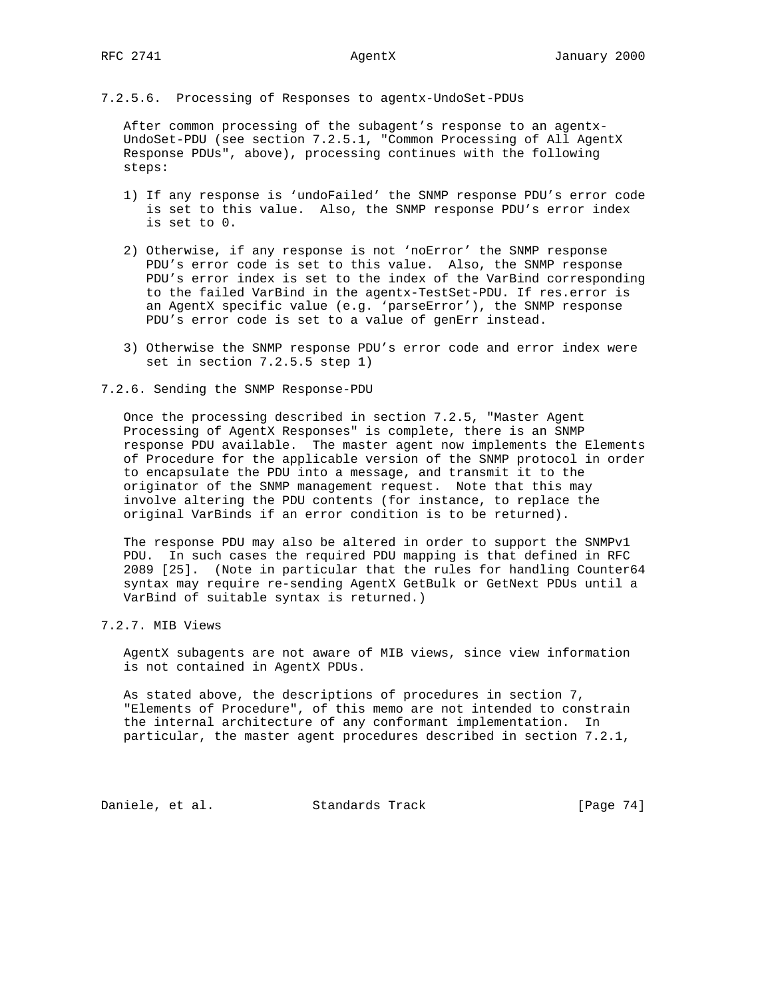7.2.5.6. Processing of Responses to agentx-UndoSet-PDUs

 After common processing of the subagent's response to an agentx- UndoSet-PDU (see section 7.2.5.1, "Common Processing of All AgentX Response PDUs", above), processing continues with the following steps:

- 1) If any response is 'undoFailed' the SNMP response PDU's error code is set to this value. Also, the SNMP response PDU's error index is set to 0.
- 2) Otherwise, if any response is not 'noError' the SNMP response PDU's error code is set to this value. Also, the SNMP response PDU's error index is set to the index of the VarBind corresponding to the failed VarBind in the agentx-TestSet-PDU. If res.error is an AgentX specific value (e.g. 'parseError'), the SNMP response PDU's error code is set to a value of genErr instead.
- 3) Otherwise the SNMP response PDU's error code and error index were set in section 7.2.5.5 step 1)
- 7.2.6. Sending the SNMP Response-PDU

 Once the processing described in section 7.2.5, "Master Agent Processing of AgentX Responses" is complete, there is an SNMP response PDU available. The master agent now implements the Elements of Procedure for the applicable version of the SNMP protocol in order to encapsulate the PDU into a message, and transmit it to the originator of the SNMP management request. Note that this may involve altering the PDU contents (for instance, to replace the original VarBinds if an error condition is to be returned).

 The response PDU may also be altered in order to support the SNMPv1 PDU. In such cases the required PDU mapping is that defined in RFC 2089 [25]. (Note in particular that the rules for handling Counter64 syntax may require re-sending AgentX GetBulk or GetNext PDUs until a VarBind of suitable syntax is returned.)

7.2.7. MIB Views

 AgentX subagents are not aware of MIB views, since view information is not contained in AgentX PDUs.

 As stated above, the descriptions of procedures in section 7, "Elements of Procedure", of this memo are not intended to constrain the internal architecture of any conformant implementation. In particular, the master agent procedures described in section 7.2.1,

Daniele, et al. Standards Track [Page 74]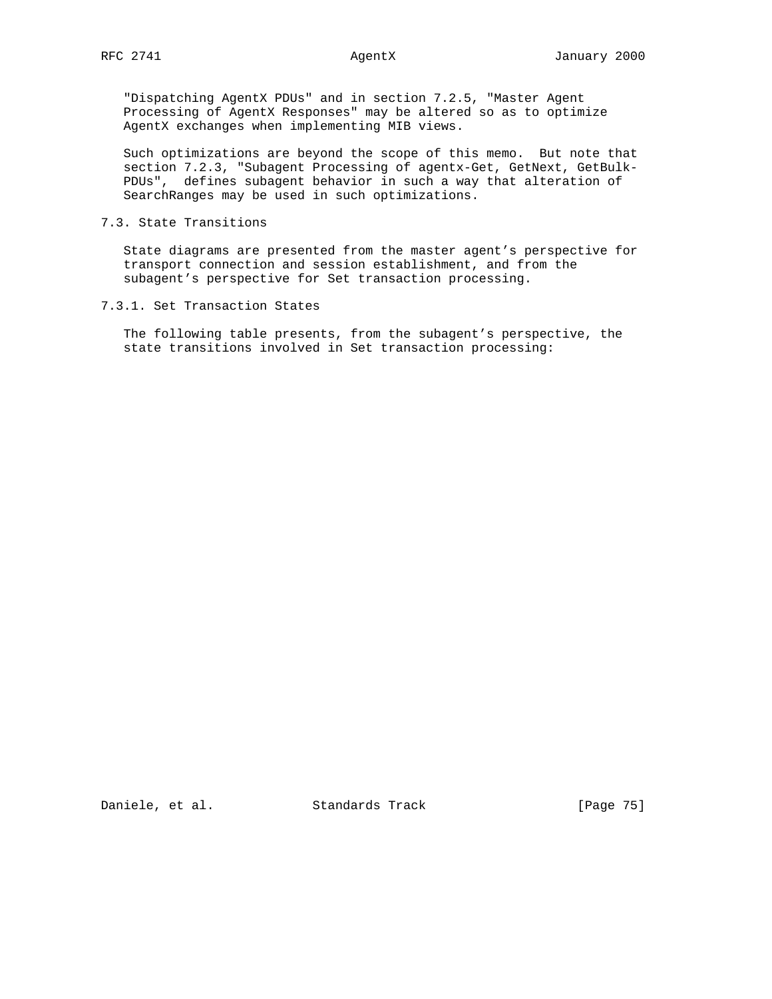"Dispatching AgentX PDUs" and in section 7.2.5, "Master Agent Processing of AgentX Responses" may be altered so as to optimize AgentX exchanges when implementing MIB views.

 Such optimizations are beyond the scope of this memo. But note that section 7.2.3, "Subagent Processing of agentx-Get, GetNext, GetBulk- PDUs", defines subagent behavior in such a way that alteration of SearchRanges may be used in such optimizations.

### 7.3. State Transitions

 State diagrams are presented from the master agent's perspective for transport connection and session establishment, and from the subagent's perspective for Set transaction processing.

### 7.3.1. Set Transaction States

 The following table presents, from the subagent's perspective, the state transitions involved in Set transaction processing:

Daniele, et al. Standards Track [Page 75]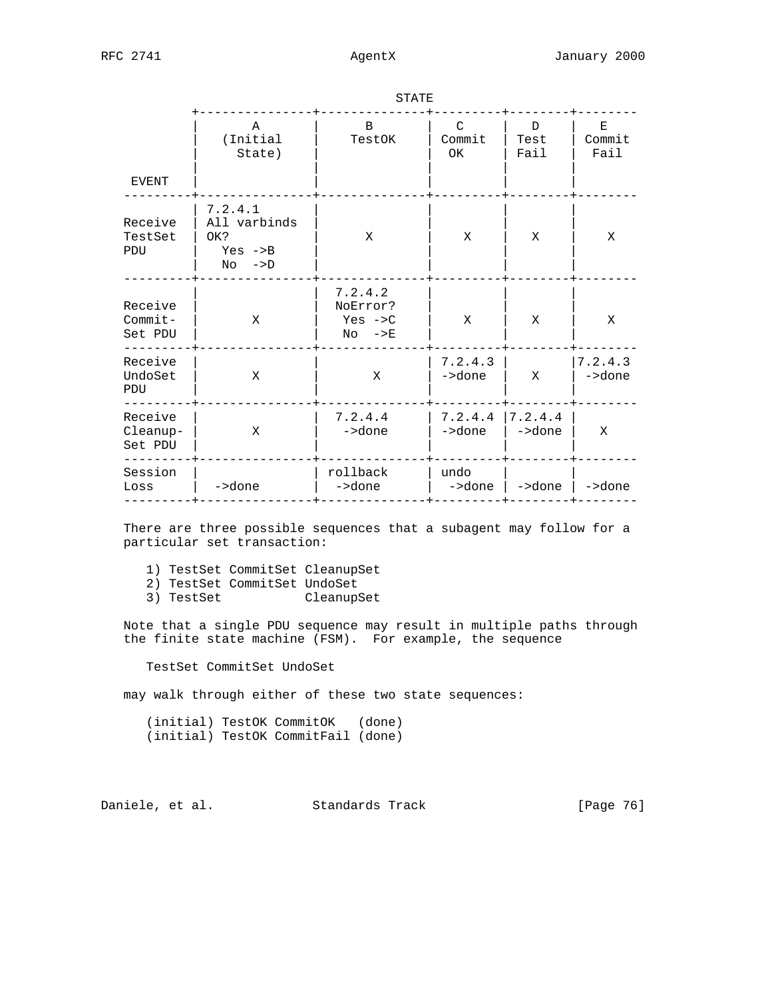| <b>EVENT</b>                    | $\mathbb A$<br>(Initial<br>State)                                   | B.<br>TestOK                                             | C<br>Commit<br>OK. | D.<br>Test<br>Fail | E<br>Commit<br>Fail |
|---------------------------------|---------------------------------------------------------------------|----------------------------------------------------------|--------------------|--------------------|---------------------|
| Receive<br>TestSet<br>PDU       | 7.2.4.1<br>All varbinds<br>OK?<br>$Yes$ $->B$<br>$No \rightarrow D$ | X                                                        | X                  | X                  | X                   |
| Receive<br>$Commit-$<br>Set PDU | X                                                                   | 7.2.4.2<br>NoError?<br>Yes $\rightarrow$ C<br>$NO$ $->E$ | X                  | X                  | X                   |
| Receive<br>UndoSet<br>PDU       | X                                                                   | X                                                        | 7.2.4.3<br>->done  | X                  | 7.2.4.3<br>->done   |
| Receive<br>Cleanup-<br>Set PDU  | X                                                                   | 7.2.4.4<br>->done                                        | 7.2.4.4<br>->done  | 7.2.4.4<br>->done  | X                   |
| Session<br>Loss                 | ->done                                                              | rollback<br>->done                                       | undo<br>->done     | ->done             | ->done              |

STATE

 There are three possible sequences that a subagent may follow for a particular set transaction:

- 1) TestSet CommitSet CleanupSet
- 2) TestSet CommitSet UndoSet<br>3) TestSet Cleanup:
- CleanupSet

 Note that a single PDU sequence may result in multiple paths through the finite state machine (FSM). For example, the sequence

TestSet CommitSet UndoSet

may walk through either of these two state sequences:

 (initial) TestOK CommitOK (done) (initial) TestOK CommitFail (done)

Daniele, et al. Standards Track [Page 76]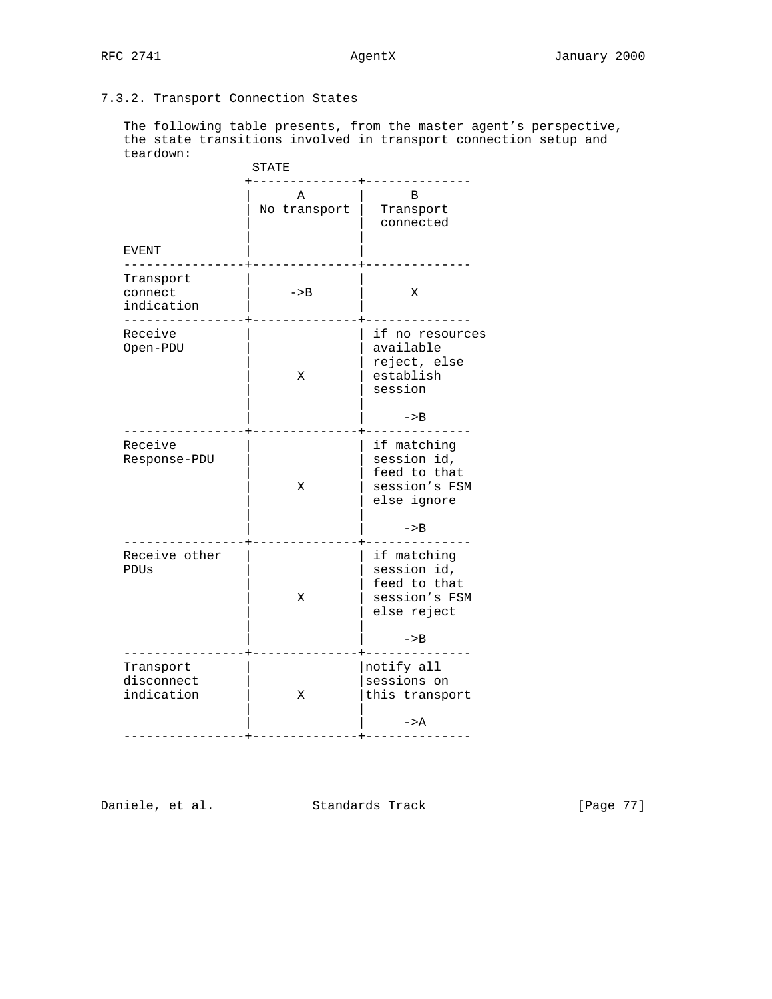# 7.3.2. Transport Connection States

 The following table presents, from the master agent's perspective, the state transitions involved in transport connection setup and teardown:

|                                       | STATE             |                                                                                     |  |
|---------------------------------------|-------------------|-------------------------------------------------------------------------------------|--|
| EVENT                                 | A<br>No transport | B<br>Transport<br>connected                                                         |  |
| Transport<br>connect<br>indication    | $->B$             | X                                                                                   |  |
| Receive<br>Open-PDU                   | Χ                 | if no resources<br>available<br>reject, else<br>establish<br>session<br>$->B$       |  |
| Receive<br>Response-PDU               | X                 | if matching<br>session id,<br>feed to that<br>session's FSM<br>else ignore<br>$->B$ |  |
| Receive other<br>PDUs                 | X                 | if matching<br>session id,<br>feed to that<br>session's FSM<br>else reject<br>$->B$ |  |
| Transport<br>disconnect<br>indication | Χ                 | notify all<br>sessions on<br>this transport<br>$->A$                                |  |

Daniele, et al. Standards Track [Page 77]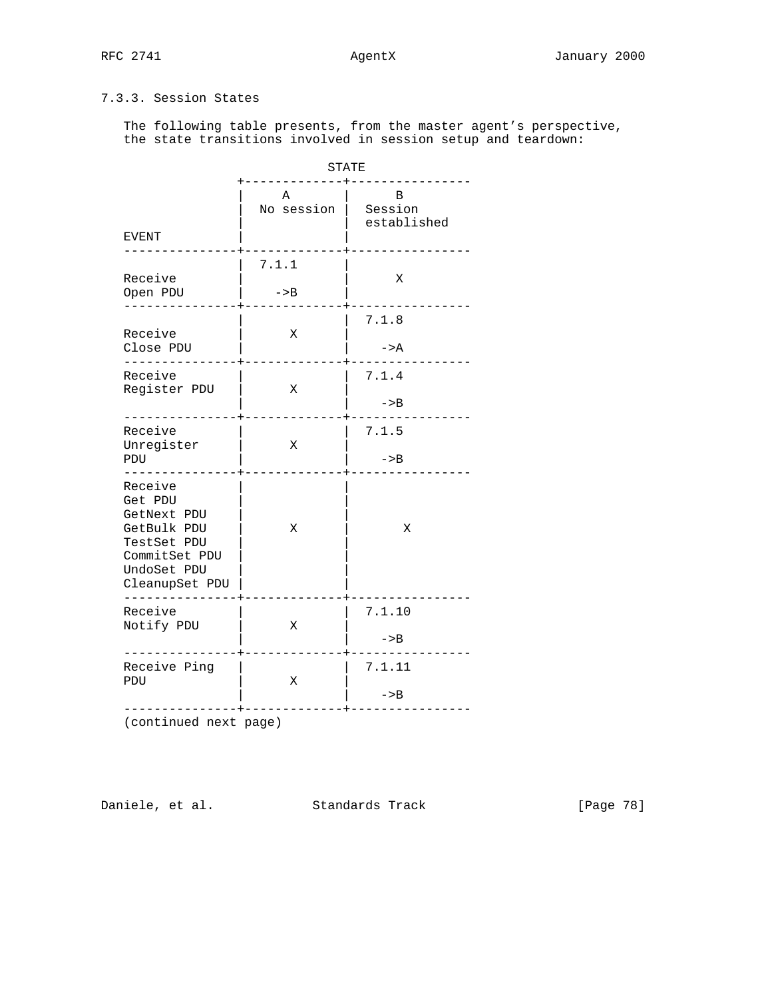# 7.3.3. Session States

 The following table presents, from the master agent's perspective, the state transitions involved in session setup and teardown:

|                                                                                                                   | <b>STATE</b>    |                               |  |
|-------------------------------------------------------------------------------------------------------------------|-----------------|-------------------------------|--|
| EVENT                                                                                                             | Α<br>No session | B<br>  Session<br>established |  |
| Receive<br>Open PDU                                                                                               | 7.1.1<br>$->B$  | X                             |  |
| Receive<br>Close PDU                                                                                              | Χ               | 7.1.8<br>$->A$                |  |
| Receive<br>Register PDU                                                                                           | Χ               | 7.1.4<br>$->B$                |  |
| Receive<br>Unregister<br>PDU                                                                                      | Χ               | 7.1.5<br>$->B$                |  |
| Receive<br>Get PDU<br>GetNext PDU<br>GetBulk PDU<br>TestSet PDU<br>CommitSet PDU<br>UndoSet PDU<br>CleanupSet PDU | Χ               | Χ                             |  |
| Receive<br>Notify PDU                                                                                             | Χ               | 7.1.10<br>$->B$               |  |
| Receive Ping<br>PDU                                                                                               | Χ               | 7.1.11<br>$->B$               |  |

(continued next page)

Daniele, et al. Standards Track [Page 78]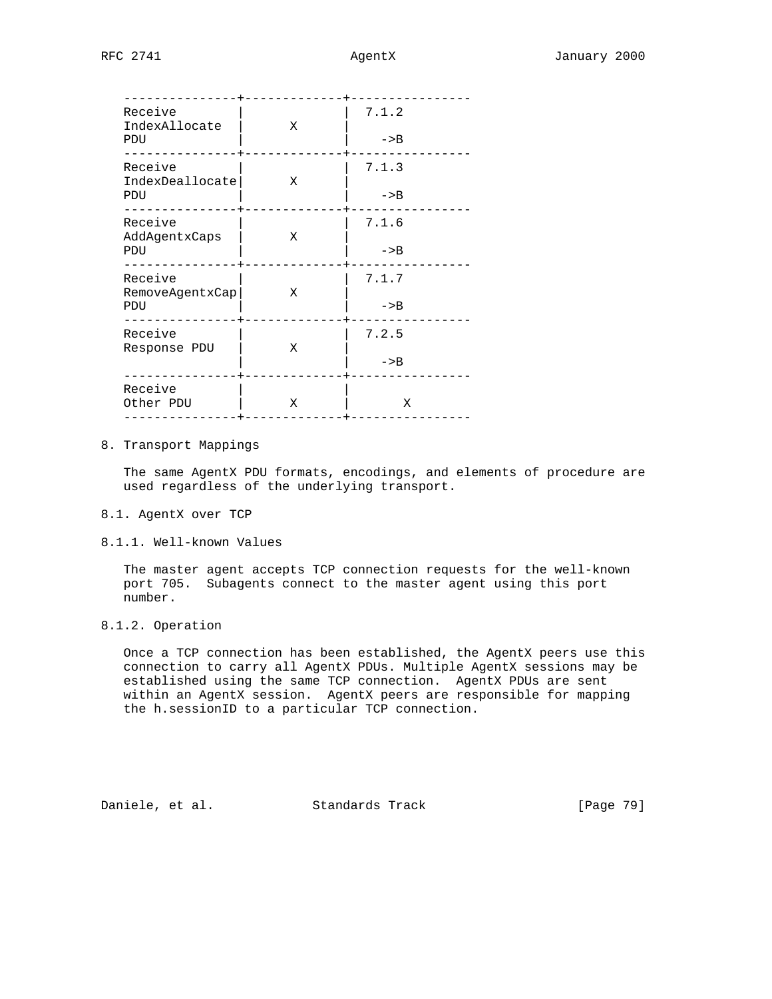| Receive<br>IndexAllocate<br>PDU   | Х | 7.1.2<br>$->B$ |
|-----------------------------------|---|----------------|
| Receive<br>IndexDeallocate<br>PDU | Χ | 7.1.3<br>$->B$ |
| Receive<br>AddAgentxCaps<br>PDU   | X | 7.1.6<br>$->B$ |
| Receive<br>RemoveAgentxCap<br>PDU | Χ | 7.1.7<br>$->B$ |
| Receive<br>Response PDU           | Χ | 7.2.5<br>$->B$ |
| Receive<br>Other PDU              | Χ | Χ              |

## 8. Transport Mappings

 The same AgentX PDU formats, encodings, and elements of procedure are used regardless of the underlying transport.

- 8.1. AgentX over TCP
- 8.1.1. Well-known Values

 The master agent accepts TCP connection requests for the well-known port 705. Subagents connect to the master agent using this port number.

8.1.2. Operation

 Once a TCP connection has been established, the AgentX peers use this connection to carry all AgentX PDUs. Multiple AgentX sessions may be established using the same TCP connection. AgentX PDUs are sent within an AgentX session. AgentX peers are responsible for mapping the h.sessionID to a particular TCP connection.

Daniele, et al. Standards Track [Page 79]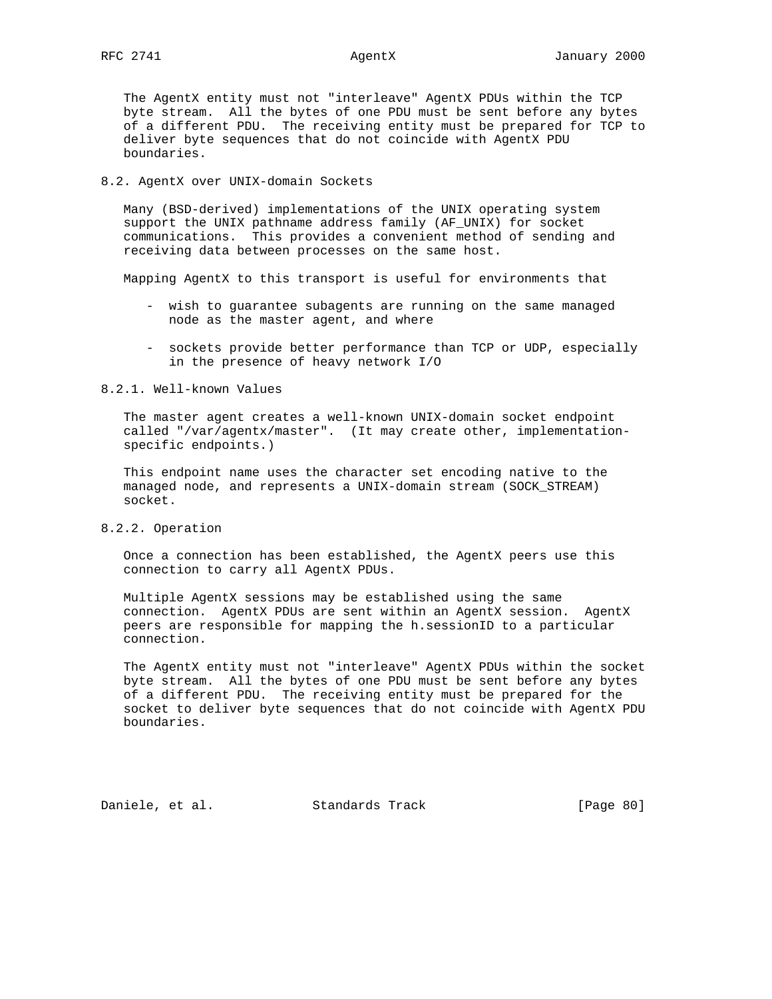The AgentX entity must not "interleave" AgentX PDUs within the TCP byte stream. All the bytes of one PDU must be sent before any bytes of a different PDU. The receiving entity must be prepared for TCP to deliver byte sequences that do not coincide with AgentX PDU boundaries.

### 8.2. AgentX over UNIX-domain Sockets

 Many (BSD-derived) implementations of the UNIX operating system support the UNIX pathname address family (AF\_UNIX) for socket communications. This provides a convenient method of sending and receiving data between processes on the same host.

Mapping AgentX to this transport is useful for environments that

- wish to guarantee subagents are running on the same managed node as the master agent, and where
- sockets provide better performance than TCP or UDP, especially in the presence of heavy network I/O

### 8.2.1. Well-known Values

 The master agent creates a well-known UNIX-domain socket endpoint called "/var/agentx/master". (It may create other, implementation specific endpoints.)

 This endpoint name uses the character set encoding native to the managed node, and represents a UNIX-domain stream (SOCK\_STREAM) socket.

8.2.2. Operation

 Once a connection has been established, the AgentX peers use this connection to carry all AgentX PDUs.

 Multiple AgentX sessions may be established using the same connection. AgentX PDUs are sent within an AgentX session. AgentX peers are responsible for mapping the h.sessionID to a particular connection.

 The AgentX entity must not "interleave" AgentX PDUs within the socket byte stream. All the bytes of one PDU must be sent before any bytes of a different PDU. The receiving entity must be prepared for the socket to deliver byte sequences that do not coincide with AgentX PDU boundaries.

Daniele, et al. Standards Track [Page 80]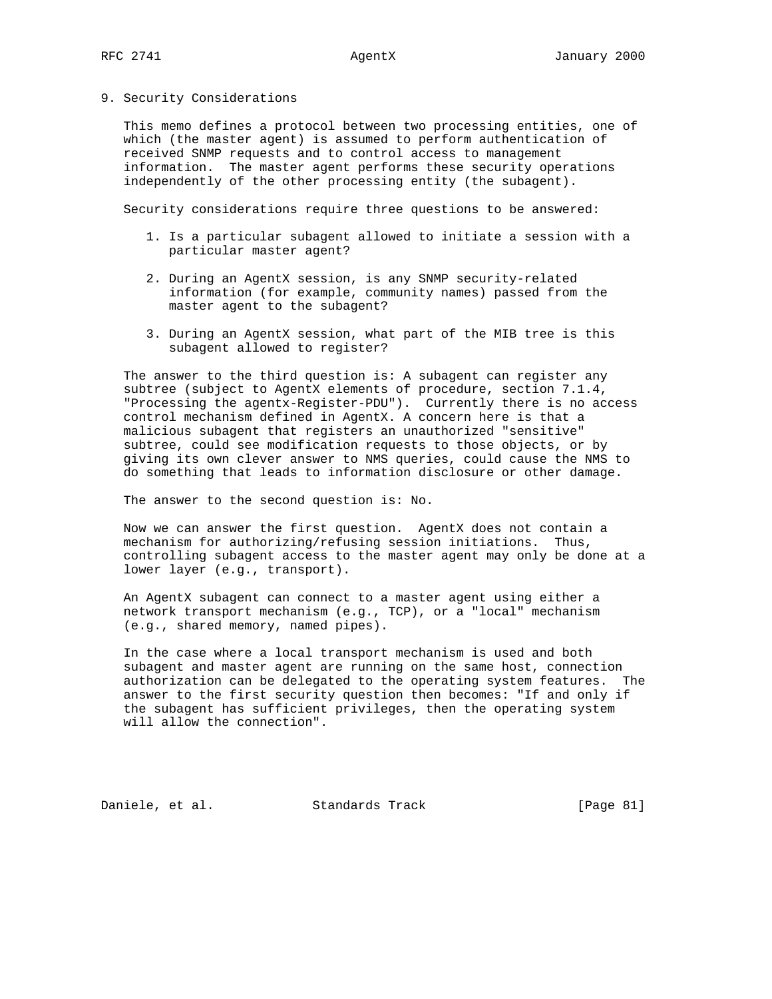### 9. Security Considerations

 This memo defines a protocol between two processing entities, one of which (the master agent) is assumed to perform authentication of received SNMP requests and to control access to management information. The master agent performs these security operations independently of the other processing entity (the subagent).

Security considerations require three questions to be answered:

- 1. Is a particular subagent allowed to initiate a session with a particular master agent?
- 2. During an AgentX session, is any SNMP security-related information (for example, community names) passed from the master agent to the subagent?
- 3. During an AgentX session, what part of the MIB tree is this subagent allowed to register?

 The answer to the third question is: A subagent can register any subtree (subject to AgentX elements of procedure, section 7.1.4, "Processing the agentx-Register-PDU"). Currently there is no access control mechanism defined in AgentX. A concern here is that a malicious subagent that registers an unauthorized "sensitive" subtree, could see modification requests to those objects, or by giving its own clever answer to NMS queries, could cause the NMS to do something that leads to information disclosure or other damage.

The answer to the second question is: No.

 Now we can answer the first question. AgentX does not contain a mechanism for authorizing/refusing session initiations. Thus, controlling subagent access to the master agent may only be done at a lower layer (e.g., transport).

 An AgentX subagent can connect to a master agent using either a network transport mechanism (e.g., TCP), or a "local" mechanism (e.g., shared memory, named pipes).

 In the case where a local transport mechanism is used and both subagent and master agent are running on the same host, connection authorization can be delegated to the operating system features. The answer to the first security question then becomes: "If and only if the subagent has sufficient privileges, then the operating system will allow the connection".

Daniele, et al. Standards Track [Page 81]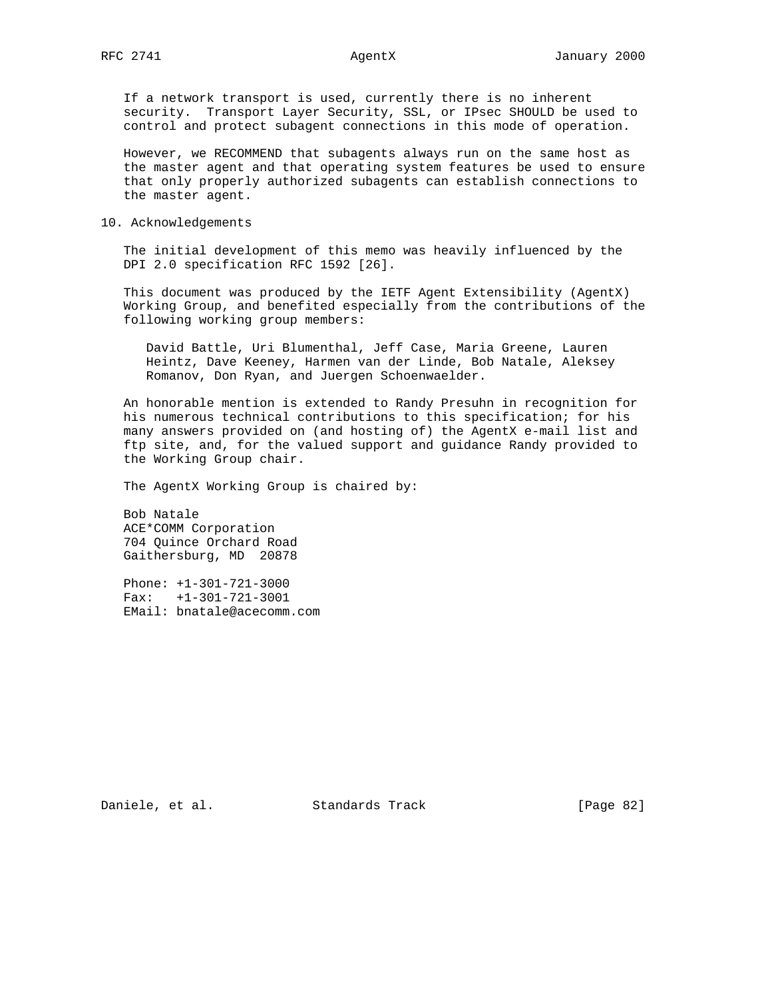If a network transport is used, currently there is no inherent security. Transport Layer Security, SSL, or IPsec SHOULD be used to control and protect subagent connections in this mode of operation.

 However, we RECOMMEND that subagents always run on the same host as the master agent and that operating system features be used to ensure that only properly authorized subagents can establish connections to the master agent.

10. Acknowledgements

 The initial development of this memo was heavily influenced by the DPI 2.0 specification RFC 1592 [26].

 This document was produced by the IETF Agent Extensibility (AgentX) Working Group, and benefited especially from the contributions of the following working group members:

 David Battle, Uri Blumenthal, Jeff Case, Maria Greene, Lauren Heintz, Dave Keeney, Harmen van der Linde, Bob Natale, Aleksey Romanov, Don Ryan, and Juergen Schoenwaelder.

 An honorable mention is extended to Randy Presuhn in recognition for his numerous technical contributions to this specification; for his many answers provided on (and hosting of) the AgentX e-mail list and ftp site, and, for the valued support and guidance Randy provided to the Working Group chair.

The AgentX Working Group is chaired by:

 Bob Natale ACE\*COMM Corporation 704 Quince Orchard Road Gaithersburg, MD 20878

 Phone: +1-301-721-3000 Fax: +1-301-721-3001 EMail: bnatale@acecomm.com

Daniele, et al. Standards Track [Page 82]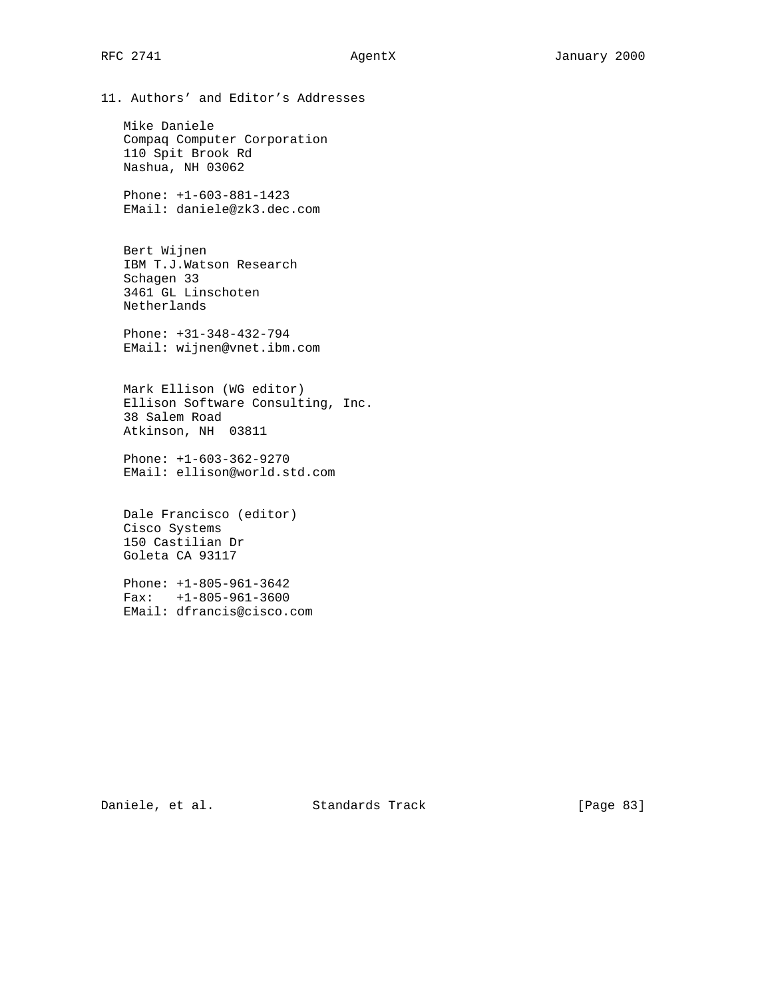11. Authors' and Editor's Addresses

 Mike Daniele Compaq Computer Corporation 110 Spit Brook Rd Nashua, NH 03062

 Phone: +1-603-881-1423 EMail: daniele@zk3.dec.com

 Bert Wijnen IBM T.J.Watson Research Schagen 33 3461 GL Linschoten Netherlands

 Phone: +31-348-432-794 EMail: wijnen@vnet.ibm.com

 Mark Ellison (WG editor) Ellison Software Consulting, Inc. 38 Salem Road Atkinson, NH 03811

 Phone: +1-603-362-9270 EMail: ellison@world.std.com

 Dale Francisco (editor) Cisco Systems 150 Castilian Dr Goleta CA 93117

 Phone: +1-805-961-3642 Fax: +1-805-961-3600 EMail: dfrancis@cisco.com

Daniele, et al. Standards Track [Page 83]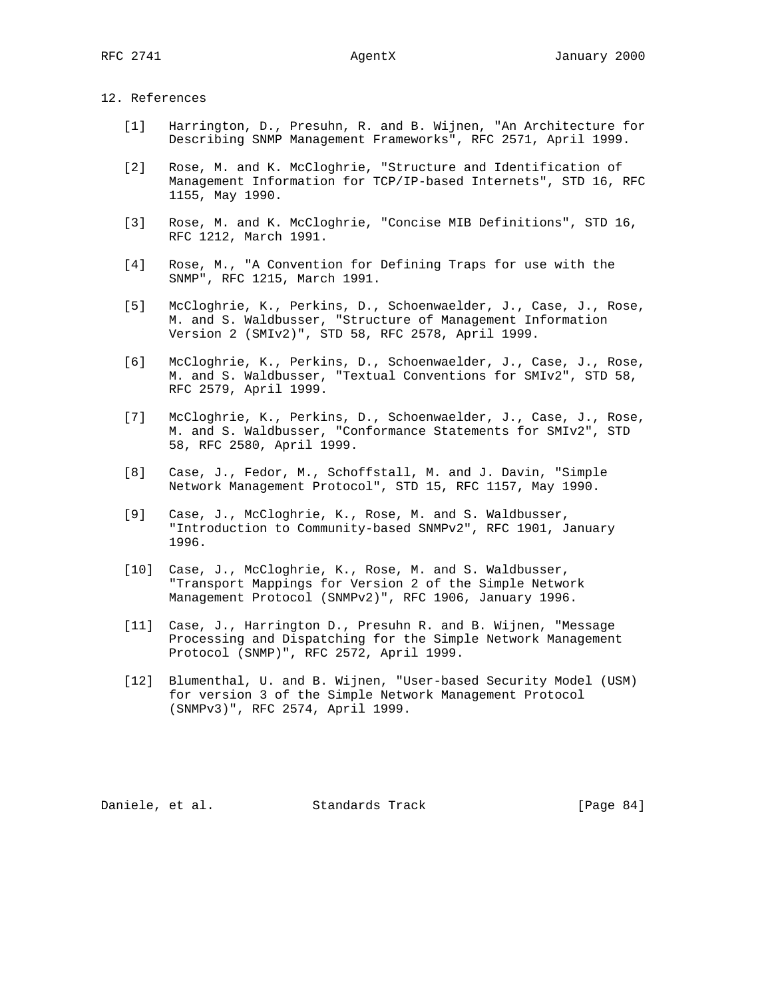### 12. References

- [1] Harrington, D., Presuhn, R. and B. Wijnen, "An Architecture for Describing SNMP Management Frameworks", RFC 2571, April 1999.
- [2] Rose, M. and K. McCloghrie, "Structure and Identification of Management Information for TCP/IP-based Internets", STD 16, RFC 1155, May 1990.
- [3] Rose, M. and K. McCloghrie, "Concise MIB Definitions", STD 16, RFC 1212, March 1991.
- [4] Rose, M., "A Convention for Defining Traps for use with the SNMP", RFC 1215, March 1991.
- [5] McCloghrie, K., Perkins, D., Schoenwaelder, J., Case, J., Rose, M. and S. Waldbusser, "Structure of Management Information Version 2 (SMIv2)", STD 58, RFC 2578, April 1999.
- [6] McCloghrie, K., Perkins, D., Schoenwaelder, J., Case, J., Rose, M. and S. Waldbusser, "Textual Conventions for SMIv2", STD 58, RFC 2579, April 1999.
- [7] McCloghrie, K., Perkins, D., Schoenwaelder, J., Case, J., Rose, M. and S. Waldbusser, "Conformance Statements for SMIv2", STD 58, RFC 2580, April 1999.
- [8] Case, J., Fedor, M., Schoffstall, M. and J. Davin, "Simple Network Management Protocol", STD 15, RFC 1157, May 1990.
- [9] Case, J., McCloghrie, K., Rose, M. and S. Waldbusser, "Introduction to Community-based SNMPv2", RFC 1901, January 1996.
- [10] Case, J., McCloghrie, K., Rose, M. and S. Waldbusser, "Transport Mappings for Version 2 of the Simple Network Management Protocol (SNMPv2)", RFC 1906, January 1996.
- [11] Case, J., Harrington D., Presuhn R. and B. Wijnen, "Message Processing and Dispatching for the Simple Network Management Protocol (SNMP)", RFC 2572, April 1999.
- [12] Blumenthal, U. and B. Wijnen, "User-based Security Model (USM) for version 3 of the Simple Network Management Protocol (SNMPv3)", RFC 2574, April 1999.

Daniele, et al. Standards Track [Page 84]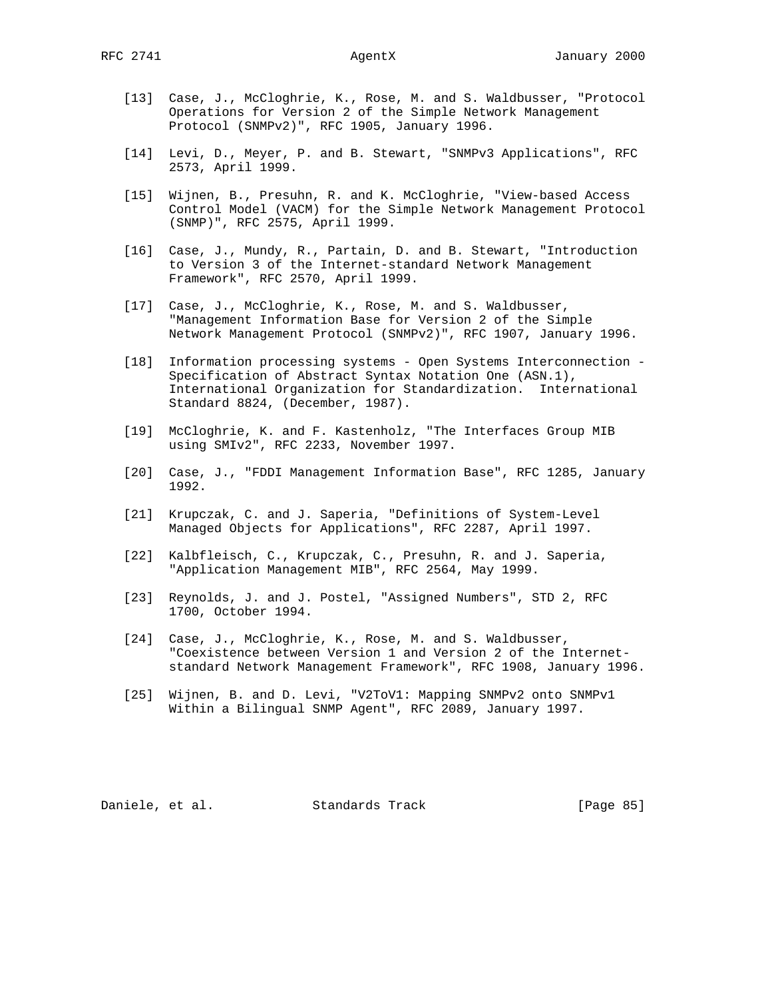- [13] Case, J., McCloghrie, K., Rose, M. and S. Waldbusser, "Protocol Operations for Version 2 of the Simple Network Management Protocol (SNMPv2)", RFC 1905, January 1996.
- [14] Levi, D., Meyer, P. and B. Stewart, "SNMPv3 Applications", RFC 2573, April 1999.
- [15] Wijnen, B., Presuhn, R. and K. McCloghrie, "View-based Access Control Model (VACM) for the Simple Network Management Protocol (SNMP)", RFC 2575, April 1999.
- [16] Case, J., Mundy, R., Partain, D. and B. Stewart, "Introduction to Version 3 of the Internet-standard Network Management Framework", RFC 2570, April 1999.
- [17] Case, J., McCloghrie, K., Rose, M. and S. Waldbusser, "Management Information Base for Version 2 of the Simple Network Management Protocol (SNMPv2)", RFC 1907, January 1996.
- [18] Information processing systems Open Systems Interconnection Specification of Abstract Syntax Notation One (ASN.1), International Organization for Standardization. International Standard 8824, (December, 1987).
- [19] McCloghrie, K. and F. Kastenholz, "The Interfaces Group MIB using SMIv2", RFC 2233, November 1997.
- [20] Case, J., "FDDI Management Information Base", RFC 1285, January 1992.
- [21] Krupczak, C. and J. Saperia, "Definitions of System-Level Managed Objects for Applications", RFC 2287, April 1997.
- [22] Kalbfleisch, C., Krupczak, C., Presuhn, R. and J. Saperia, "Application Management MIB", RFC 2564, May 1999.
- [23] Reynolds, J. and J. Postel, "Assigned Numbers", STD 2, RFC 1700, October 1994.
- [24] Case, J., McCloghrie, K., Rose, M. and S. Waldbusser, "Coexistence between Version 1 and Version 2 of the Internet standard Network Management Framework", RFC 1908, January 1996.
- [25] Wijnen, B. and D. Levi, "V2ToV1: Mapping SNMPv2 onto SNMPv1 Within a Bilingual SNMP Agent", RFC 2089, January 1997.

Daniele, et al. Standards Track [Page 85]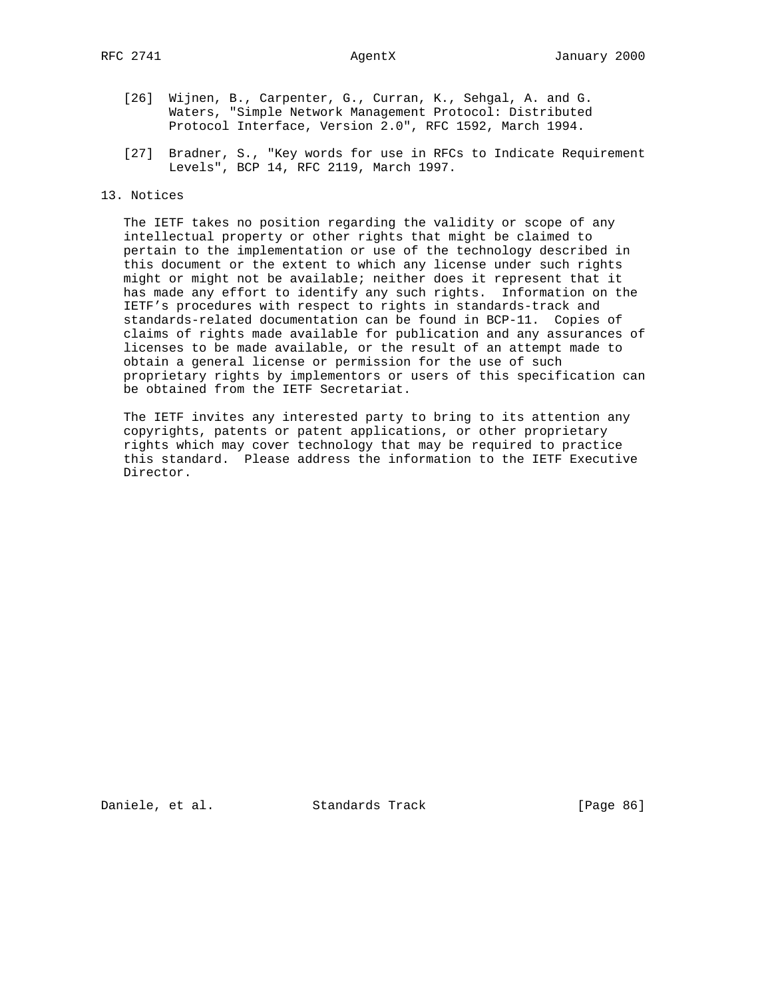- [26] Wijnen, B., Carpenter, G., Curran, K., Sehgal, A. and G. Waters, "Simple Network Management Protocol: Distributed Protocol Interface, Version 2.0", RFC 1592, March 1994.
- [27] Bradner, S., "Key words for use in RFCs to Indicate Requirement Levels", BCP 14, RFC 2119, March 1997.

### 13. Notices

 The IETF takes no position regarding the validity or scope of any intellectual property or other rights that might be claimed to pertain to the implementation or use of the technology described in this document or the extent to which any license under such rights might or might not be available; neither does it represent that it has made any effort to identify any such rights. Information on the IETF's procedures with respect to rights in standards-track and standards-related documentation can be found in BCP-11. Copies of claims of rights made available for publication and any assurances of licenses to be made available, or the result of an attempt made to obtain a general license or permission for the use of such proprietary rights by implementors or users of this specification can be obtained from the IETF Secretariat.

 The IETF invites any interested party to bring to its attention any copyrights, patents or patent applications, or other proprietary rights which may cover technology that may be required to practice this standard. Please address the information to the IETF Executive Director.

Daniele, et al. Standards Track [Page 86]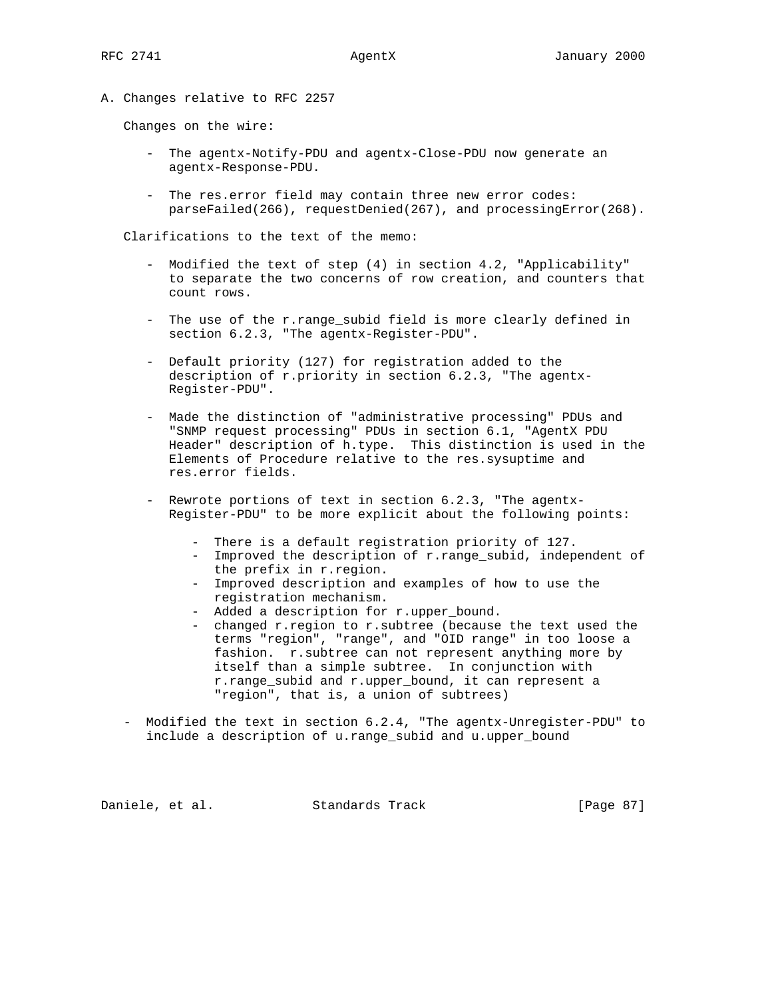A. Changes relative to RFC 2257

Changes on the wire:

- The agentx-Notify-PDU and agentx-Close-PDU now generate an agentx-Response-PDU.
- The res.error field may contain three new error codes: parseFailed(266), requestDenied(267), and processingError(268).

Clarifications to the text of the memo:

- Modified the text of step (4) in section 4.2, "Applicability" to separate the two concerns of row creation, and counters that count rows.
- The use of the r.range\_subid field is more clearly defined in section 6.2.3, "The agentx-Register-PDU".
- Default priority (127) for registration added to the description of r.priority in section 6.2.3, "The agentx- Register-PDU".
- Made the distinction of "administrative processing" PDUs and "SNMP request processing" PDUs in section 6.1, "AgentX PDU Header" description of h.type. This distinction is used in the Elements of Procedure relative to the res.sysuptime and res.error fields.
- Rewrote portions of text in section 6.2.3, "The agentx- Register-PDU" to be more explicit about the following points:
	- There is a default registration priority of 127.
	- Improved the description of r.range\_subid, independent of the prefix in r.region.
	- Improved description and examples of how to use the registration mechanism.
	- Added a description for r.upper\_bound.
	- changed r.region to r.subtree (because the text used the terms "region", "range", and "OID range" in too loose a fashion. r.subtree can not represent anything more by itself than a simple subtree. In conjunction with r.range\_subid and r.upper\_bound, it can represent a "region", that is, a union of subtrees)
- Modified the text in section 6.2.4, "The agentx-Unregister-PDU" to include a description of u.range\_subid and u.upper\_bound

Daniele, et al. Standards Track [Page 87]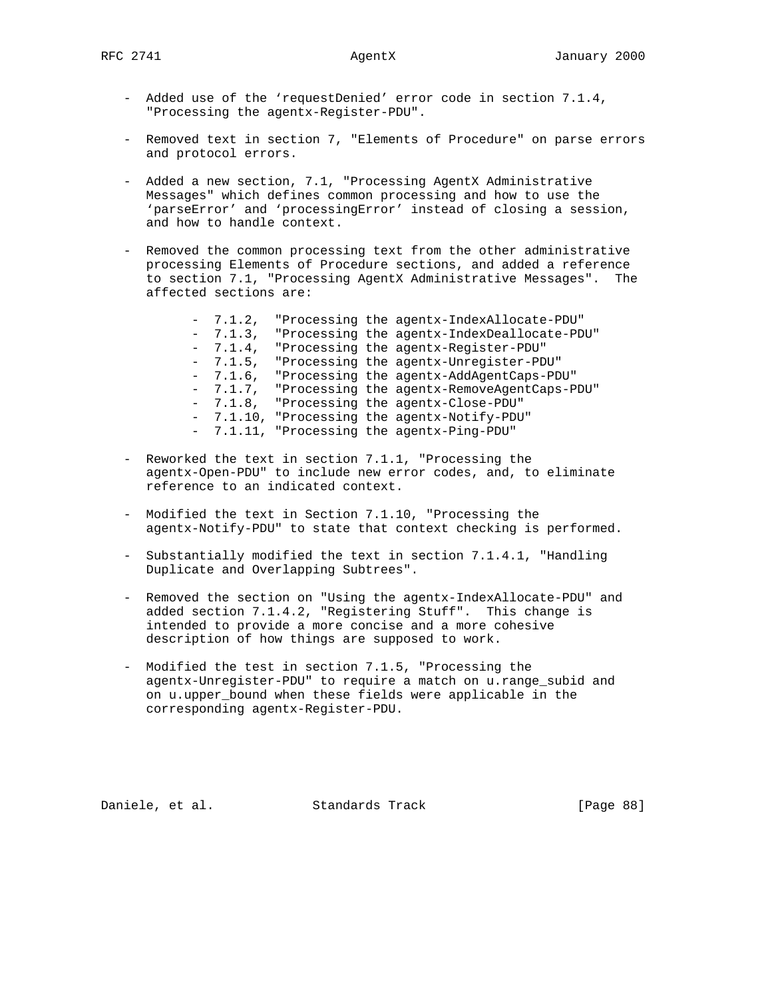- Added use of the 'requestDenied' error code in section 7.1.4, "Processing the agentx-Register-PDU".
- Removed text in section 7, "Elements of Procedure" on parse errors and protocol errors.
- Added a new section, 7.1, "Processing AgentX Administrative Messages" which defines common processing and how to use the 'parseError' and 'processingError' instead of closing a session, and how to handle context.
- Removed the common processing text from the other administrative processing Elements of Procedure sections, and added a reference to section 7.1, "Processing AgentX Administrative Messages". The affected sections are:
	- 7.1.2, "Processing the agentx-IndexAllocate-PDU" - 7.1.3, "Processing the agentx-IndexDeallocate-PDU" - 7.1.4, "Processing the agentx-Register-PDU" - 7.1.5, "Processing the agentx-Unregister-PDU" - 7.1.6, "Processing the agentx-AddAgentCaps-PDU" - 7.1.7, "Processing the agentx-RemoveAgentCaps-PDU" - 7.1.8, "Processing the agentx-Close-PDU" - 7.1.10, "Processing the agentx-Notify-PDU" - 7.1.11, "Processing the agentx-Ping-PDU"
- Reworked the text in section 7.1.1, "Processing the agentx-Open-PDU" to include new error codes, and, to eliminate reference to an indicated context.
- Modified the text in Section 7.1.10, "Processing the agentx-Notify-PDU" to state that context checking is performed.
- Substantially modified the text in section 7.1.4.1, "Handling Duplicate and Overlapping Subtrees".
- Removed the section on "Using the agentx-IndexAllocate-PDU" and added section 7.1.4.2, "Registering Stuff". This change is intended to provide a more concise and a more cohesive description of how things are supposed to work.
- Modified the test in section 7.1.5, "Processing the agentx-Unregister-PDU" to require a match on u.range\_subid and on u.upper\_bound when these fields were applicable in the corresponding agentx-Register-PDU.

Daniele, et al. Standards Track [Page 88]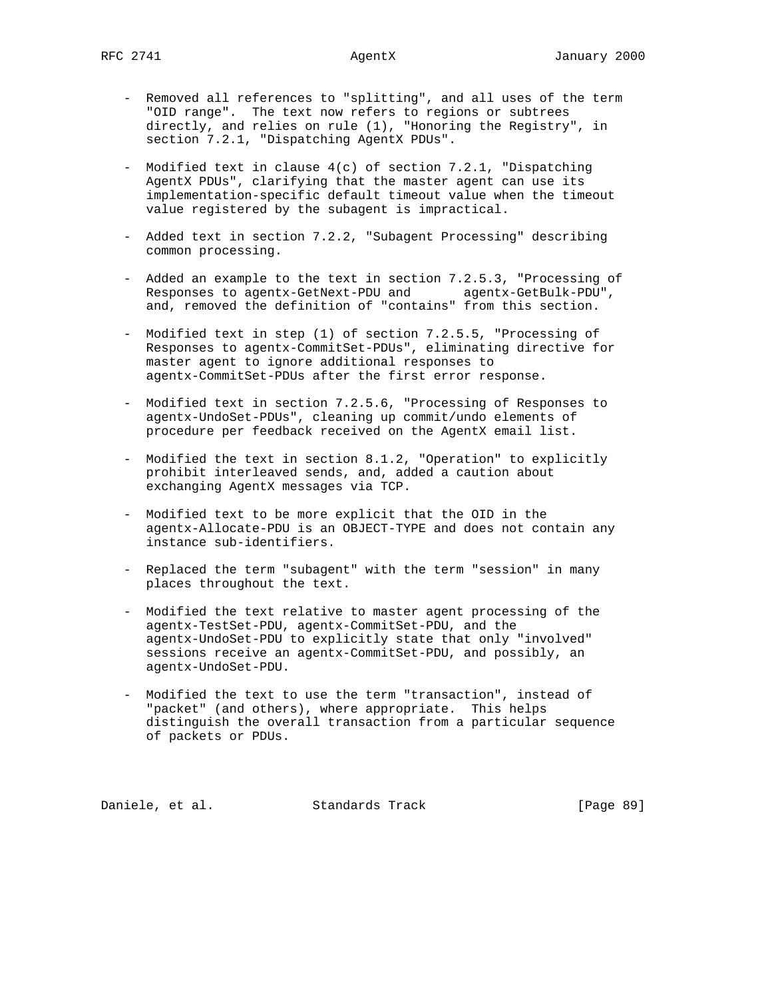- Removed all references to "splitting", and all uses of the term "OID range". The text now refers to regions or subtrees directly, and relies on rule (1), "Honoring the Registry", in section 7.2.1, "Dispatching AgentX PDUs".
- Modified text in clause 4(c) of section 7.2.1, "Dispatching AgentX PDUs", clarifying that the master agent can use its implementation-specific default timeout value when the timeout value registered by the subagent is impractical.
- Added text in section 7.2.2, "Subagent Processing" describing common processing.
- Added an example to the text in section 7.2.5.3, "Processing of Responses to agentx-GetNext-PDU and agentx-GetBulk-PDU", and, removed the definition of "contains" from this section.
- Modified text in step (1) of section 7.2.5.5, "Processing of Responses to agentx-CommitSet-PDUs", eliminating directive for master agent to ignore additional responses to agentx-CommitSet-PDUs after the first error response.
- Modified text in section 7.2.5.6, "Processing of Responses to agentx-UndoSet-PDUs", cleaning up commit/undo elements of procedure per feedback received on the AgentX email list.
- Modified the text in section 8.1.2, "Operation" to explicitly prohibit interleaved sends, and, added a caution about exchanging AgentX messages via TCP.
- Modified text to be more explicit that the OID in the agentx-Allocate-PDU is an OBJECT-TYPE and does not contain any instance sub-identifiers.
- Replaced the term "subagent" with the term "session" in many places throughout the text.
- Modified the text relative to master agent processing of the agentx-TestSet-PDU, agentx-CommitSet-PDU, and the agentx-UndoSet-PDU to explicitly state that only "involved" sessions receive an agentx-CommitSet-PDU, and possibly, an agentx-UndoSet-PDU.
- Modified the text to use the term "transaction", instead of "packet" (and others), where appropriate. This helps distinguish the overall transaction from a particular sequence of packets or PDUs.

Daniele, et al. Standards Track [Page 89]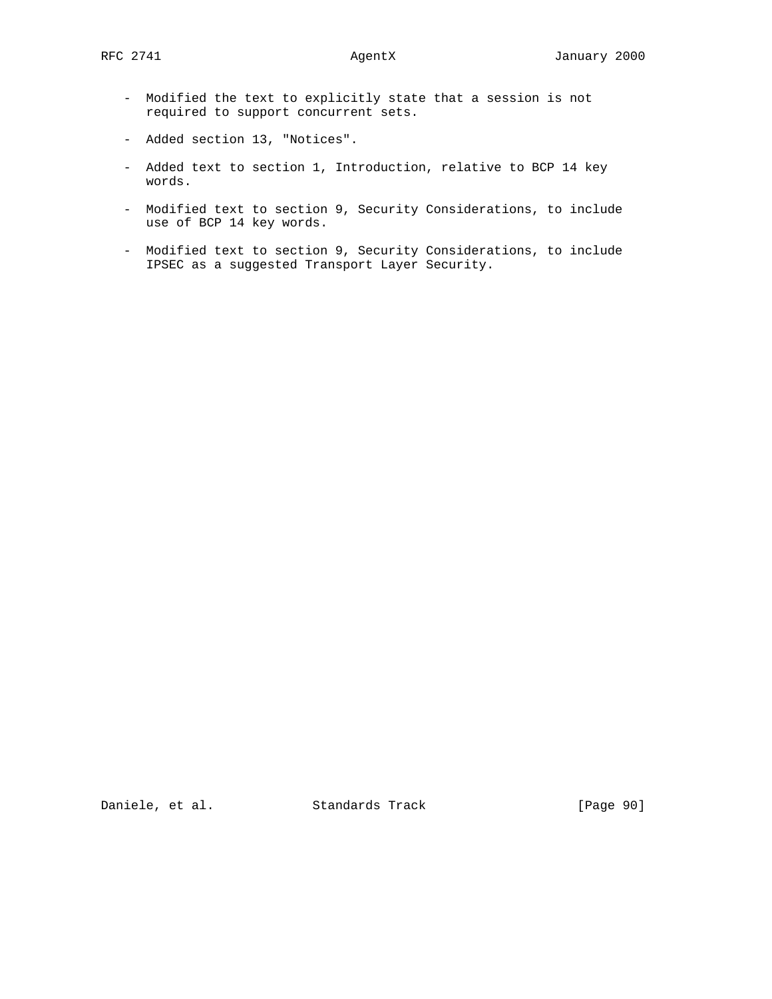- Modified the text to explicitly state that a session is not required to support concurrent sets.
- Added section 13, "Notices".
- Added text to section 1, Introduction, relative to BCP 14 key words.
- Modified text to section 9, Security Considerations, to include use of BCP 14 key words.
- Modified text to section 9, Security Considerations, to include IPSEC as a suggested Transport Layer Security.

Daniele, et al. Standards Track [Page 90]